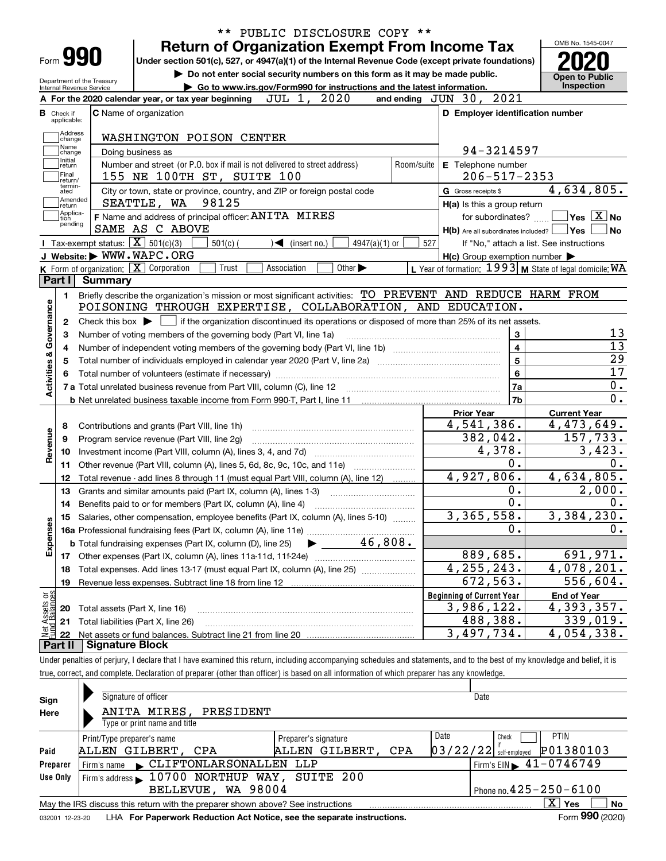| Go to www.irs.gov/Form990 for instructions and the latest information.<br>Internal Revenue Service<br>2020<br>JUL 1,<br>A For the 2020 calendar year, or tax year beginning<br><b>C</b> Name of organization<br><b>B</b> Check if<br>applicable:<br>Address<br>WASHINGTON POISON CENTER<br>change<br>Name<br>Doing business as<br>change<br>Initial<br>Number and street (or P.O. box if mail is not delivered to street address)<br>Room/suite<br>return<br> Final<br>155 NE 100TH ST, SUITE 100<br>Ireturn/<br>termin-<br>City or town, state or province, country, and ZIP or foreign postal code<br>ated<br> Amended<br>98125<br>SEATTLE, WA<br>∣return<br> Applica-<br>F Name and address of principal officer: ANITA MIRES<br>tion<br>pending<br>SAME AS C ABOVE<br>Tax-exempt status: $\boxed{\mathbf{X}}$ 501(c)(3)<br>$4947(a)(1)$ or<br>527<br>$501(c)$ (<br>$\triangleleft$ (insert no.)<br>J Website: WWW.WAPC.ORG<br>K Form of organization: X Corporation<br>Other $\blacktriangleright$<br>Trust<br>Association<br>Part I<br><b>Summary</b><br>Briefly describe the organization's mission or most significant activities: TO PREVENT AND REDUCE HARM FROM<br>1.<br>POISONING THROUGH EXPERTISE, COLLABORATION, AND EDUCATION.<br>Check this box $\blacktriangleright$ $\Box$ if the organization discontinued its operations or disposed of more than 25% of its net assets.<br>2<br>Number of voting members of the governing body (Part VI, line 1a)<br>3<br>4<br>5<br>Contributions and grants (Part VIII, line 1h)<br>8<br>Program service revenue (Part VIII, line 2g)<br>9<br>10<br>Other revenue (Part VIII, column (A), lines 5, 6d, 8c, 9c, 10c, and 11e)<br>11<br>Total revenue - add lines 8 through 11 (must equal Part VIII, column (A), line 12)<br>12<br>13<br>Grants and similar amounts paid (Part IX, column (A), lines 1-3)<br>14<br>15 Salaries, other compensation, employee benefits (Part IX, column (A), lines 5-10) | and ending JUN 30, 2021<br>D Employer identification number<br>94-3214597<br>E Telephone number<br>$206 - 517 - 2353$<br>G Gross receipts \$<br>H(a) Is this a group return<br>for subordinates?<br>$H(b)$ Are all subordinates included? $\Box$ Yes<br>$H(c)$ Group exemption number $\blacktriangleright$<br>L Year of formation: $1993$ M State of legal domicile: WA<br>$\bf 3$<br>4<br>$\overline{5}$<br>$\bf 6$<br>7a<br>7b<br><b>Prior Year</b><br>4,541,386.<br>382,042.<br>4,378. | <b>Inspection</b><br>4,634,805.<br>$\boxed{\phantom{1}}$ Yes $\boxed{\text{X}}$ No<br>l No<br>If "No," attach a list. See instructions<br><b>Current Year</b><br>4,473,649. |
|--------------------------------------------------------------------------------------------------------------------------------------------------------------------------------------------------------------------------------------------------------------------------------------------------------------------------------------------------------------------------------------------------------------------------------------------------------------------------------------------------------------------------------------------------------------------------------------------------------------------------------------------------------------------------------------------------------------------------------------------------------------------------------------------------------------------------------------------------------------------------------------------------------------------------------------------------------------------------------------------------------------------------------------------------------------------------------------------------------------------------------------------------------------------------------------------------------------------------------------------------------------------------------------------------------------------------------------------------------------------------------------------------------------------------------------------------------------------------------------------------------------------------------------------------------------------------------------------------------------------------------------------------------------------------------------------------------------------------------------------------------------------------------------------------------------------------------------------------------------------------------------------------------------------------------------------------------------|--------------------------------------------------------------------------------------------------------------------------------------------------------------------------------------------------------------------------------------------------------------------------------------------------------------------------------------------------------------------------------------------------------------------------------------------------------------------------------------------|-----------------------------------------------------------------------------------------------------------------------------------------------------------------------------|
|                                                                                                                                                                                                                                                                                                                                                                                                                                                                                                                                                                                                                                                                                                                                                                                                                                                                                                                                                                                                                                                                                                                                                                                                                                                                                                                                                                                                                                                                                                                                                                                                                                                                                                                                                                                                                                                                                                                                                              |                                                                                                                                                                                                                                                                                                                                                                                                                                                                                            |                                                                                                                                                                             |
|                                                                                                                                                                                                                                                                                                                                                                                                                                                                                                                                                                                                                                                                                                                                                                                                                                                                                                                                                                                                                                                                                                                                                                                                                                                                                                                                                                                                                                                                                                                                                                                                                                                                                                                                                                                                                                                                                                                                                              |                                                                                                                                                                                                                                                                                                                                                                                                                                                                                            |                                                                                                                                                                             |
|                                                                                                                                                                                                                                                                                                                                                                                                                                                                                                                                                                                                                                                                                                                                                                                                                                                                                                                                                                                                                                                                                                                                                                                                                                                                                                                                                                                                                                                                                                                                                                                                                                                                                                                                                                                                                                                                                                                                                              |                                                                                                                                                                                                                                                                                                                                                                                                                                                                                            |                                                                                                                                                                             |
|                                                                                                                                                                                                                                                                                                                                                                                                                                                                                                                                                                                                                                                                                                                                                                                                                                                                                                                                                                                                                                                                                                                                                                                                                                                                                                                                                                                                                                                                                                                                                                                                                                                                                                                                                                                                                                                                                                                                                              |                                                                                                                                                                                                                                                                                                                                                                                                                                                                                            |                                                                                                                                                                             |
|                                                                                                                                                                                                                                                                                                                                                                                                                                                                                                                                                                                                                                                                                                                                                                                                                                                                                                                                                                                                                                                                                                                                                                                                                                                                                                                                                                                                                                                                                                                                                                                                                                                                                                                                                                                                                                                                                                                                                              |                                                                                                                                                                                                                                                                                                                                                                                                                                                                                            |                                                                                                                                                                             |
|                                                                                                                                                                                                                                                                                                                                                                                                                                                                                                                                                                                                                                                                                                                                                                                                                                                                                                                                                                                                                                                                                                                                                                                                                                                                                                                                                                                                                                                                                                                                                                                                                                                                                                                                                                                                                                                                                                                                                              |                                                                                                                                                                                                                                                                                                                                                                                                                                                                                            |                                                                                                                                                                             |
|                                                                                                                                                                                                                                                                                                                                                                                                                                                                                                                                                                                                                                                                                                                                                                                                                                                                                                                                                                                                                                                                                                                                                                                                                                                                                                                                                                                                                                                                                                                                                                                                                                                                                                                                                                                                                                                                                                                                                              |                                                                                                                                                                                                                                                                                                                                                                                                                                                                                            |                                                                                                                                                                             |
|                                                                                                                                                                                                                                                                                                                                                                                                                                                                                                                                                                                                                                                                                                                                                                                                                                                                                                                                                                                                                                                                                                                                                                                                                                                                                                                                                                                                                                                                                                                                                                                                                                                                                                                                                                                                                                                                                                                                                              |                                                                                                                                                                                                                                                                                                                                                                                                                                                                                            |                                                                                                                                                                             |
|                                                                                                                                                                                                                                                                                                                                                                                                                                                                                                                                                                                                                                                                                                                                                                                                                                                                                                                                                                                                                                                                                                                                                                                                                                                                                                                                                                                                                                                                                                                                                                                                                                                                                                                                                                                                                                                                                                                                                              |                                                                                                                                                                                                                                                                                                                                                                                                                                                                                            |                                                                                                                                                                             |
|                                                                                                                                                                                                                                                                                                                                                                                                                                                                                                                                                                                                                                                                                                                                                                                                                                                                                                                                                                                                                                                                                                                                                                                                                                                                                                                                                                                                                                                                                                                                                                                                                                                                                                                                                                                                                                                                                                                                                              |                                                                                                                                                                                                                                                                                                                                                                                                                                                                                            |                                                                                                                                                                             |
|                                                                                                                                                                                                                                                                                                                                                                                                                                                                                                                                                                                                                                                                                                                                                                                                                                                                                                                                                                                                                                                                                                                                                                                                                                                                                                                                                                                                                                                                                                                                                                                                                                                                                                                                                                                                                                                                                                                                                              |                                                                                                                                                                                                                                                                                                                                                                                                                                                                                            |                                                                                                                                                                             |
|                                                                                                                                                                                                                                                                                                                                                                                                                                                                                                                                                                                                                                                                                                                                                                                                                                                                                                                                                                                                                                                                                                                                                                                                                                                                                                                                                                                                                                                                                                                                                                                                                                                                                                                                                                                                                                                                                                                                                              |                                                                                                                                                                                                                                                                                                                                                                                                                                                                                            |                                                                                                                                                                             |
|                                                                                                                                                                                                                                                                                                                                                                                                                                                                                                                                                                                                                                                                                                                                                                                                                                                                                                                                                                                                                                                                                                                                                                                                                                                                                                                                                                                                                                                                                                                                                                                                                                                                                                                                                                                                                                                                                                                                                              |                                                                                                                                                                                                                                                                                                                                                                                                                                                                                            |                                                                                                                                                                             |
|                                                                                                                                                                                                                                                                                                                                                                                                                                                                                                                                                                                                                                                                                                                                                                                                                                                                                                                                                                                                                                                                                                                                                                                                                                                                                                                                                                                                                                                                                                                                                                                                                                                                                                                                                                                                                                                                                                                                                              |                                                                                                                                                                                                                                                                                                                                                                                                                                                                                            |                                                                                                                                                                             |
|                                                                                                                                                                                                                                                                                                                                                                                                                                                                                                                                                                                                                                                                                                                                                                                                                                                                                                                                                                                                                                                                                                                                                                                                                                                                                                                                                                                                                                                                                                                                                                                                                                                                                                                                                                                                                                                                                                                                                              |                                                                                                                                                                                                                                                                                                                                                                                                                                                                                            |                                                                                                                                                                             |
|                                                                                                                                                                                                                                                                                                                                                                                                                                                                                                                                                                                                                                                                                                                                                                                                                                                                                                                                                                                                                                                                                                                                                                                                                                                                                                                                                                                                                                                                                                                                                                                                                                                                                                                                                                                                                                                                                                                                                              |                                                                                                                                                                                                                                                                                                                                                                                                                                                                                            |                                                                                                                                                                             |
|                                                                                                                                                                                                                                                                                                                                                                                                                                                                                                                                                                                                                                                                                                                                                                                                                                                                                                                                                                                                                                                                                                                                                                                                                                                                                                                                                                                                                                                                                                                                                                                                                                                                                                                                                                                                                                                                                                                                                              |                                                                                                                                                                                                                                                                                                                                                                                                                                                                                            |                                                                                                                                                                             |
|                                                                                                                                                                                                                                                                                                                                                                                                                                                                                                                                                                                                                                                                                                                                                                                                                                                                                                                                                                                                                                                                                                                                                                                                                                                                                                                                                                                                                                                                                                                                                                                                                                                                                                                                                                                                                                                                                                                                                              |                                                                                                                                                                                                                                                                                                                                                                                                                                                                                            |                                                                                                                                                                             |
|                                                                                                                                                                                                                                                                                                                                                                                                                                                                                                                                                                                                                                                                                                                                                                                                                                                                                                                                                                                                                                                                                                                                                                                                                                                                                                                                                                                                                                                                                                                                                                                                                                                                                                                                                                                                                                                                                                                                                              |                                                                                                                                                                                                                                                                                                                                                                                                                                                                                            |                                                                                                                                                                             |
|                                                                                                                                                                                                                                                                                                                                                                                                                                                                                                                                                                                                                                                                                                                                                                                                                                                                                                                                                                                                                                                                                                                                                                                                                                                                                                                                                                                                                                                                                                                                                                                                                                                                                                                                                                                                                                                                                                                                                              |                                                                                                                                                                                                                                                                                                                                                                                                                                                                                            |                                                                                                                                                                             |
|                                                                                                                                                                                                                                                                                                                                                                                                                                                                                                                                                                                                                                                                                                                                                                                                                                                                                                                                                                                                                                                                                                                                                                                                                                                                                                                                                                                                                                                                                                                                                                                                                                                                                                                                                                                                                                                                                                                                                              |                                                                                                                                                                                                                                                                                                                                                                                                                                                                                            | 157,733.                                                                                                                                                                    |
|                                                                                                                                                                                                                                                                                                                                                                                                                                                                                                                                                                                                                                                                                                                                                                                                                                                                                                                                                                                                                                                                                                                                                                                                                                                                                                                                                                                                                                                                                                                                                                                                                                                                                                                                                                                                                                                                                                                                                              | $0$ .                                                                                                                                                                                                                                                                                                                                                                                                                                                                                      | 3,423.                                                                                                                                                                      |
|                                                                                                                                                                                                                                                                                                                                                                                                                                                                                                                                                                                                                                                                                                                                                                                                                                                                                                                                                                                                                                                                                                                                                                                                                                                                                                                                                                                                                                                                                                                                                                                                                                                                                                                                                                                                                                                                                                                                                              | 4,927,806.                                                                                                                                                                                                                                                                                                                                                                                                                                                                                 | 4,634,805.                                                                                                                                                                  |
|                                                                                                                                                                                                                                                                                                                                                                                                                                                                                                                                                                                                                                                                                                                                                                                                                                                                                                                                                                                                                                                                                                                                                                                                                                                                                                                                                                                                                                                                                                                                                                                                                                                                                                                                                                                                                                                                                                                                                              | 0.                                                                                                                                                                                                                                                                                                                                                                                                                                                                                         | 2,000.                                                                                                                                                                      |
|                                                                                                                                                                                                                                                                                                                                                                                                                                                                                                                                                                                                                                                                                                                                                                                                                                                                                                                                                                                                                                                                                                                                                                                                                                                                                                                                                                                                                                                                                                                                                                                                                                                                                                                                                                                                                                                                                                                                                              | 0.                                                                                                                                                                                                                                                                                                                                                                                                                                                                                         |                                                                                                                                                                             |
|                                                                                                                                                                                                                                                                                                                                                                                                                                                                                                                                                                                                                                                                                                                                                                                                                                                                                                                                                                                                                                                                                                                                                                                                                                                                                                                                                                                                                                                                                                                                                                                                                                                                                                                                                                                                                                                                                                                                                              | <u>3,365,558.</u>                                                                                                                                                                                                                                                                                                                                                                                                                                                                          | 3,384,230.                                                                                                                                                                  |
|                                                                                                                                                                                                                                                                                                                                                                                                                                                                                                                                                                                                                                                                                                                                                                                                                                                                                                                                                                                                                                                                                                                                                                                                                                                                                                                                                                                                                                                                                                                                                                                                                                                                                                                                                                                                                                                                                                                                                              | 0.                                                                                                                                                                                                                                                                                                                                                                                                                                                                                         |                                                                                                                                                                             |
| 46,808.<br><b>b</b> Total fundraising expenses (Part IX, column (D), line 25)                                                                                                                                                                                                                                                                                                                                                                                                                                                                                                                                                                                                                                                                                                                                                                                                                                                                                                                                                                                                                                                                                                                                                                                                                                                                                                                                                                                                                                                                                                                                                                                                                                                                                                                                                                                                                                                                                |                                                                                                                                                                                                                                                                                                                                                                                                                                                                                            |                                                                                                                                                                             |
| 17                                                                                                                                                                                                                                                                                                                                                                                                                                                                                                                                                                                                                                                                                                                                                                                                                                                                                                                                                                                                                                                                                                                                                                                                                                                                                                                                                                                                                                                                                                                                                                                                                                                                                                                                                                                                                                                                                                                                                           | 889,685.                                                                                                                                                                                                                                                                                                                                                                                                                                                                                   | 691,971.                                                                                                                                                                    |
| Total expenses. Add lines 13-17 (must equal Part IX, column (A), line 25)<br>18                                                                                                                                                                                                                                                                                                                                                                                                                                                                                                                                                                                                                                                                                                                                                                                                                                                                                                                                                                                                                                                                                                                                                                                                                                                                                                                                                                                                                                                                                                                                                                                                                                                                                                                                                                                                                                                                              | 4, 255, 243.                                                                                                                                                                                                                                                                                                                                                                                                                                                                               | 4,078,201.                                                                                                                                                                  |
| Revenue less expenses. Subtract line 18 from line 12<br>19                                                                                                                                                                                                                                                                                                                                                                                                                                                                                                                                                                                                                                                                                                                                                                                                                                                                                                                                                                                                                                                                                                                                                                                                                                                                                                                                                                                                                                                                                                                                                                                                                                                                                                                                                                                                                                                                                                   | 672,563.                                                                                                                                                                                                                                                                                                                                                                                                                                                                                   | 556,604.                                                                                                                                                                    |
|                                                                                                                                                                                                                                                                                                                                                                                                                                                                                                                                                                                                                                                                                                                                                                                                                                                                                                                                                                                                                                                                                                                                                                                                                                                                                                                                                                                                                                                                                                                                                                                                                                                                                                                                                                                                                                                                                                                                                              | <b>Beginning of Current Year</b>                                                                                                                                                                                                                                                                                                                                                                                                                                                           | <b>End of Year</b>                                                                                                                                                          |
| Total assets (Part X, line 16)<br>20                                                                                                                                                                                                                                                                                                                                                                                                                                                                                                                                                                                                                                                                                                                                                                                                                                                                                                                                                                                                                                                                                                                                                                                                                                                                                                                                                                                                                                                                                                                                                                                                                                                                                                                                                                                                                                                                                                                         | 3,986,122.                                                                                                                                                                                                                                                                                                                                                                                                                                                                                 | 4, 393, 357.                                                                                                                                                                |
| Total liabilities (Part X, line 26)<br>21                                                                                                                                                                                                                                                                                                                                                                                                                                                                                                                                                                                                                                                                                                                                                                                                                                                                                                                                                                                                                                                                                                                                                                                                                                                                                                                                                                                                                                                                                                                                                                                                                                                                                                                                                                                                                                                                                                                    | 488,388.                                                                                                                                                                                                                                                                                                                                                                                                                                                                                   | 339,019.                                                                                                                                                                    |
| -22                                                                                                                                                                                                                                                                                                                                                                                                                                                                                                                                                                                                                                                                                                                                                                                                                                                                                                                                                                                                                                                                                                                                                                                                                                                                                                                                                                                                                                                                                                                                                                                                                                                                                                                                                                                                                                                                                                                                                          | 3,497,734.                                                                                                                                                                                                                                                                                                                                                                                                                                                                                 | 4,054,338.                                                                                                                                                                  |
| Part II<br><b>Signature Block</b>                                                                                                                                                                                                                                                                                                                                                                                                                                                                                                                                                                                                                                                                                                                                                                                                                                                                                                                                                                                                                                                                                                                                                                                                                                                                                                                                                                                                                                                                                                                                                                                                                                                                                                                                                                                                                                                                                                                            |                                                                                                                                                                                                                                                                                                                                                                                                                                                                                            |                                                                                                                                                                             |

| Sign     | Signature of officer                                                                                                                                                                                                              | Date                                            |
|----------|-----------------------------------------------------------------------------------------------------------------------------------------------------------------------------------------------------------------------------------|-------------------------------------------------|
| Here     | ANITA MIRES, PRESIDENT                                                                                                                                                                                                            |                                                 |
|          | Type or print name and title                                                                                                                                                                                                      |                                                 |
|          | Date<br>Print/Type preparer's name<br>Preparer's signature                                                                                                                                                                        | <b>PTIN</b><br>Check                            |
| Paid     | ALLEN GILBERT,<br>ALLEN GILBERT, CPA<br>CPA                                                                                                                                                                                       | P01380103<br>$03/22/22$ self-employed           |
| Preparer | Firm's name CLIFTONLARSONALLEN LLP                                                                                                                                                                                                | $1$ Firm's EIN $\blacktriangleright$ 41-0746749 |
| Use Only | Firm's address 10700 NORTHUP WAY, SUITE 200                                                                                                                                                                                       |                                                 |
|          | BELLEVUE, WA 98004                                                                                                                                                                                                                | Phone no. $425 - 250 - 6100$                    |
|          | May the IRS discuss this return with the preparer shown above? See instructions                                                                                                                                                   | X.<br>Yes<br>No.                                |
|          | $\mathbf{r}$ . The contract of the contract of the contract of the contract of the contract of the contract of the contract of the contract of the contract of the contract of the contract of the contract of the contract of th | $\sim$ 000 $\sim$                               |

032001 12-23-20 LHA **For Paperwork Reduction Act Notice, see the separate instructions.** Form 990 (2020)

**990**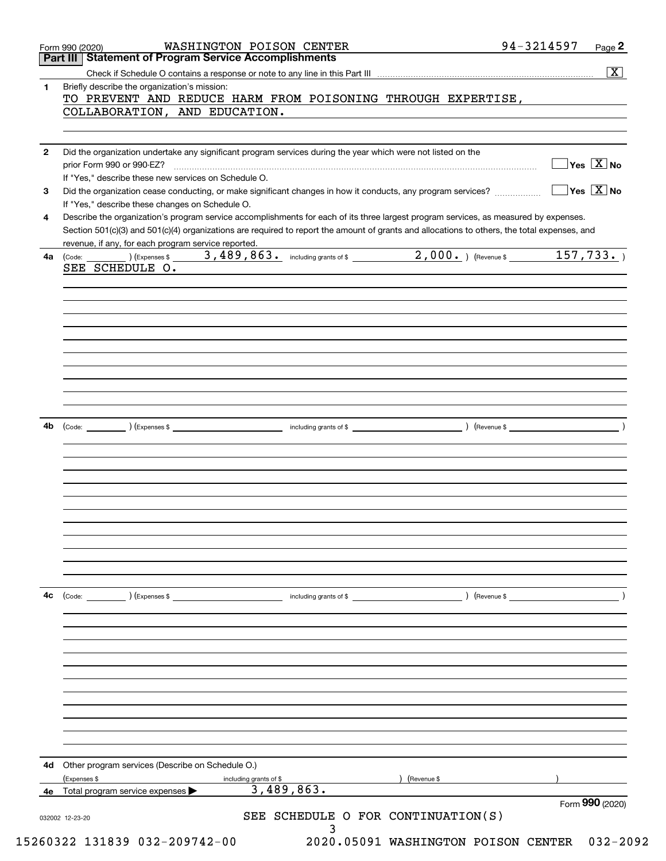|              | Form 990 (2020)<br>Part III   Statement of Program Service Accomplishments                                                                                                                          | WASHINGTON POISON CENTER                | 94-3214597    | Page 2                                           |
|--------------|-----------------------------------------------------------------------------------------------------------------------------------------------------------------------------------------------------|-----------------------------------------|---------------|--------------------------------------------------|
|              |                                                                                                                                                                                                     |                                         |               | $\overline{\mathbf{X}}$                          |
| 1.           | Briefly describe the organization's mission:                                                                                                                                                        |                                         |               |                                                  |
|              | TO PREVENT AND REDUCE HARM FROM POISONING THROUGH EXPERTISE,<br>COLLABORATION, AND EDUCATION.                                                                                                       |                                         |               |                                                  |
|              |                                                                                                                                                                                                     |                                         |               |                                                  |
| $\mathbf{2}$ | Did the organization undertake any significant program services during the year which were not listed on the                                                                                        |                                         |               |                                                  |
|              | prior Form 990 or 990-EZ?<br>If "Yes," describe these new services on Schedule O.                                                                                                                   |                                         |               | $\overline{\ }$ Yes $\overline{\phantom{a}X}$ No |
| 3            |                                                                                                                                                                                                     |                                         |               | $\exists$ Yes $\boxed{\text{X}}$ No              |
| 4            | If "Yes," describe these changes on Schedule O.<br>Describe the organization's program service accomplishments for each of its three largest program services, as measured by expenses.             |                                         |               |                                                  |
|              | Section 501(c)(3) and 501(c)(4) organizations are required to report the amount of grants and allocations to others, the total expenses, and<br>revenue, if any, for each program service reported. |                                         |               |                                                  |
| 4a           | SEE SCHEDULE O.                                                                                                                                                                                     |                                         |               |                                                  |
|              |                                                                                                                                                                                                     |                                         |               |                                                  |
|              |                                                                                                                                                                                                     |                                         |               |                                                  |
|              |                                                                                                                                                                                                     |                                         |               |                                                  |
|              |                                                                                                                                                                                                     |                                         |               |                                                  |
|              |                                                                                                                                                                                                     |                                         |               |                                                  |
|              |                                                                                                                                                                                                     |                                         |               |                                                  |
|              |                                                                                                                                                                                                     |                                         |               |                                                  |
| 4b           |                                                                                                                                                                                                     |                                         |               |                                                  |
|              |                                                                                                                                                                                                     |                                         |               |                                                  |
|              |                                                                                                                                                                                                     |                                         |               |                                                  |
|              |                                                                                                                                                                                                     |                                         |               |                                                  |
|              |                                                                                                                                                                                                     |                                         |               |                                                  |
|              |                                                                                                                                                                                                     |                                         |               |                                                  |
|              |                                                                                                                                                                                                     |                                         |               |                                                  |
|              |                                                                                                                                                                                                     |                                         |               |                                                  |
| 4с           | $\left(\text{Code:} \right)$ $\left(\text{Expenses $}\right)$                                                                                                                                       | including grants of \$                  | ) (Revenue \$ |                                                  |
|              |                                                                                                                                                                                                     |                                         |               |                                                  |
|              |                                                                                                                                                                                                     |                                         |               |                                                  |
|              |                                                                                                                                                                                                     |                                         |               |                                                  |
|              |                                                                                                                                                                                                     |                                         |               |                                                  |
|              |                                                                                                                                                                                                     |                                         |               |                                                  |
|              |                                                                                                                                                                                                     |                                         |               |                                                  |
|              |                                                                                                                                                                                                     |                                         |               |                                                  |
| 4d           | Other program services (Describe on Schedule O.)                                                                                                                                                    |                                         |               |                                                  |
|              | (Expenses \$                                                                                                                                                                                        | including grants of \$<br>3,489,863.    | (Revenue \$   |                                                  |
| 4е           | Total program service expenses                                                                                                                                                                      |                                         |               | Form 990 (2020)                                  |
|              | 032002 12-23-20                                                                                                                                                                                     | SEE SCHEDULE O FOR CONTINUATION(S)<br>3 |               |                                                  |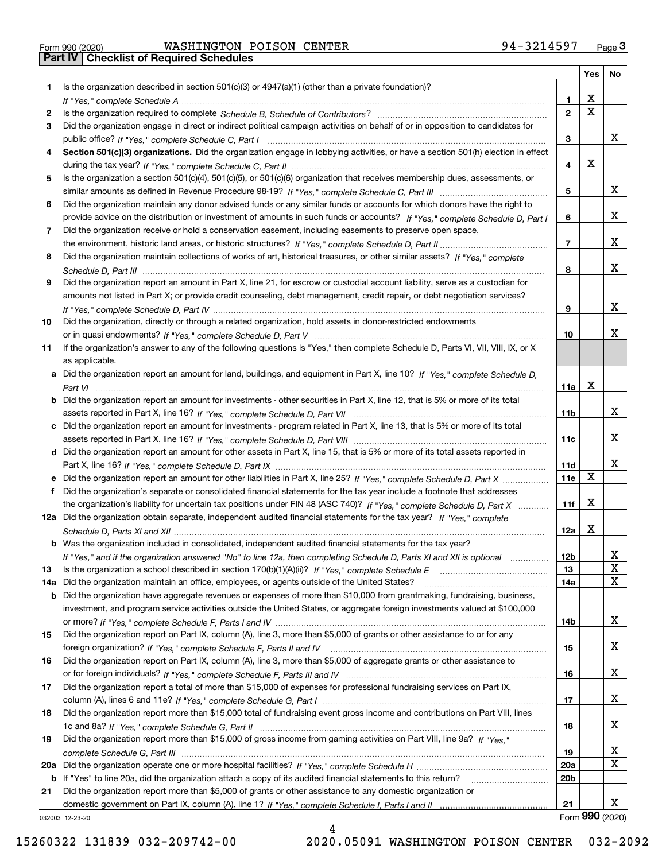|  | Form 990 (2020) |
|--|-----------------|

|     |                                                                                                                                                 |                 | Yes | No              |
|-----|-------------------------------------------------------------------------------------------------------------------------------------------------|-----------------|-----|-----------------|
| 1   | Is the organization described in section $501(c)(3)$ or $4947(a)(1)$ (other than a private foundation)?                                         |                 |     |                 |
|     |                                                                                                                                                 | 1               | х   |                 |
| 2   |                                                                                                                                                 | $\mathbf{2}$    | X   |                 |
| 3   | Did the organization engage in direct or indirect political campaign activities on behalf of or in opposition to candidates for                 |                 |     |                 |
|     |                                                                                                                                                 | 3               |     | x               |
| 4   | Section 501(c)(3) organizations. Did the organization engage in lobbying activities, or have a section 501(h) election in effect                |                 |     |                 |
|     |                                                                                                                                                 | 4               | х   |                 |
| 5   | Is the organization a section 501(c)(4), 501(c)(5), or 501(c)(6) organization that receives membership dues, assessments, or                    |                 |     |                 |
|     |                                                                                                                                                 | 5               |     | X.              |
| 6   | Did the organization maintain any donor advised funds or any similar funds or accounts for which donors have the right to                       |                 |     |                 |
|     | provide advice on the distribution or investment of amounts in such funds or accounts? If "Yes," complete Schedule D, Part I                    | 6               |     | X.              |
| 7   | Did the organization receive or hold a conservation easement, including easements to preserve open space,                                       |                 |     |                 |
|     |                                                                                                                                                 | 7               |     | X.              |
| 8   | Did the organization maintain collections of works of art, historical treasures, or other similar assets? If "Yes," complete                    |                 |     |                 |
|     |                                                                                                                                                 | 8               |     | X.              |
| 9   | Did the organization report an amount in Part X, line 21, for escrow or custodial account liability, serve as a custodian for                   |                 |     |                 |
|     | amounts not listed in Part X; or provide credit counseling, debt management, credit repair, or debt negotiation services?                       |                 |     |                 |
|     |                                                                                                                                                 | 9               |     | X.              |
| 10  | Did the organization, directly or through a related organization, hold assets in donor-restricted endowments                                    |                 |     | x               |
|     |                                                                                                                                                 | 10              |     |                 |
| 11  | If the organization's answer to any of the following questions is "Yes," then complete Schedule D, Parts VI, VII, VIII, IX, or X                |                 |     |                 |
|     | as applicable.<br>a Did the organization report an amount for land, buildings, and equipment in Part X, line 10? If "Yes," complete Schedule D, |                 |     |                 |
|     |                                                                                                                                                 | 11a             | х   |                 |
|     | <b>b</b> Did the organization report an amount for investments - other securities in Part X, line 12, that is 5% or more of its total           |                 |     |                 |
|     |                                                                                                                                                 | 11b             |     | X.              |
|     | c Did the organization report an amount for investments - program related in Part X, line 13, that is 5% or more of its total                   |                 |     |                 |
|     |                                                                                                                                                 | 11c             |     | X.              |
|     | d Did the organization report an amount for other assets in Part X, line 15, that is 5% or more of its total assets reported in                 |                 |     |                 |
|     |                                                                                                                                                 | 11d             |     | X.              |
| е   |                                                                                                                                                 | <b>11e</b>      | х   |                 |
| f   | Did the organization's separate or consolidated financial statements for the tax year include a footnote that addresses                         |                 |     |                 |
|     | the organization's liability for uncertain tax positions under FIN 48 (ASC 740)? If "Yes," complete Schedule D, Part X                          | 11f             | х   |                 |
|     | 12a Did the organization obtain separate, independent audited financial statements for the tax year? If "Yes," complete                         |                 |     |                 |
|     |                                                                                                                                                 | 12a             | х   |                 |
|     | <b>b</b> Was the organization included in consolidated, independent audited financial statements for the tax year?                              |                 |     |                 |
|     | "Yes," and if the organization answered "No" to line 12a, then completing Schedule D, Parts XI and XII is optional                              | 12 <sub>b</sub> |     |                 |
| 13  | Is the organization a school described in section 170(b)(1)(A)(ii)? If "Yes," complete Schedule E                                               | 13              |     | X               |
| 14a | Did the organization maintain an office, employees, or agents outside of the United States?                                                     | 14a             |     | x               |
|     | b Did the organization have aggregate revenues or expenses of more than \$10,000 from grantmaking, fundraising, business,                       |                 |     |                 |
|     | investment, and program service activities outside the United States, or aggregate foreign investments valued at \$100,000                      |                 |     |                 |
|     |                                                                                                                                                 | 14b             |     | X.              |
| 15  | Did the organization report on Part IX, column (A), line 3, more than \$5,000 of grants or other assistance to or for any                       |                 |     |                 |
|     |                                                                                                                                                 | 15              |     | X.              |
| 16  | Did the organization report on Part IX, column (A), line 3, more than \$5,000 of aggregate grants or other assistance to                        |                 |     |                 |
|     |                                                                                                                                                 | 16              |     | X.              |
| 17  | Did the organization report a total of more than \$15,000 of expenses for professional fundraising services on Part IX,                         |                 |     |                 |
|     |                                                                                                                                                 | 17              |     | X.              |
| 18  | Did the organization report more than \$15,000 total of fundraising event gross income and contributions on Part VIII, lines                    |                 |     |                 |
|     |                                                                                                                                                 | 18              |     | X.              |
| 19  | Did the organization report more than \$15,000 of gross income from gaming activities on Part VIII, line 9a? If "Yes."                          |                 |     |                 |
|     |                                                                                                                                                 | 19              |     | x               |
|     |                                                                                                                                                 | 20a             |     | X               |
|     | b If "Yes" to line 20a, did the organization attach a copy of its audited financial statements to this return?                                  | 20b             |     |                 |
| 21  | Did the organization report more than \$5,000 of grants or other assistance to any domestic organization or                                     |                 |     |                 |
|     |                                                                                                                                                 | 21              |     | X.              |
|     | 032003 12-23-20                                                                                                                                 |                 |     | Form 990 (2020) |

4

032003 12-23-20

15260322 131839 032-209742-00 2020.05091 WASHINGTON POISON CENTER 032-2092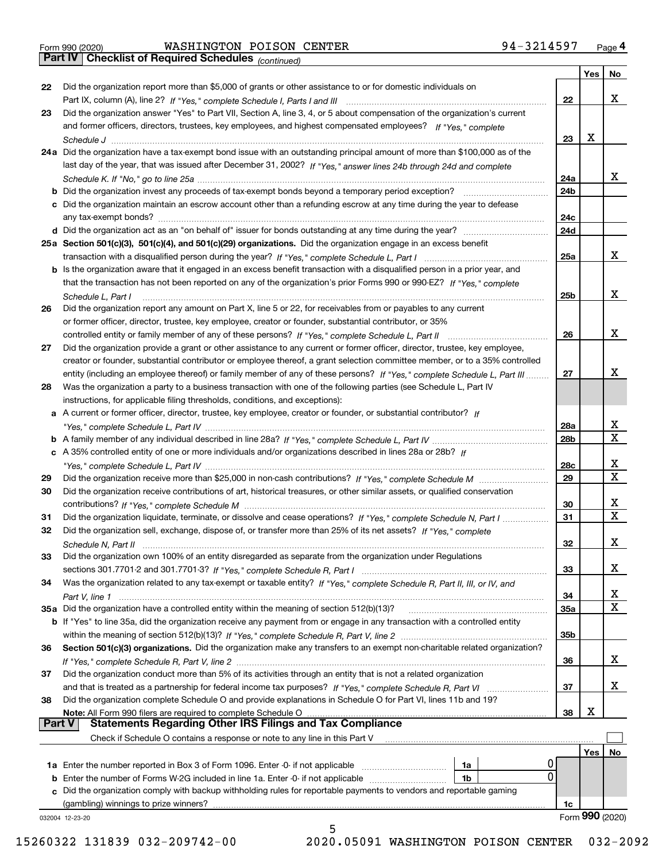*(continued)*

|               |                                                                                                                                                                                                    |                 | Yes | No.              |
|---------------|----------------------------------------------------------------------------------------------------------------------------------------------------------------------------------------------------|-----------------|-----|------------------|
| 22            | Did the organization report more than \$5,000 of grants or other assistance to or for domestic individuals on                                                                                      |                 |     |                  |
|               |                                                                                                                                                                                                    | 22              |     | х                |
| 23            | Did the organization answer "Yes" to Part VII, Section A, line 3, 4, or 5 about compensation of the organization's current                                                                         |                 |     |                  |
|               | and former officers, directors, trustees, key employees, and highest compensated employees? If "Yes," complete                                                                                     |                 |     |                  |
|               |                                                                                                                                                                                                    | 23              | x   |                  |
|               | 24a Did the organization have a tax-exempt bond issue with an outstanding principal amount of more than \$100,000 as of the                                                                        |                 |     |                  |
|               | last day of the year, that was issued after December 31, 2002? If "Yes," answer lines 24b through 24d and complete                                                                                 |                 |     |                  |
|               |                                                                                                                                                                                                    | 24a             |     | x                |
|               | b Did the organization invest any proceeds of tax-exempt bonds beyond a temporary period exception?                                                                                                | 24b             |     |                  |
|               | c Did the organization maintain an escrow account other than a refunding escrow at any time during the year to defease                                                                             |                 |     |                  |
|               | any tax-exempt bonds?                                                                                                                                                                              | 24c             |     |                  |
|               | d Did the organization act as an "on behalf of" issuer for bonds outstanding at any time during the year?                                                                                          | 24d             |     |                  |
|               | 25a Section 501(c)(3), 501(c)(4), and 501(c)(29) organizations. Did the organization engage in an excess benefit                                                                                   |                 |     |                  |
|               |                                                                                                                                                                                                    | 25a             |     | х                |
|               | b Is the organization aware that it engaged in an excess benefit transaction with a disqualified person in a prior year, and                                                                       |                 |     |                  |
|               | that the transaction has not been reported on any of the organization's prior Forms 990 or 990-EZ? If "Yes," complete                                                                              |                 |     |                  |
|               | Schedule L. Part I                                                                                                                                                                                 | 25b             |     | х                |
| 26            | Did the organization report any amount on Part X, line 5 or 22, for receivables from or payables to any current                                                                                    |                 |     |                  |
|               | or former officer, director, trustee, key employee, creator or founder, substantial contributor, or 35%                                                                                            |                 |     |                  |
|               |                                                                                                                                                                                                    | 26              |     | х                |
| 27            | Did the organization provide a grant or other assistance to any current or former officer, director, trustee, key employee,                                                                        |                 |     |                  |
|               | creator or founder, substantial contributor or employee thereof, a grant selection committee member, or to a 35% controlled                                                                        |                 |     |                  |
|               | entity (including an employee thereof) or family member of any of these persons? If "Yes," complete Schedule L, Part III                                                                           | 27              |     | х                |
| 28            | Was the organization a party to a business transaction with one of the following parties (see Schedule L, Part IV                                                                                  |                 |     |                  |
|               |                                                                                                                                                                                                    |                 |     |                  |
|               | instructions, for applicable filing thresholds, conditions, and exceptions):<br>a A current or former officer, director, trustee, key employee, creator or founder, or substantial contributor? If |                 |     |                  |
|               |                                                                                                                                                                                                    | 28a             |     | x                |
|               |                                                                                                                                                                                                    | 28 <sub>b</sub> |     | $\mathbf X$      |
|               |                                                                                                                                                                                                    |                 |     |                  |
|               | c A 35% controlled entity of one or more individuals and/or organizations described in lines 28a or 28b? If                                                                                        |                 |     | х                |
|               |                                                                                                                                                                                                    | 28c             |     | $\mathbf X$      |
| 29            |                                                                                                                                                                                                    | 29              |     |                  |
| 30            | Did the organization receive contributions of art, historical treasures, or other similar assets, or qualified conservation                                                                        |                 |     |                  |
|               |                                                                                                                                                                                                    | 30              |     | x<br>$\mathbf x$ |
| 31            | Did the organization liquidate, terminate, or dissolve and cease operations? If "Yes," complete Schedule N, Part I                                                                                 | 31              |     |                  |
| 32            | Did the organization sell, exchange, dispose of, or transfer more than 25% of its net assets? If "Yes," complete                                                                                   |                 |     |                  |
|               |                                                                                                                                                                                                    | 32              |     | x                |
| 33            | Did the organization own 100% of an entity disregarded as separate from the organization under Regulations                                                                                         |                 |     |                  |
|               |                                                                                                                                                                                                    | 33              |     | х                |
| 34            | Was the organization related to any tax-exempt or taxable entity? If "Yes," complete Schedule R, Part II, III, or IV, and                                                                          |                 |     |                  |
|               |                                                                                                                                                                                                    | 34              |     | х                |
|               | 35a Did the organization have a controlled entity within the meaning of section 512(b)(13)?                                                                                                        | 35a             |     | X                |
|               | b If "Yes" to line 35a, did the organization receive any payment from or engage in any transaction with a controlled entity                                                                        |                 |     |                  |
|               |                                                                                                                                                                                                    | 35b             |     |                  |
| 36            | Section 501(c)(3) organizations. Did the organization make any transfers to an exempt non-charitable related organization?                                                                         |                 |     |                  |
|               |                                                                                                                                                                                                    | 36              |     | x                |
| 37            | Did the organization conduct more than 5% of its activities through an entity that is not a related organization                                                                                   |                 |     |                  |
|               | and that is treated as a partnership for federal income tax purposes? If "Yes," complete Schedule R, Part VI                                                                                       | 37              |     | x                |
| 38            | Did the organization complete Schedule O and provide explanations in Schedule O for Part VI, lines 11b and 19?                                                                                     |                 |     |                  |
|               | Note: All Form 990 filers are required to complete Schedule O                                                                                                                                      | 38              | х   |                  |
| <b>Part V</b> | <b>Statements Regarding Other IRS Filings and Tax Compliance</b>                                                                                                                                   |                 |     |                  |
|               | Check if Schedule O contains a response or note to any line in this Part V                                                                                                                         |                 |     |                  |
|               |                                                                                                                                                                                                    |                 | Yes | No               |
|               | <b>1a</b> Enter the number reported in Box 3 of Form 1096. Enter -0- if not applicable <i>manumumumum</i><br>1a                                                                                    |                 |     |                  |
|               | 0<br><b>b</b> Enter the number of Forms W-2G included in line 1a. Enter -0- if not applicable <i>manumumumum</i><br>1b                                                                             |                 |     |                  |
|               | c Did the organization comply with backup withholding rules for reportable payments to vendors and reportable gaming                                                                               |                 |     |                  |
|               | (gambling) winnings to prize winners?                                                                                                                                                              | 1c              |     |                  |
|               | 032004 12-23-20                                                                                                                                                                                    |                 |     | Form 990 (2020)  |
|               | 5                                                                                                                                                                                                  |                 |     |                  |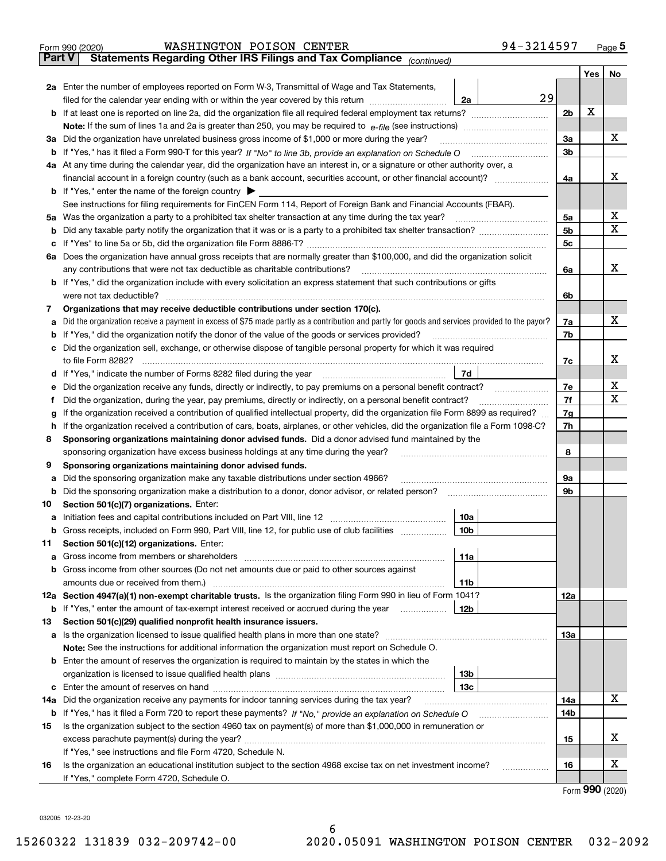| Part V  | 94-3214597<br>WASHINGTON POISON CENTER<br>Form 990 (2020)<br>Statements Regarding Other IRS Filings and Tax Compliance (continued)                                                        |                |            | Page $5$      |  |  |  |  |  |
|---------|-------------------------------------------------------------------------------------------------------------------------------------------------------------------------------------------|----------------|------------|---------------|--|--|--|--|--|
|         |                                                                                                                                                                                           |                | <b>Yes</b> | No            |  |  |  |  |  |
|         | 2a Enter the number of employees reported on Form W-3, Transmittal of Wage and Tax Statements,                                                                                            |                |            |               |  |  |  |  |  |
|         | 29<br>filed for the calendar year ending with or within the year covered by this return [11] [11] filed for the calendar year ending with or within the year covered by this return<br>2a |                |            |               |  |  |  |  |  |
|         |                                                                                                                                                                                           | 2 <sub>b</sub> | х          |               |  |  |  |  |  |
|         |                                                                                                                                                                                           |                |            |               |  |  |  |  |  |
|         | 3a Did the organization have unrelated business gross income of \$1,000 or more during the year?                                                                                          |                |            |               |  |  |  |  |  |
|         |                                                                                                                                                                                           | 3b             |            |               |  |  |  |  |  |
|         | 4a At any time during the calendar year, did the organization have an interest in, or a signature or other authority over, a                                                              |                |            |               |  |  |  |  |  |
|         |                                                                                                                                                                                           | 4a             |            | х             |  |  |  |  |  |
|         | <b>b</b> If "Yes," enter the name of the foreign country $\blacktriangleright$                                                                                                            |                |            |               |  |  |  |  |  |
|         | See instructions for filing requirements for FinCEN Form 114, Report of Foreign Bank and Financial Accounts (FBAR).                                                                       |                |            |               |  |  |  |  |  |
|         | 5a Was the organization a party to a prohibited tax shelter transaction at any time during the tax year?                                                                                  | 5a             |            | х             |  |  |  |  |  |
|         |                                                                                                                                                                                           | 5b             |            | X             |  |  |  |  |  |
| c       |                                                                                                                                                                                           | 5c             |            |               |  |  |  |  |  |
|         | 6a Does the organization have annual gross receipts that are normally greater than \$100,000, and did the organization solicit                                                            |                |            |               |  |  |  |  |  |
|         | any contributions that were not tax deductible as charitable contributions?                                                                                                               | 6a             |            | x             |  |  |  |  |  |
|         | b If "Yes," did the organization include with every solicitation an express statement that such contributions or gifts                                                                    |                |            |               |  |  |  |  |  |
|         | were not tax deductible?                                                                                                                                                                  | 6b             |            |               |  |  |  |  |  |
| 7       | Organizations that may receive deductible contributions under section 170(c).                                                                                                             |                |            |               |  |  |  |  |  |
| a       | Did the organization receive a payment in excess of \$75 made partly as a contribution and partly for goods and services provided to the payor?                                           | 7a             |            | х             |  |  |  |  |  |
| b       | If "Yes," did the organization notify the donor of the value of the goods or services provided?                                                                                           | 7b             |            |               |  |  |  |  |  |
|         | c Did the organization sell, exchange, or otherwise dispose of tangible personal property for which it was required                                                                       |                |            | х             |  |  |  |  |  |
|         | to file Form 8282?                                                                                                                                                                        |                |            |               |  |  |  |  |  |
|         | 7d<br>d If "Yes," indicate the number of Forms 8282 filed during the year                                                                                                                 |                |            |               |  |  |  |  |  |
| е       | Did the organization receive any funds, directly or indirectly, to pay premiums on a personal benefit contract?                                                                           |                |            |               |  |  |  |  |  |
| f       | Did the organization, during the year, pay premiums, directly or indirectly, on a personal benefit contract?                                                                              |                |            |               |  |  |  |  |  |
| a       | If the organization received a contribution of qualified intellectual property, did the organization file Form 8899 as required?                                                          |                |            |               |  |  |  |  |  |
|         | h If the organization received a contribution of cars, boats, airplanes, or other vehicles, did the organization file a Form 1098-C?                                                      |                |            |               |  |  |  |  |  |
| 8       | Sponsoring organizations maintaining donor advised funds. Did a donor advised fund maintained by the                                                                                      |                |            |               |  |  |  |  |  |
|         | sponsoring organization have excess business holdings at any time during the year?                                                                                                        | 8              |            |               |  |  |  |  |  |
| 9       | Sponsoring organizations maintaining donor advised funds.                                                                                                                                 |                |            |               |  |  |  |  |  |
| а       | Did the sponsoring organization make any taxable distributions under section 4966?                                                                                                        | 9a             |            |               |  |  |  |  |  |
| b       | Did the sponsoring organization make a distribution to a donor, donor advisor, or related person?                                                                                         | 9b             |            |               |  |  |  |  |  |
| 10      | Section 501(c)(7) organizations. Enter:                                                                                                                                                   |                |            |               |  |  |  |  |  |
|         | 10a                                                                                                                                                                                       |                |            |               |  |  |  |  |  |
| b       | Gross receipts, included on Form 990, Part VIII, line 12, for public use of club facilities<br>10 <sub>b</sub>                                                                            |                |            |               |  |  |  |  |  |
| 11      | Section 501(c)(12) organizations. Enter:                                                                                                                                                  |                |            |               |  |  |  |  |  |
| a       | 11a                                                                                                                                                                                       |                |            |               |  |  |  |  |  |
| b       | Gross income from other sources (Do not net amounts due or paid to other sources against                                                                                                  |                |            |               |  |  |  |  |  |
|         | 11 <sub>b</sub><br>12a Section 4947(a)(1) non-exempt charitable trusts. Is the organization filing Form 990 in lieu of Form 1041?                                                         | 12a            |            |               |  |  |  |  |  |
|         | 12b                                                                                                                                                                                       |                |            |               |  |  |  |  |  |
| b<br>13 | If "Yes," enter the amount of tax-exempt interest received or accrued during the year<br>Section 501(c)(29) qualified nonprofit health insurance issuers.                                 |                |            |               |  |  |  |  |  |
|         |                                                                                                                                                                                           | 13a            |            |               |  |  |  |  |  |
|         | Note: See the instructions for additional information the organization must report on Schedule O.                                                                                         |                |            |               |  |  |  |  |  |
|         | <b>b</b> Enter the amount of reserves the organization is required to maintain by the states in which the                                                                                 |                |            |               |  |  |  |  |  |
|         | 13 <sub>b</sub>                                                                                                                                                                           |                |            |               |  |  |  |  |  |
|         | 13c                                                                                                                                                                                       |                |            |               |  |  |  |  |  |
| 14a     | Did the organization receive any payments for indoor tanning services during the tax year?                                                                                                | 14a            |            | х             |  |  |  |  |  |
| b       |                                                                                                                                                                                           | 14b            |            |               |  |  |  |  |  |
| 15      | Is the organization subject to the section 4960 tax on payment(s) of more than \$1,000,000 in remuneration or                                                                             |                |            |               |  |  |  |  |  |
|         |                                                                                                                                                                                           | 15             |            | х             |  |  |  |  |  |
|         | If "Yes," see instructions and file Form 4720, Schedule N.                                                                                                                                |                |            |               |  |  |  |  |  |
| 16      | Is the organization an educational institution subject to the section 4968 excise tax on net investment income?<br>.                                                                      | 16             |            | х             |  |  |  |  |  |
|         | If "Yes," complete Form 4720, Schedule O.                                                                                                                                                 |                |            |               |  |  |  |  |  |
|         |                                                                                                                                                                                           |                |            | $\mathbf{QQ}$ |  |  |  |  |  |

Form (2020) **990**

032005 12-23-20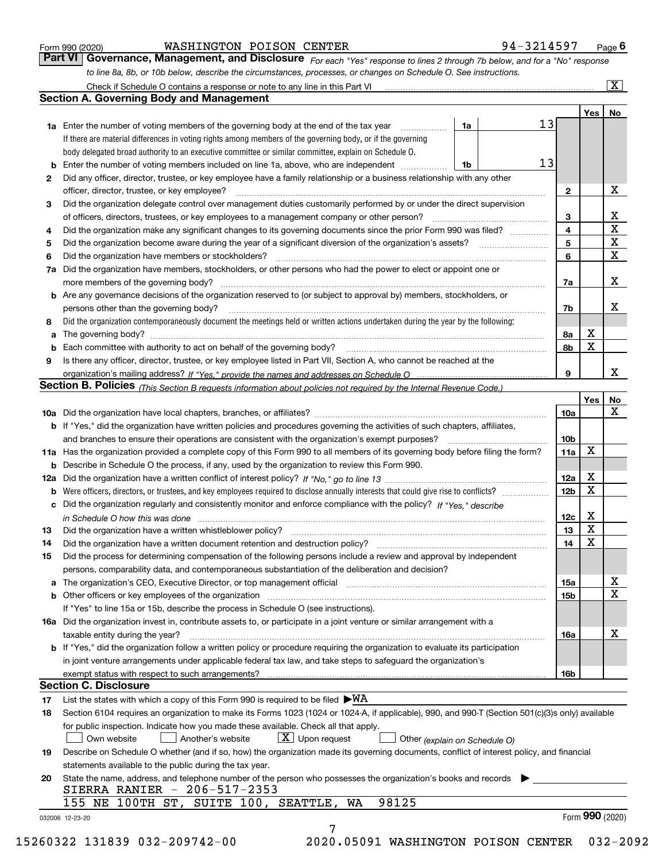|  | Form 990 (2020) |
|--|-----------------|
|  |                 |

# WASHINGTON POISON CENTER 9

| 21 |
|----|
|----|

*For each "Yes" response to lines 2 through 7b below, and for a "No" response to line 8a, 8b, or 10b below, describe the circumstances, processes, or changes on Schedule O. See instructions.* Form 990 (2020) **MASHINGTON POISON CENTER**<br>**Part VI** | Governance, Management, and Disclosure *For each "Yes" response to lines 2 through 7b below, and for a "No" response* 

|                 |                                                                                                                                                                                                                                |          |  |  |                 | Yes         | No                      |  |  |
|-----------------|--------------------------------------------------------------------------------------------------------------------------------------------------------------------------------------------------------------------------------|----------|--|--|-----------------|-------------|-------------------------|--|--|
|                 | <b>1a</b> Enter the number of voting members of the governing body at the end of the tax year                                                                                                                                  | 1a       |  |  | 13              |             |                         |  |  |
|                 | If there are material differences in voting rights among members of the governing body, or if the governing                                                                                                                    |          |  |  |                 |             |                         |  |  |
|                 | body delegated broad authority to an executive committee or similar committee, explain on Schedule O.                                                                                                                          |          |  |  |                 |             |                         |  |  |
| b               | Enter the number of voting members included on line 1a, above, who are independent <i>manumum</i>                                                                                                                              | 13<br>1b |  |  |                 |             |                         |  |  |
| 2               | Did any officer, director, trustee, or key employee have a family relationship or a business relationship with any other                                                                                                       |          |  |  |                 |             |                         |  |  |
|                 | officer, director, trustee, or key employee?                                                                                                                                                                                   |          |  |  | $\mathbf{2}$    |             | X                       |  |  |
| 3               | Did the organization delegate control over management duties customarily performed by or under the direct supervision                                                                                                          |          |  |  |                 |             |                         |  |  |
|                 |                                                                                                                                                                                                                                |          |  |  | 3               |             | $\mathbf{X}$            |  |  |
| 4               | Did the organization make any significant changes to its governing documents since the prior Form 990 was filed?                                                                                                               |          |  |  | 4               |             | $\overline{\texttt{x}}$ |  |  |
| 5               |                                                                                                                                                                                                                                |          |  |  | 5               |             | $\overline{\mathbf{x}}$ |  |  |
| 6               | Did the organization have members or stockholders?                                                                                                                                                                             |          |  |  | 6               |             | $\overline{\mathbf{x}}$ |  |  |
| 7a              | Did the organization have members, stockholders, or other persons who had the power to elect or appoint one or                                                                                                                 |          |  |  |                 |             |                         |  |  |
|                 |                                                                                                                                                                                                                                |          |  |  | 7a              |             | X                       |  |  |
|                 | <b>b</b> Are any governance decisions of the organization reserved to (or subject to approval by) members, stockholders, or                                                                                                    |          |  |  |                 |             |                         |  |  |
|                 | persons other than the governing body?                                                                                                                                                                                         |          |  |  | 7b              |             | X                       |  |  |
| 8               | Did the organization contemporaneously document the meetings held or written actions undertaken during the year by the following:                                                                                              |          |  |  |                 |             |                         |  |  |
| a               |                                                                                                                                                                                                                                |          |  |  | 8а              | X           |                         |  |  |
|                 |                                                                                                                                                                                                                                |          |  |  | 8b              | X           |                         |  |  |
| 9               | Is there any officer, director, trustee, or key employee listed in Part VII, Section A, who cannot be reached at the                                                                                                           |          |  |  |                 |             |                         |  |  |
|                 |                                                                                                                                                                                                                                |          |  |  | 9               |             | X                       |  |  |
|                 | Section B. Policies <sub>(This</sub> Section B requests information about policies not required by the Internal Revenue Code.)                                                                                                 |          |  |  |                 |             |                         |  |  |
|                 |                                                                                                                                                                                                                                |          |  |  |                 | Yes         | No                      |  |  |
|                 |                                                                                                                                                                                                                                |          |  |  | 10a             |             | X                       |  |  |
|                 | <b>b</b> If "Yes," did the organization have written policies and procedures governing the activities of such chapters, affiliates,                                                                                            |          |  |  |                 |             |                         |  |  |
|                 |                                                                                                                                                                                                                                |          |  |  | 10 <sub>b</sub> |             |                         |  |  |
|                 | 11a Has the organization provided a complete copy of this Form 990 to all members of its governing body before filing the form?                                                                                                |          |  |  | 11a             | X           |                         |  |  |
|                 | <b>b</b> Describe in Schedule O the process, if any, used by the organization to review this Form 990.                                                                                                                         |          |  |  |                 |             |                         |  |  |
|                 |                                                                                                                                                                                                                                |          |  |  | 12a             | X           |                         |  |  |
| b               |                                                                                                                                                                                                                                |          |  |  | 12 <sub>b</sub> | X           |                         |  |  |
|                 | c Did the organization regularly and consistently monitor and enforce compliance with the policy? If "Yes," describe                                                                                                           |          |  |  |                 |             |                         |  |  |
|                 | in Schedule O how this was done measured and the control of the control of the state of the control of the control of the control of the control of the control of the control of the control of the control of the control of |          |  |  | 12c             | X           |                         |  |  |
| 13              |                                                                                                                                                                                                                                |          |  |  | 13              | $\mathbf x$ |                         |  |  |
| 14              | Did the organization have a written document retention and destruction policy? manufactured and the organization have a written document retention and destruction policy?                                                     |          |  |  | 14              | X           |                         |  |  |
| 15              | Did the process for determining compensation of the following persons include a review and approval by independent                                                                                                             |          |  |  |                 |             |                         |  |  |
|                 | persons, comparability data, and contemporaneous substantiation of the deliberation and decision?                                                                                                                              |          |  |  |                 |             |                         |  |  |
|                 |                                                                                                                                                                                                                                |          |  |  | 15a             |             | X                       |  |  |
|                 |                                                                                                                                                                                                                                |          |  |  | 15b             |             | $\mathbf X$             |  |  |
|                 | If "Yes" to line 15a or 15b, describe the process in Schedule O (see instructions).                                                                                                                                            |          |  |  |                 |             |                         |  |  |
|                 | 16a Did the organization invest in, contribute assets to, or participate in a joint venture or similar arrangement with a                                                                                                      |          |  |  |                 |             |                         |  |  |
|                 | taxable entity during the year?                                                                                                                                                                                                |          |  |  | 16a             |             | X                       |  |  |
|                 | b If "Yes," did the organization follow a written policy or procedure requiring the organization to evaluate its participation                                                                                                 |          |  |  |                 |             |                         |  |  |
|                 | in joint venture arrangements under applicable federal tax law, and take steps to safeguard the organization's                                                                                                                 |          |  |  |                 |             |                         |  |  |
|                 |                                                                                                                                                                                                                                |          |  |  | 16b             |             |                         |  |  |
|                 | <b>Section C. Disclosure</b>                                                                                                                                                                                                   |          |  |  |                 |             |                         |  |  |
| 17              | List the states with which a copy of this Form 990 is required to be filed $\blacktriangleright\text{WA}$                                                                                                                      |          |  |  |                 |             |                         |  |  |
| 18              | Section 6104 requires an organization to make its Forms 1023 (1024 or 1024-A, if applicable), 990, and 990-T (Section 501(c)(3)s only) available                                                                               |          |  |  |                 |             |                         |  |  |
|                 | for public inspection. Indicate how you made these available. Check all that apply.                                                                                                                                            |          |  |  |                 |             |                         |  |  |
|                 | $X$ Upon request<br>Own website<br>Another's website<br>Other (explain on Schedule O)                                                                                                                                          |          |  |  |                 |             |                         |  |  |
| 19              | Describe on Schedule O whether (and if so, how) the organization made its governing documents, conflict of interest policy, and financial                                                                                      |          |  |  |                 |             |                         |  |  |
|                 | statements available to the public during the tax year.                                                                                                                                                                        |          |  |  |                 |             |                         |  |  |
| 20              | State the name, address, and telephone number of the person who possesses the organization's books and records                                                                                                                 |          |  |  |                 |             |                         |  |  |
|                 | SIERRA RANIER - 206-517-2353                                                                                                                                                                                                   |          |  |  |                 |             |                         |  |  |
|                 | 98125<br>155 NE 100TH ST, SUITE 100, SEATTLE, WA                                                                                                                                                                               |          |  |  |                 |             |                         |  |  |
| 032006 12-23-20 |                                                                                                                                                                                                                                |          |  |  |                 |             | Form 990 (2020)         |  |  |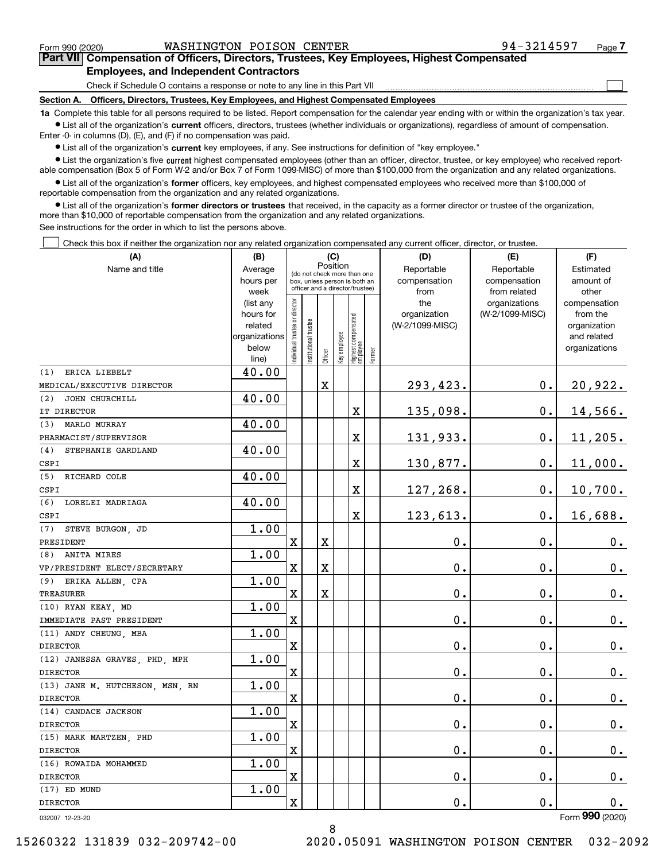$\mathcal{L}^{\text{max}}$ 

# **7Part VII Compensation of Officers, Directors, Trustees, Key Employees, Highest Compensated Employees, and Independent Contractors**

Check if Schedule O contains a response or note to any line in this Part VII

**Section A. Officers, Directors, Trustees, Key Employees, and Highest Compensated Employees**

**1a**  Complete this table for all persons required to be listed. Report compensation for the calendar year ending with or within the organization's tax year. **•** List all of the organization's current officers, directors, trustees (whether individuals or organizations), regardless of amount of compensation.

Enter -0- in columns (D), (E), and (F) if no compensation was paid.

 $\bullet$  List all of the organization's  $\,$ current key employees, if any. See instructions for definition of "key employee."

**•** List the organization's five current highest compensated employees (other than an officer, director, trustee, or key employee) who received reportable compensation (Box 5 of Form W-2 and/or Box 7 of Form 1099-MISC) of more than \$100,000 from the organization and any related organizations.

**•** List all of the organization's former officers, key employees, and highest compensated employees who received more than \$100,000 of reportable compensation from the organization and any related organizations.

**former directors or trustees**  ¥ List all of the organization's that received, in the capacity as a former director or trustee of the organization, more than \$10,000 of reportable compensation from the organization and any related organizations.

See instructions for the order in which to list the persons above.

Check this box if neither the organization nor any related organization compensated any current officer, director, or trustee.  $\mathcal{L}^{\text{max}}$ 

| (A)                             | (B)                                                                          |                                |                                                                                                 | (C)                     |              |                                  |        | (D)                                            | (E)                                              | (F)                                                                               |
|---------------------------------|------------------------------------------------------------------------------|--------------------------------|-------------------------------------------------------------------------------------------------|-------------------------|--------------|----------------------------------|--------|------------------------------------------------|--------------------------------------------------|-----------------------------------------------------------------------------------|
| Name and title                  | Average<br>hours per                                                         |                                | (do not check more than one<br>box, unless person is both an<br>officer and a director/trustee) | Position                |              |                                  |        | Reportable<br>compensation                     | Reportable<br>compensation                       | Estimated<br>amount of                                                            |
|                                 | week<br>(list any<br>hours for<br>related<br>organizations<br>below<br>line) | Individual trustee or director | Institutional trustee                                                                           | Officer                 | Key employee | Highest compensated<br> employee | Former | from<br>the<br>organization<br>(W-2/1099-MISC) | from related<br>organizations<br>(W-2/1099-MISC) | other<br>compensation<br>from the<br>organization<br>and related<br>organizations |
| ERICA LIEBELT<br>(1)            | 40.00                                                                        |                                |                                                                                                 |                         |              |                                  |        |                                                |                                                  |                                                                                   |
| MEDICAL/EXECUTIVE DIRECTOR      |                                                                              |                                |                                                                                                 | $\mathbf X$             |              |                                  |        | 293,423.                                       | $\mathbf 0$ .                                    | 20,922.                                                                           |
| JOHN CHURCHILL<br>(2)           | 40.00                                                                        |                                |                                                                                                 |                         |              |                                  |        |                                                |                                                  |                                                                                   |
| IT DIRECTOR                     |                                                                              |                                |                                                                                                 |                         |              | X                                |        | 135,098.                                       | $\mathbf 0$ .                                    | 14,566.                                                                           |
| (3)<br>MARLO MURRAY             | 40.00                                                                        |                                |                                                                                                 |                         |              |                                  |        |                                                |                                                  |                                                                                   |
| PHARMACIST/SUPERVISOR           |                                                                              |                                |                                                                                                 |                         |              | $\overline{\text{X}}$            |        | 131,933.                                       | $\mathbf 0$ .                                    | 11, 205.                                                                          |
| STEPHANIE GARDLAND<br>(4)       | 40.00                                                                        |                                |                                                                                                 |                         |              |                                  |        |                                                |                                                  |                                                                                   |
| CSPI                            |                                                                              |                                |                                                                                                 |                         |              | X                                |        | 130,877.                                       | 0.                                               | 11,000.                                                                           |
| RICHARD COLE<br>(5)             | 40.00                                                                        |                                |                                                                                                 |                         |              |                                  |        |                                                |                                                  |                                                                                   |
| CSPI                            |                                                                              |                                |                                                                                                 |                         |              | X                                |        | 127,268.                                       | $\mathbf{0}$ .                                   | 10,700.                                                                           |
| LORELEI MADRIAGA<br>(6)         | 40.00                                                                        |                                |                                                                                                 |                         |              |                                  |        |                                                |                                                  |                                                                                   |
| CSPI                            |                                                                              |                                |                                                                                                 |                         |              | X                                |        | 123,613.                                       | $\mathbf{0}$ .                                   | 16,688.                                                                           |
| STEVE BURGON, JD<br>(7)         | 1.00                                                                         |                                |                                                                                                 |                         |              |                                  |        |                                                |                                                  |                                                                                   |
| PRESIDENT                       |                                                                              | $\mathbf X$                    |                                                                                                 | $\overline{\mathbf{X}}$ |              |                                  |        | 0.                                             | $\mathbf{0}$ .                                   | $\mathbf 0$ .                                                                     |
| ANITA MIRES<br>(8)              | 1.00                                                                         |                                |                                                                                                 |                         |              |                                  |        |                                                |                                                  |                                                                                   |
| VP/PRESIDENT ELECT/SECRETARY    |                                                                              | X                              |                                                                                                 | $\mathbf X$             |              |                                  |        | 0.                                             | $\mathbf{0}$ .                                   | $\mathbf 0$ .                                                                     |
| ERIKA ALLEN, CPA<br>(9)         | 1.00                                                                         |                                |                                                                                                 |                         |              |                                  |        |                                                |                                                  |                                                                                   |
| <b>TREASURER</b>                |                                                                              | $\rm X$                        |                                                                                                 | $\mathbf X$             |              |                                  |        | 0.                                             | 0.                                               | $\mathbf 0$ .                                                                     |
| (10) RYAN KEAY, MD              | 1.00                                                                         |                                |                                                                                                 |                         |              |                                  |        |                                                |                                                  |                                                                                   |
| IMMEDIATE PAST PRESIDENT        |                                                                              | $\rm X$                        |                                                                                                 |                         |              |                                  |        | 0.                                             | $\mathbf 0$ .                                    | $0_{.}$                                                                           |
| (11) ANDY CHEUNG, MBA           | 1.00                                                                         |                                |                                                                                                 |                         |              |                                  |        |                                                |                                                  |                                                                                   |
| <b>DIRECTOR</b>                 |                                                                              | $\mathbf X$                    |                                                                                                 |                         |              |                                  |        | 0.                                             | 0.                                               | $\mathbf 0$ .                                                                     |
| (12) JANESSA GRAVES, PHD, MPH   | 1.00                                                                         |                                |                                                                                                 |                         |              |                                  |        |                                                |                                                  |                                                                                   |
| <b>DIRECTOR</b>                 |                                                                              | X                              |                                                                                                 |                         |              |                                  |        | $\mathbf 0$ .                                  | 0.                                               | $\mathbf 0$ .                                                                     |
| (13) JANE M. HUTCHESON, MSN, RN | 1.00                                                                         |                                |                                                                                                 |                         |              |                                  |        |                                                |                                                  |                                                                                   |
| <b>DIRECTOR</b>                 |                                                                              | $\mathbf x$                    |                                                                                                 |                         |              |                                  |        | 0.                                             | $\mathbf 0$ .                                    | $\mathbf 0$ .                                                                     |
| (14) CANDACE JACKSON            | 1.00                                                                         |                                |                                                                                                 |                         |              |                                  |        |                                                |                                                  |                                                                                   |
| <b>DIRECTOR</b>                 |                                                                              | $\overline{\text{X}}$          |                                                                                                 |                         |              |                                  |        | 0.                                             | 0.                                               | $\mathbf 0$ .                                                                     |
| (15) MARK MARTZEN, PHD          | 1.00                                                                         |                                |                                                                                                 |                         |              |                                  |        |                                                |                                                  |                                                                                   |
| <b>DIRECTOR</b>                 |                                                                              | $\mathbf X$                    |                                                                                                 |                         |              |                                  |        | 0.                                             | 0.                                               | $\mathbf 0$ .                                                                     |
| (16) ROWAIDA MOHAMMED           | 1.00                                                                         |                                |                                                                                                 |                         |              |                                  |        |                                                |                                                  |                                                                                   |
| <b>DIRECTOR</b>                 |                                                                              | $\mathbf X$                    |                                                                                                 |                         |              |                                  |        | 0.                                             | 0.                                               | $\mathbf 0$ .                                                                     |
| (17) ED MUND                    | 1.00                                                                         |                                |                                                                                                 |                         |              |                                  |        |                                                |                                                  |                                                                                   |
| <b>DIRECTOR</b>                 |                                                                              | X                              |                                                                                                 |                         |              |                                  |        | 0.                                             | 0.                                               | 0.                                                                                |
| 032007 12-23-20                 |                                                                              |                                |                                                                                                 |                         |              |                                  |        |                                                |                                                  | Form 990 (2020)                                                                   |

032007 12-23-20

15260322 131839 032-209742-00 2020.05091 WASHINGTON POISON CENTER 032-2092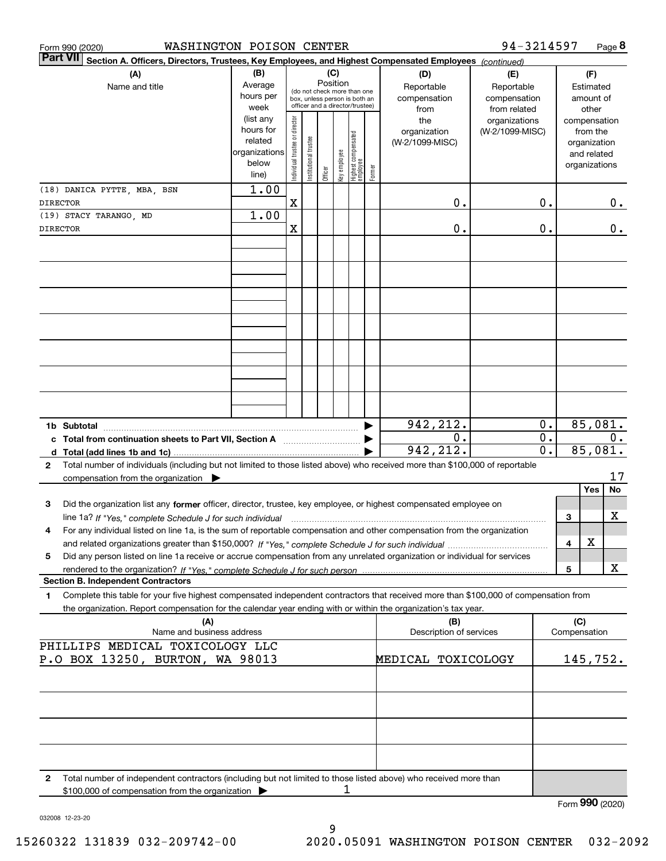| WASHINGTON POISON CENTER<br>Form 990 (2020)                                                                                                                                                                                                                       |                                                                      |                                |                       |         |                                                                                                                    |                                 |        |                                           | 94-3214597                                        |                                            |              | Page 8                                                                   |
|-------------------------------------------------------------------------------------------------------------------------------------------------------------------------------------------------------------------------------------------------------------------|----------------------------------------------------------------------|--------------------------------|-----------------------|---------|--------------------------------------------------------------------------------------------------------------------|---------------------------------|--------|-------------------------------------------|---------------------------------------------------|--------------------------------------------|--------------|--------------------------------------------------------------------------|
| <b>Part VII</b><br>Section A. Officers, Directors, Trustees, Key Employees, and Highest Compensated Employees (continued)                                                                                                                                         |                                                                      |                                |                       |         |                                                                                                                    |                                 |        |                                           |                                                   |                                            |              |                                                                          |
| (A)<br>Name and title                                                                                                                                                                                                                                             | (B)<br>Average<br>hours per<br>week                                  |                                |                       |         | (C)<br>Position<br>(do not check more than one<br>box, unless person is both an<br>officer and a director/trustee) |                                 |        | (D)<br>Reportable<br>compensation<br>from | (E)<br>Reportable<br>compensation<br>from related |                                            |              | (F)<br>Estimated<br>amount of<br>other                                   |
|                                                                                                                                                                                                                                                                   | (list any<br>hours for<br>related<br>organizations<br>below<br>line) | Individual trustee or director | Institutional trustee | Officer | key employee                                                                                                       | Highest compensated<br>employee | Former | the<br>organization<br>(W-2/1099-MISC)    | organizations<br>(W-2/1099-MISC)                  |                                            |              | compensation<br>from the<br>organization<br>and related<br>organizations |
| (18) DANICA PYTTE, MBA, BSN                                                                                                                                                                                                                                       | 1.00                                                                 | Χ                              |                       |         |                                                                                                                    |                                 |        | 0.                                        |                                                   | 0.                                         |              | 0.                                                                       |
| <b>DIRECTOR</b><br>(19) STACY TARANGO, MD                                                                                                                                                                                                                         | 1.00                                                                 |                                |                       |         |                                                                                                                    |                                 |        |                                           |                                                   |                                            |              |                                                                          |
| <b>DIRECTOR</b>                                                                                                                                                                                                                                                   |                                                                      | Χ                              |                       |         |                                                                                                                    |                                 |        | 0.                                        |                                                   | 0.                                         |              | 0.                                                                       |
|                                                                                                                                                                                                                                                                   |                                                                      |                                |                       |         |                                                                                                                    |                                 |        |                                           |                                                   |                                            |              |                                                                          |
|                                                                                                                                                                                                                                                                   |                                                                      |                                |                       |         |                                                                                                                    |                                 |        |                                           |                                                   |                                            |              |                                                                          |
|                                                                                                                                                                                                                                                                   |                                                                      |                                |                       |         |                                                                                                                    |                                 |        |                                           |                                                   |                                            |              |                                                                          |
|                                                                                                                                                                                                                                                                   |                                                                      |                                |                       |         |                                                                                                                    |                                 |        |                                           |                                                   |                                            |              |                                                                          |
| 1b Subtotal<br>c Total from continuation sheets to Part VII, Section A <b>Constanting the Continuum</b>                                                                                                                                                           |                                                                      |                                |                       |         |                                                                                                                    |                                 |        | 942,212.<br>0.<br>942,212.                |                                                   | 0.<br>$\overline{0}$ .<br>$\overline{0}$ . |              | 85,081.<br>0.<br>85,081.                                                 |
| Total number of individuals (including but not limited to those listed above) who received more than \$100,000 of reportable<br>$\mathbf{2}$                                                                                                                      |                                                                      |                                |                       |         |                                                                                                                    |                                 |        |                                           |                                                   |                                            |              | 17                                                                       |
| compensation from the organization $\blacktriangleright$                                                                                                                                                                                                          |                                                                      |                                |                       |         |                                                                                                                    |                                 |        |                                           |                                                   |                                            |              | Yes<br>No                                                                |
| Did the organization list any former officer, director, trustee, key employee, or highest compensated employee on<br>3<br>line 1a? If "Yes," complete Schedule J for such individual manufactured contained and the Yes," complete Schedule J for such individual |                                                                      |                                |                       |         |                                                                                                                    |                                 |        |                                           |                                                   |                                            | 3            | х                                                                        |
| For any individual listed on line 1a, is the sum of reportable compensation and other compensation from the organization<br>4                                                                                                                                     |                                                                      |                                |                       |         |                                                                                                                    |                                 |        |                                           |                                                   |                                            | 4            | х                                                                        |
| Did any person listed on line 1a receive or accrue compensation from any unrelated organization or individual for services<br>5                                                                                                                                   |                                                                      |                                |                       |         |                                                                                                                    |                                 |        |                                           |                                                   |                                            | 5            | X                                                                        |
| <b>Section B. Independent Contractors</b><br>Complete this table for your five highest compensated independent contractors that received more than \$100,000 of compensation from<br>1                                                                            |                                                                      |                                |                       |         |                                                                                                                    |                                 |        |                                           |                                                   |                                            |              |                                                                          |
| the organization. Report compensation for the calendar year ending with or within the organization's tax year.<br>(A)                                                                                                                                             |                                                                      |                                |                       |         |                                                                                                                    |                                 |        | (B)                                       |                                                   |                                            | (C)          |                                                                          |
| Name and business address<br>PHILLIPS MEDICAL TOXICOLOGY LLC                                                                                                                                                                                                      |                                                                      |                                |                       |         |                                                                                                                    |                                 |        | Description of services                   |                                                   |                                            | Compensation |                                                                          |
| P.O BOX 13250, BURTON, WA 98013                                                                                                                                                                                                                                   |                                                                      |                                |                       |         |                                                                                                                    |                                 |        | MEDICAL TOXICOLOGY                        |                                                   |                                            |              | 145,752.                                                                 |
|                                                                                                                                                                                                                                                                   |                                                                      |                                |                       |         |                                                                                                                    |                                 |        |                                           |                                                   |                                            |              |                                                                          |
|                                                                                                                                                                                                                                                                   |                                                                      |                                |                       |         |                                                                                                                    |                                 |        |                                           |                                                   |                                            |              |                                                                          |
| Total number of independent contractors (including but not limited to those listed above) who received more than<br>$\mathbf{2}$<br>\$100,000 of compensation from the organization                                                                               |                                                                      |                                |                       |         | ı                                                                                                                  |                                 |        |                                           |                                                   |                                            |              |                                                                          |
|                                                                                                                                                                                                                                                                   |                                                                      |                                |                       |         |                                                                                                                    |                                 |        |                                           |                                                   |                                            |              | Form 990 (2020)                                                          |

032008 12-23-20

Form **990** (2020)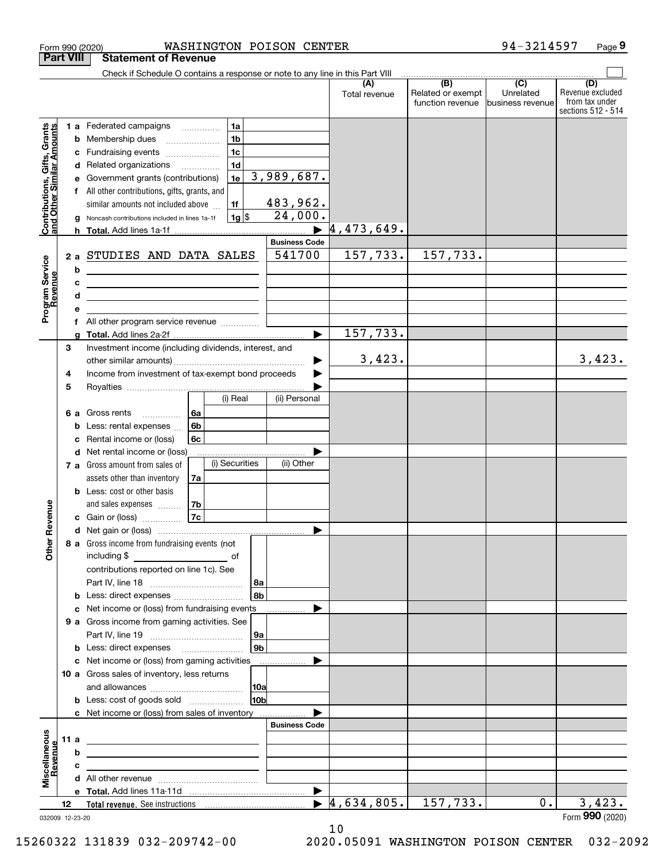|                                                                                         | Form 990 (2020)            | WASHINGTON POISON CENTER                                                                                                                                                                                                                                                                                                                                                                                                                                                                                                                                                                                                                                                                                 |                                                                                |                                  |                                                                                              | 94-3214597                    | Page 9                                                          |
|-----------------------------------------------------------------------------------------|----------------------------|----------------------------------------------------------------------------------------------------------------------------------------------------------------------------------------------------------------------------------------------------------------------------------------------------------------------------------------------------------------------------------------------------------------------------------------------------------------------------------------------------------------------------------------------------------------------------------------------------------------------------------------------------------------------------------------------------------|--------------------------------------------------------------------------------|----------------------------------|----------------------------------------------------------------------------------------------|-------------------------------|-----------------------------------------------------------------|
|                                                                                         | <b>Part VIII</b>           | <b>Statement of Revenue</b>                                                                                                                                                                                                                                                                                                                                                                                                                                                                                                                                                                                                                                                                              |                                                                                |                                  |                                                                                              |                               |                                                                 |
|                                                                                         |                            | Check if Schedule O contains a response or note to any line in this Part VIII                                                                                                                                                                                                                                                                                                                                                                                                                                                                                                                                                                                                                            |                                                                                |                                  |                                                                                              |                               |                                                                 |
|                                                                                         |                            |                                                                                                                                                                                                                                                                                                                                                                                                                                                                                                                                                                                                                                                                                                          |                                                                                | (A)<br>Total revenue             | $\overline{(\mathsf{B})}$ $\overline{(\mathsf{C})}$<br>Related or exempt<br>function revenue | Unrelated<br>business revenue | (D)<br>Revenue excluded<br>from tax under<br>sections 512 - 514 |
| Contributions, Gifts, Grants<br>and Other Similar Amounts<br>Program Service<br>Revenue | е<br>g<br>b<br>c<br>d<br>е | 1a<br>1 a Federated campaigns<br>1 <sub>b</sub><br><b>b</b> Membership dues<br>$\ldots \ldots \ldots \ldots \ldots$<br>1 <sub>c</sub><br>c Fundraising events<br>1 <sub>d</sub><br>d Related organizations<br>1e<br>Government grants (contributions)<br>f All other contributions, gifts, grants, and<br>1f<br>similar amounts not included above<br> 1g <br>Noncash contributions included in lines 1a-1f<br>2 a STUDIES AND DATA SALES<br><u> 1989 - Johann Barn, fransk politik fotograf (d. 1989)</u><br><u> 2008 - John Stein, Amerikaans en beskriuw om de gemeente van de gemeente van de gemeente van de gemeente van de</u><br><u> 1989 - Johann Barn, fransk politik amerikansk politik (</u> | 3,989,687.<br>483,962.<br>24,000.<br><b>Business Code</b><br>541700            | 4,473,649.<br>157,733.           | 157,733.                                                                                     |                               |                                                                 |
|                                                                                         | f                          | All other program service revenue <i>mimimini</i>                                                                                                                                                                                                                                                                                                                                                                                                                                                                                                                                                                                                                                                        |                                                                                |                                  |                                                                                              |                               |                                                                 |
|                                                                                         |                            |                                                                                                                                                                                                                                                                                                                                                                                                                                                                                                                                                                                                                                                                                                          | $\blacktriangleright$                                                          | 157,733.                         |                                                                                              |                               |                                                                 |
|                                                                                         | 3<br>4                     | Investment income (including dividends, interest, and<br>Income from investment of tax-exempt bond proceeds                                                                                                                                                                                                                                                                                                                                                                                                                                                                                                                                                                                              | ▶                                                                              | 3,423.                           |                                                                                              |                               | 3,423.                                                          |
| evenue<br>Other R                                                                       | 5<br>c                     | (i) Real<br>6a<br>6 a Gross rents<br>6 <sub>b</sub><br><b>b</b> Less: rental expenses<br>6c<br>Rental income or (loss)<br>d Net rental income or (loss)<br>(i) Securities<br>7 a Gross amount from sales of<br>assets other than inventory<br>7a<br><b>b</b> Less: cost or other basis<br>7b<br>and sales expenses<br>7c<br>c Gain or (loss)<br>8 a Gross income from fundraising events (not<br>contributions reported on line 1c). See<br><b>b</b> Less: direct expenses <b>constants b</b><br>c Net income or (loss) from fundraising events<br>9 a Gross income from gaming activities. See<br><b>b</b> Less: direct expenses <b>manually</b>                                                        | (ii) Personal<br>(ii) Other<br>  8a<br>8 <sub>b</sub><br> 9a<br>9 <sub>b</sub> |                                  |                                                                                              |                               |                                                                 |
|                                                                                         |                            | c Net income or (loss) from gaming activities _______________<br>10 a Gross sales of inventory, less returns                                                                                                                                                                                                                                                                                                                                                                                                                                                                                                                                                                                             | 10a <br>10 <sub>b</sub>                                                        |                                  |                                                                                              |                               |                                                                 |
|                                                                                         |                            | c Net income or (loss) from sales of inventory                                                                                                                                                                                                                                                                                                                                                                                                                                                                                                                                                                                                                                                           |                                                                                |                                  |                                                                                              |                               |                                                                 |
| Miscellaneous<br>evenue                                                                 | 11 a<br>b<br>c             | <u> 1989 - John Harry Harry Harry Harry Harry Harry Harry Harry Harry Harry Harry Harry Harry Harry Harry Harry</u><br>the control of the control of the control of the control of the control of                                                                                                                                                                                                                                                                                                                                                                                                                                                                                                        | <b>Business Code</b>                                                           |                                  |                                                                                              |                               |                                                                 |
|                                                                                         |                            |                                                                                                                                                                                                                                                                                                                                                                                                                                                                                                                                                                                                                                                                                                          | $\blacktriangleright$                                                          |                                  |                                                                                              |                               |                                                                 |
|                                                                                         | 12                         |                                                                                                                                                                                                                                                                                                                                                                                                                                                                                                                                                                                                                                                                                                          |                                                                                | $\blacktriangleright$ 4,634,805. | 157,733.                                                                                     | 0.                            | 3,423.                                                          |
|                                                                                         | 032009 12-23-20            |                                                                                                                                                                                                                                                                                                                                                                                                                                                                                                                                                                                                                                                                                                          |                                                                                |                                  |                                                                                              |                               | Form 990 (2020)                                                 |

10

032009 12-23-20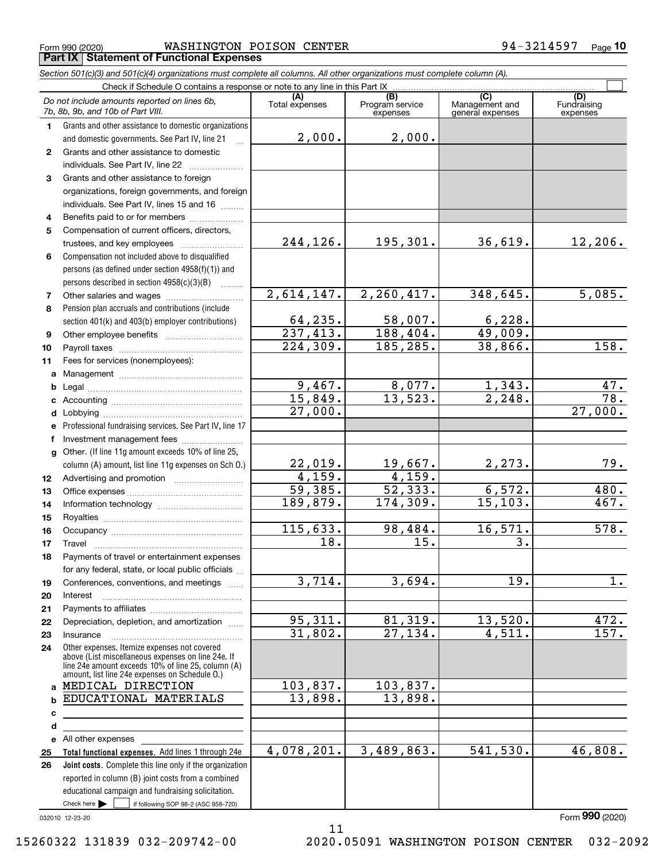Form 990 (2020) WASHINGTON POISON CENTER 94-3214597 <sub>Page</sub> **Part IX Statement of Functional Expenses**

|    | Section 501(c)(3) and 501(c)(4) organizations must complete all columns. All other organizations must complete column (A).                                                                                 |                       |                             |                                    |                         |
|----|------------------------------------------------------------------------------------------------------------------------------------------------------------------------------------------------------------|-----------------------|-----------------------------|------------------------------------|-------------------------|
|    | Check if Schedule O contains a response or note to any line in this Part IX                                                                                                                                | (A)                   | (B)                         | (C)                                | (D)                     |
|    | Do not include amounts reported on lines 6b,<br>7b, 8b, 9b, and 10b of Part VIII.                                                                                                                          | Total expenses        | Program service<br>expenses | Management and<br>general expenses | Fundraising<br>expenses |
| 1. | Grants and other assistance to domestic organizations                                                                                                                                                      |                       |                             |                                    |                         |
|    | and domestic governments. See Part IV, line 21                                                                                                                                                             | 2,000.                | 2,000.                      |                                    |                         |
| 2  | Grants and other assistance to domestic                                                                                                                                                                    |                       |                             |                                    |                         |
|    | individuals. See Part IV, line 22                                                                                                                                                                          |                       |                             |                                    |                         |
| 3  | Grants and other assistance to foreign                                                                                                                                                                     |                       |                             |                                    |                         |
|    | organizations, foreign governments, and foreign                                                                                                                                                            |                       |                             |                                    |                         |
|    | individuals. See Part IV, lines 15 and 16                                                                                                                                                                  |                       |                             |                                    |                         |
| 4  | Benefits paid to or for members                                                                                                                                                                            |                       |                             |                                    |                         |
| 5  | Compensation of current officers, directors,                                                                                                                                                               |                       |                             |                                    |                         |
|    | trustees, and key employees                                                                                                                                                                                | 244,126.              | 195,301.                    | 36,619.                            | 12,206.                 |
| 6  | Compensation not included above to disqualified                                                                                                                                                            |                       |                             |                                    |                         |
|    | persons (as defined under section 4958(f)(1)) and                                                                                                                                                          |                       |                             |                                    |                         |
|    | persons described in section $4958(c)(3)(B)$<br>$\overline{\phantom{a}}$                                                                                                                                   |                       |                             |                                    |                         |
| 7  | Other salaries and wages                                                                                                                                                                                   | 2,614,147.            | 2, 260, 417.                | 348,645.                           | 5,085.                  |
| 8  | Pension plan accruals and contributions (include                                                                                                                                                           |                       |                             |                                    |                         |
|    | section 401(k) and 403(b) employer contributions)                                                                                                                                                          | 64, 235.              | 58,007.                     | 6,228.                             |                         |
| 9  |                                                                                                                                                                                                            | $\overline{237,413.}$ | 188, 404.                   | 49,009.                            |                         |
| 10 |                                                                                                                                                                                                            | 224, 309.             | 185,285.                    | 38,866.                            | 158.                    |
| 11 | Fees for services (nonemployees):                                                                                                                                                                          |                       |                             |                                    |                         |
| a  |                                                                                                                                                                                                            |                       |                             |                                    |                         |
| b  |                                                                                                                                                                                                            | 9,467.                | 8,077.                      | 1,343.                             | 47.                     |
| c  |                                                                                                                                                                                                            | 15,849.               | 13,523.                     | $\overline{2,248}$ .               | $\overline{78.}$        |
| d  |                                                                                                                                                                                                            | 27,000.               |                             |                                    | 27,000.                 |
| е  | Professional fundraising services. See Part IV, line 17                                                                                                                                                    |                       |                             |                                    |                         |
| f  | Investment management fees                                                                                                                                                                                 |                       |                             |                                    |                         |
|    | g Other. (If line 11g amount exceeds 10% of line 25,                                                                                                                                                       |                       |                             |                                    |                         |
|    | column (A) amount, list line 11g expenses on Sch 0.)                                                                                                                                                       | 22,019.               | 19,667.                     | 2,273.                             | 79.                     |
| 12 |                                                                                                                                                                                                            | 4,159.                | 4,159.                      |                                    |                         |
| 13 |                                                                                                                                                                                                            | 59,385.               | $\overline{52,333}$ .       | 6,572.                             | 480.                    |
| 14 |                                                                                                                                                                                                            | 189,879.              | 174,309.                    | 15, 103.                           | 467.                    |
| 15 |                                                                                                                                                                                                            |                       |                             |                                    |                         |
| 16 |                                                                                                                                                                                                            | 115,633.              | 98,484.                     | 16,571.                            | 578.                    |
| 17 |                                                                                                                                                                                                            | 18.                   | 15.                         | $\overline{3}$ .                   |                         |
| 18 | Payments of travel or entertainment expenses                                                                                                                                                               |                       |                             |                                    |                         |
|    | for any federal, state, or local public officials                                                                                                                                                          |                       |                             |                                    |                         |
| 19 | Conferences, conventions, and meetings                                                                                                                                                                     | 3,714.                | 3,694.                      | 19.                                | $1$ .                   |
| 20 | Interest                                                                                                                                                                                                   |                       |                             |                                    |                         |
| 21 |                                                                                                                                                                                                            |                       |                             |                                    |                         |
| 22 | Depreciation, depletion, and amortization                                                                                                                                                                  | 95,311.               | 81,319.                     | 13,520.                            | 472.                    |
| 23 | Insurance                                                                                                                                                                                                  | 31,802.               | 27, 134.                    | 4,511.                             | 157.                    |
| 24 | Other expenses. Itemize expenses not covered<br>above (List miscellaneous expenses on line 24e. If<br>line 24e amount exceeds 10% of line 25, column (A)<br>amount, list line 24e expenses on Schedule O.) |                       |                             |                                    |                         |
|    | a MEDICAL DIRECTION                                                                                                                                                                                        | 103,837.              | 103,837.                    |                                    |                         |
| b  | EDUCATIONAL MATERIALS                                                                                                                                                                                      | 13,898.               | 13,898.                     |                                    |                         |
| с  |                                                                                                                                                                                                            |                       |                             |                                    |                         |
| d  |                                                                                                                                                                                                            |                       |                             |                                    |                         |
|    | e All other expenses                                                                                                                                                                                       |                       |                             |                                    |                         |
| 25 | Total functional expenses. Add lines 1 through 24e                                                                                                                                                         | 4,078,201.            | 3,489,863.                  | 541, 530.                          | 46,808.                 |
| 26 | Joint costs. Complete this line only if the organization                                                                                                                                                   |                       |                             |                                    |                         |
|    | reported in column (B) joint costs from a combined                                                                                                                                                         |                       |                             |                                    |                         |
|    | educational campaign and fundraising solicitation.                                                                                                                                                         |                       |                             |                                    |                         |
|    | Check here $\blacktriangleright$<br>if following SOP 98-2 (ASC 958-720)                                                                                                                                    |                       |                             |                                    |                         |

11

032010 12-23-20

Form (2020) **990**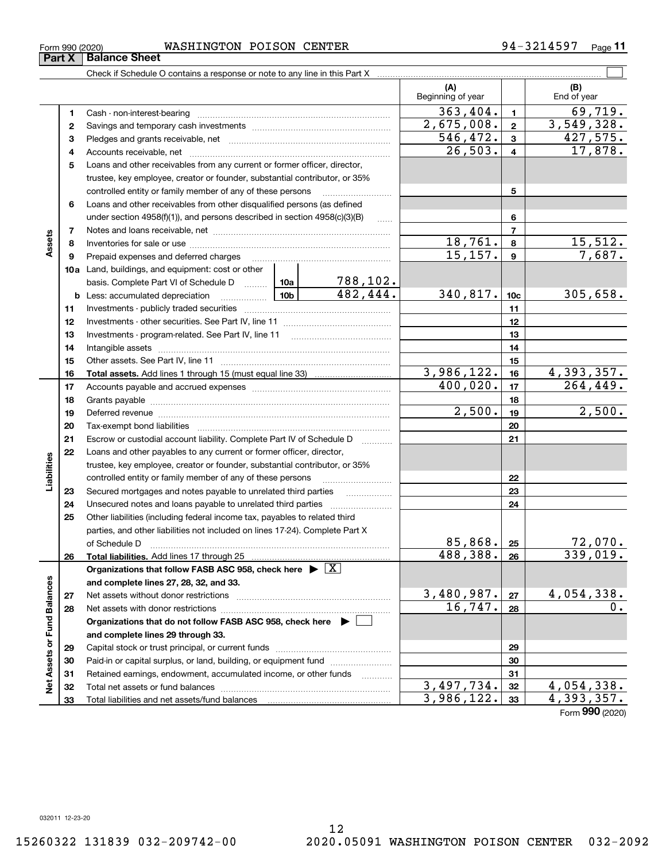Form (2020) **990**

|                      |    | <b>b</b> Less: accumulated depreciation <i></i>                                                                                                                                                                                | $\boxed{10b}$ | 482,444. |    | 340,817.   | 10 <sub>c</sub> | 305,658.                      |
|----------------------|----|--------------------------------------------------------------------------------------------------------------------------------------------------------------------------------------------------------------------------------|---------------|----------|----|------------|-----------------|-------------------------------|
|                      | 11 |                                                                                                                                                                                                                                |               |          | 11 |            |                 |                               |
|                      | 12 |                                                                                                                                                                                                                                |               |          |    |            | 12              |                               |
|                      | 13 |                                                                                                                                                                                                                                |               |          |    |            | 13              |                               |
|                      | 14 |                                                                                                                                                                                                                                |               |          |    |            | 14              |                               |
|                      | 15 |                                                                                                                                                                                                                                |               |          |    |            | 15              |                               |
|                      | 16 |                                                                                                                                                                                                                                |               |          |    | 3,986,122. | 16              | $\frac{4,393,357.}{264,449.}$ |
|                      | 17 |                                                                                                                                                                                                                                |               |          |    | 400,020.   | 17              |                               |
|                      | 18 |                                                                                                                                                                                                                                |               |          |    |            | 18              |                               |
|                      | 19 | Deferred revenue manual contracts and contracts are all the manual contracts and contracts are contracted and contracts are contracted and contract are contracted and contract are contracted and contract are contracted and |               |          |    | 2,500.     | 19              | 2,500.                        |
|                      | 20 |                                                                                                                                                                                                                                |               |          |    |            | 20              |                               |
|                      | 21 | Escrow or custodial account liability. Complete Part IV of Schedule D                                                                                                                                                          |               |          |    |            | 21              |                               |
|                      | 22 | Loans and other payables to any current or former officer, director,                                                                                                                                                           |               |          |    |            |                 |                               |
|                      |    | trustee, key employee, creator or founder, substantial contributor, or 35%                                                                                                                                                     |               |          |    |            |                 |                               |
| Liabilities          |    | controlled entity or family member of any of these persons                                                                                                                                                                     |               |          |    |            | 22              |                               |
|                      | 23 | Secured mortgages and notes payable to unrelated third parties                                                                                                                                                                 |               |          |    |            | 23              |                               |
|                      | 24 | Unsecured notes and loans payable to unrelated third parties                                                                                                                                                                   |               |          | 24 |            |                 |                               |
|                      | 25 | Other liabilities (including federal income tax, payables to related third                                                                                                                                                     |               |          |    |            |                 |                               |
|                      |    | parties, and other liabilities not included on lines 17-24). Complete Part X                                                                                                                                                   |               |          |    |            |                 |                               |
|                      |    | of Schedule D                                                                                                                                                                                                                  |               |          |    | 85,868.    | 25              | $\frac{72,070}{339,019}$ .    |
|                      | 26 |                                                                                                                                                                                                                                |               |          |    | 488,388.   | 26              |                               |
|                      |    | Organizations that follow FASB ASC 958, check here $\blacktriangleright \boxed{X}$                                                                                                                                             |               |          |    |            |                 |                               |
|                      |    | and complete lines 27, 28, 32, and 33.                                                                                                                                                                                         |               |          |    |            |                 |                               |
|                      | 27 |                                                                                                                                                                                                                                |               |          |    | 3,480,987. | 27              | <u>4,054,338.</u>             |
| <b>Fund Balances</b> | 28 |                                                                                                                                                                                                                                |               |          |    | 16,747.    | 28              | 0.                            |
|                      |    | Organizations that do not follow FASB ASC 958, check here ▶ □                                                                                                                                                                  |               |          |    |            |                 |                               |
|                      |    | and complete lines 29 through 33.                                                                                                                                                                                              |               |          |    |            |                 |                               |
| ৯                    | 29 |                                                                                                                                                                                                                                |               |          |    |            | 29              |                               |
|                      | 30 | Paid-in or capital surplus, or land, building, or equipment fund                                                                                                                                                               |               |          |    |            | 30              |                               |
| <b>Net Assets</b>    | 31 | Retained earnings, endowment, accumulated income, or other funds                                                                                                                                                               |               |          |    |            | 31              |                               |
|                      | 32 |                                                                                                                                                                                                                                |               |          |    | 3,497,734. | 32              | 4,054,338.                    |
|                      | 33 | Total liabilities and net assets/fund balances <b>manually contained</b> in the liabilities and net assets/fund balances                                                                                                       |               |          |    | 3,986,122. | 33              | 4,393,357.                    |

788,102.

Form 990 (2020) WASHINGTON POISON CENTER 94-3214597 <sub>Page</sub>

**1**Cash - non-interest-bearing ~~~~~~~~~~~~~~~~~~~~~~~~~

Savings and temporary cash investments ~~~~~~~~~~~~~~~~~~

Check if Schedule O contains a response or note to any line in this Part X

**3** Pledges and grants receivable, net  $\ldots$  **multimes contained and grants receivable**, net **multimes contained and grants receivable**, net **multimes contained and grants receivable 4**Accounts receivable, net ~~~~~~~~~~~~~~~~~~~~~~~~~~ **5**Loans and other receivables from any current or former officer, director,

trustee, key employee, creator or founder, substantial contributor, or 35% controlled entity or family member of any of these persons ~~~~~~~~~

**9** Prepaid expenses and deferred charges **with the construction of Prepaid** expenses

under section 4958(f)(1)), and persons described in section 4958(c)(3)(B) Notes and loans receivable, net ~~~~~~~~~~~~~~~~~~~~~~~ Inventories for sale or use ~~~~~~~~~~~~~~~~~~~~~~~~~~

**6**Loans and other receivables from other disqualified persons (as defined

**10a**Land, buildings, and equipment: cost or other

basis. Complete Part VI of Schedule D will aller

**11**

 $\mathcal{L}^{\text{max}}$ 

**(A) (B)**

Beginning of year | | End of year

 $363,404.$  1 69,719.

 $2,675,008.$   $2 \mid 3,549,328.$ 

 $26,503. 4$  17,878.  $\overline{546, 472.}$   $\overline{3}$   $\overline{427, 575.}$ 

 $18,761. | 8 | 15,512.$ 15,157. 7,687.

**5**

**Part X** | Balance Sheet

**2**

**78**

**Assets**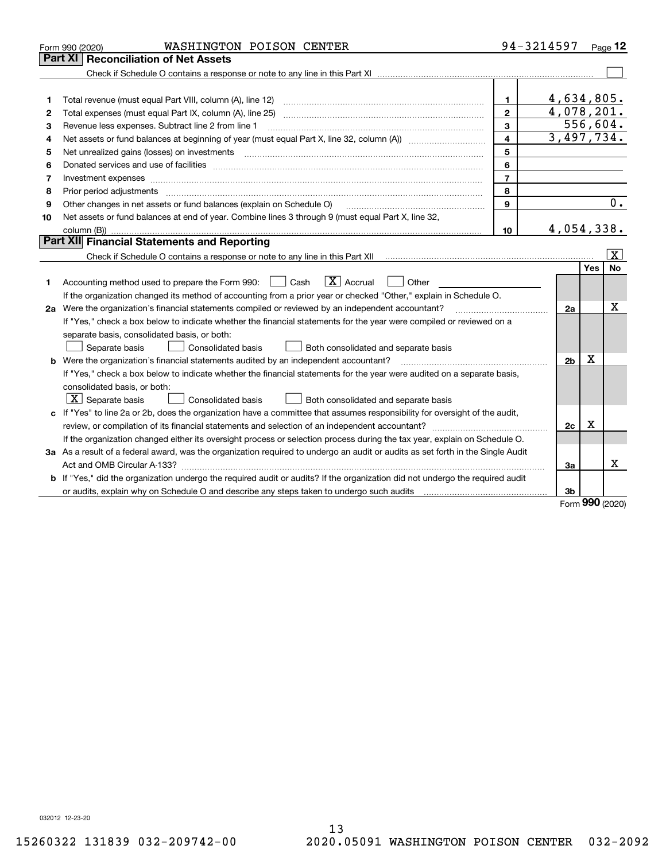|    | WASHINGTON POISON CENTER<br>Form 990 (2020)                                                                                          |                | 94-3214597     |          | Page $12$          |
|----|--------------------------------------------------------------------------------------------------------------------------------------|----------------|----------------|----------|--------------------|
|    | Part XI<br><b>Reconciliation of Net Assets</b>                                                                                       |                |                |          |                    |
|    |                                                                                                                                      |                |                |          |                    |
|    |                                                                                                                                      |                |                |          |                    |
| 1  |                                                                                                                                      | $\mathbf 1$    | 4,634,805.     |          |                    |
| 2  | Total expenses (must equal Part IX, column (A), line 25)                                                                             | $\mathbf{2}$   | 4,078,201.     |          |                    |
| 3  | Revenue less expenses. Subtract line 2 from line 1                                                                                   | 3              |                | 556,604. |                    |
| 4  | Net assets or fund balances at beginning of year (must equal Part X, line 32, column (A)) <i></i>                                    | 4              | 3,497,734.     |          |                    |
| 5  | Net unrealized gains (losses) on investments                                                                                         | 5              |                |          |                    |
| 6  |                                                                                                                                      | 6              |                |          |                    |
| 7  | Investment expenses                                                                                                                  | $\overline{7}$ |                |          |                    |
| 8  |                                                                                                                                      | 8              |                |          |                    |
| 9  | Other changes in net assets or fund balances (explain on Schedule O)                                                                 | 9              |                |          | 0.                 |
| 10 | Net assets or fund balances at end of year. Combine lines 3 through 9 (must equal Part X, line 32,                                   |                |                |          |                    |
|    |                                                                                                                                      | 10             | 4,054,338.     |          |                    |
|    | Part XII Financial Statements and Reporting                                                                                          |                |                |          |                    |
|    |                                                                                                                                      |                |                |          | $\boxed{\text{X}}$ |
|    |                                                                                                                                      |                |                | Yes      | No                 |
| 1  | $\boxed{\mathbf{X}}$ Accrual<br>Accounting method used to prepare the Form 990: <u>[</u> Cash<br>Other                               |                |                |          |                    |
|    | If the organization changed its method of accounting from a prior year or checked "Other," explain in Schedule O.                    |                |                |          |                    |
|    | 2a Were the organization's financial statements compiled or reviewed by an independent accountant?                                   |                | 2a             |          | х                  |
|    | If "Yes," check a box below to indicate whether the financial statements for the year were compiled or reviewed on a                 |                |                |          |                    |
|    | separate basis, consolidated basis, or both:                                                                                         |                |                |          |                    |
|    | Both consolidated and separate basis<br>Separate basis<br><b>Consolidated basis</b>                                                  |                |                |          |                    |
|    | <b>b</b> Were the organization's financial statements audited by an independent accountant?                                          |                | 2 <sub>b</sub> | Χ        |                    |
|    | If "Yes," check a box below to indicate whether the financial statements for the year were audited on a separate basis,              |                |                |          |                    |
|    | consolidated basis, or both:                                                                                                         |                |                |          |                    |
|    | $ \mathbf{X} $ Separate basis<br><b>Consolidated basis</b><br>Both consolidated and separate basis                                   |                |                |          |                    |
|    | c If "Yes" to line 2a or 2b, does the organization have a committee that assumes responsibility for oversight of the audit,          |                |                |          |                    |
|    |                                                                                                                                      |                | 2c             | x        |                    |
|    | If the organization changed either its oversight process or selection process during the tax year, explain on Schedule O.            |                |                |          |                    |
|    | 3a As a result of a federal award, was the organization required to undergo an audit or audits as set forth in the Single Audit      |                |                |          |                    |
|    |                                                                                                                                      |                | 3a             |          | x                  |
|    | <b>b</b> If "Yes," did the organization undergo the required audit or audits? If the organization did not undergo the required audit |                |                |          |                    |
|    |                                                                                                                                      |                | 3b             | no o     |                    |

Form (2020) **990**

032012 12-23-20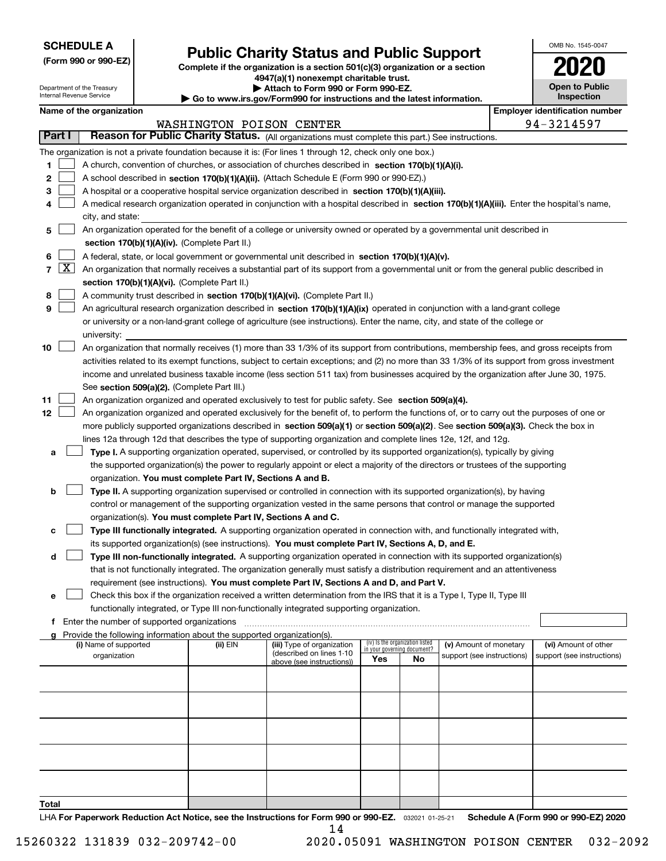| <b>SCHEDULE A</b> |
|-------------------|
|-------------------|

Department of the Treasury Internal Revenue Service

**(Form 990 or 990-EZ)**

# **Public Charity Status and Public Support**

**Complete if the organization is a section 501(c)(3) organization or a section 4947(a)(1) nonexempt charitable trust. | Attach to Form 990 or Form 990-EZ.** 

| ▶ Go to www.irs.gov/Form990 for instructions and the latest information. |
|--------------------------------------------------------------------------|

| OMB No 1545-0047                    |
|-------------------------------------|
|                                     |
| <b>Open to Public</b><br>Inspection |

| Name of the organization |  |
|--------------------------|--|
|--------------------------|--|

| loyer identification numbe |              |  |  |
|----------------------------|--------------|--|--|
|                            | . <i>. .</i> |  |  |

| Name of the organization                                                                                                                                                           | <b>Employer identification number</b> |  |  |  |  |  |  |  |  |
|------------------------------------------------------------------------------------------------------------------------------------------------------------------------------------|---------------------------------------|--|--|--|--|--|--|--|--|
| WASHINGTON POISON CENTER                                                                                                                                                           | 94-3214597                            |  |  |  |  |  |  |  |  |
| Part I<br>Reason for Public Charity Status. (All organizations must complete this part.) See instructions.                                                                         |                                       |  |  |  |  |  |  |  |  |
| The organization is not a private foundation because it is: (For lines 1 through 12, check only one box.)                                                                          |                                       |  |  |  |  |  |  |  |  |
| 1<br>A church, convention of churches, or association of churches described in section 170(b)(1)(A)(i).                                                                            |                                       |  |  |  |  |  |  |  |  |
| 2<br>A school described in section 170(b)(1)(A)(ii). (Attach Schedule E (Form 990 or 990-EZ).)                                                                                     |                                       |  |  |  |  |  |  |  |  |
| 3<br>A hospital or a cooperative hospital service organization described in section 170(b)(1)(A)(iii).                                                                             |                                       |  |  |  |  |  |  |  |  |
| A medical research organization operated in conjunction with a hospital described in section 170(b)(1)(A)(iii). Enter the hospital's name,                                         |                                       |  |  |  |  |  |  |  |  |
| city, and state:                                                                                                                                                                   |                                       |  |  |  |  |  |  |  |  |
| An organization operated for the benefit of a college or university owned or operated by a governmental unit described in<br>5                                                     |                                       |  |  |  |  |  |  |  |  |
| section 170(b)(1)(A)(iv). (Complete Part II.)                                                                                                                                      |                                       |  |  |  |  |  |  |  |  |
| 6<br>A federal, state, or local government or governmental unit described in section 170(b)(1)(A)(v).                                                                              |                                       |  |  |  |  |  |  |  |  |
| $\lfloor x \rfloor$<br>$\overline{7}$<br>An organization that normally receives a substantial part of its support from a governmental unit or from the general public described in |                                       |  |  |  |  |  |  |  |  |
| section 170(b)(1)(A)(vi). (Complete Part II.)                                                                                                                                      |                                       |  |  |  |  |  |  |  |  |
| 8<br>A community trust described in section 170(b)(1)(A)(vi). (Complete Part II.)                                                                                                  |                                       |  |  |  |  |  |  |  |  |
| 9<br>An agricultural research organization described in section 170(b)(1)(A)(ix) operated in conjunction with a land-grant college                                                 |                                       |  |  |  |  |  |  |  |  |
| or university or a non-land-grant college of agriculture (see instructions). Enter the name, city, and state of the college or                                                     |                                       |  |  |  |  |  |  |  |  |
| university:                                                                                                                                                                        |                                       |  |  |  |  |  |  |  |  |
| 10<br>An organization that normally receives (1) more than 33 1/3% of its support from contributions, membership fees, and gross receipts from                                     |                                       |  |  |  |  |  |  |  |  |
| activities related to its exempt functions, subject to certain exceptions; and (2) no more than 33 1/3% of its support from gross investment                                       |                                       |  |  |  |  |  |  |  |  |
| income and unrelated business taxable income (less section 511 tax) from businesses acquired by the organization after June 30, 1975.                                              |                                       |  |  |  |  |  |  |  |  |
| See section 509(a)(2). (Complete Part III.)                                                                                                                                        |                                       |  |  |  |  |  |  |  |  |
| 11<br>An organization organized and operated exclusively to test for public safety. See section 509(a)(4).                                                                         |                                       |  |  |  |  |  |  |  |  |
| 12<br>An organization organized and operated exclusively for the benefit of, to perform the functions of, or to carry out the purposes of one or                                   |                                       |  |  |  |  |  |  |  |  |
| more publicly supported organizations described in section 509(a)(1) or section 509(a)(2). See section 509(a)(3). Check the box in                                                 |                                       |  |  |  |  |  |  |  |  |
| lines 12a through 12d that describes the type of supporting organization and complete lines 12e, 12f, and 12g.                                                                     |                                       |  |  |  |  |  |  |  |  |
| Type I. A supporting organization operated, supervised, or controlled by its supported organization(s), typically by giving<br>a                                                   |                                       |  |  |  |  |  |  |  |  |
| the supported organization(s) the power to regularly appoint or elect a majority of the directors or trustees of the supporting                                                    |                                       |  |  |  |  |  |  |  |  |
| organization. You must complete Part IV, Sections A and B.                                                                                                                         |                                       |  |  |  |  |  |  |  |  |
| Type II. A supporting organization supervised or controlled in connection with its supported organization(s), by having<br>b                                                       |                                       |  |  |  |  |  |  |  |  |
| control or management of the supporting organization vested in the same persons that control or manage the supported                                                               |                                       |  |  |  |  |  |  |  |  |
| organization(s). You must complete Part IV, Sections A and C.                                                                                                                      |                                       |  |  |  |  |  |  |  |  |
| Type III functionally integrated. A supporting organization operated in connection with, and functionally integrated with,<br>c                                                    |                                       |  |  |  |  |  |  |  |  |
| its supported organization(s) (see instructions). You must complete Part IV, Sections A, D, and E.                                                                                 |                                       |  |  |  |  |  |  |  |  |
| Type III non-functionally integrated. A supporting organization operated in connection with its supported organization(s)<br>d                                                     |                                       |  |  |  |  |  |  |  |  |
| that is not functionally integrated. The organization generally must satisfy a distribution requirement and an attentiveness                                                       |                                       |  |  |  |  |  |  |  |  |
| requirement (see instructions). You must complete Part IV, Sections A and D, and Part V.                                                                                           |                                       |  |  |  |  |  |  |  |  |
| Check this box if the organization received a written determination from the IRS that it is a Type I, Type II, Type III                                                            |                                       |  |  |  |  |  |  |  |  |
| functionally integrated, or Type III non-functionally integrated supporting organization.                                                                                          |                                       |  |  |  |  |  |  |  |  |
| f Enter the number of supported organizations                                                                                                                                      |                                       |  |  |  |  |  |  |  |  |
| g Provide the following information about the supported organization(s).                                                                                                           |                                       |  |  |  |  |  |  |  |  |
| (iv) Is the organization listed<br>(i) Name of supported<br>(ii) EIN<br>(iii) Type of organization<br>(v) Amount of monetary<br>in your governing document?                        | (vi) Amount of other                  |  |  |  |  |  |  |  |  |
| (described on lines 1-10<br>organization<br>support (see instructions)<br>Yes<br>No<br>above (see instructions))                                                                   | support (see instructions)            |  |  |  |  |  |  |  |  |
|                                                                                                                                                                                    |                                       |  |  |  |  |  |  |  |  |
|                                                                                                                                                                                    |                                       |  |  |  |  |  |  |  |  |
|                                                                                                                                                                                    |                                       |  |  |  |  |  |  |  |  |
|                                                                                                                                                                                    |                                       |  |  |  |  |  |  |  |  |
|                                                                                                                                                                                    |                                       |  |  |  |  |  |  |  |  |
|                                                                                                                                                                                    |                                       |  |  |  |  |  |  |  |  |
|                                                                                                                                                                                    |                                       |  |  |  |  |  |  |  |  |
|                                                                                                                                                                                    |                                       |  |  |  |  |  |  |  |  |
|                                                                                                                                                                                    |                                       |  |  |  |  |  |  |  |  |
|                                                                                                                                                                                    |                                       |  |  |  |  |  |  |  |  |
|                                                                                                                                                                                    |                                       |  |  |  |  |  |  |  |  |

**Total**

LHA For Paperwork Reduction Act Notice, see the Instructions for Form 990 or 990-EZ. <sub>032021</sub> o1-25-21 Schedule A (Form 990 or 990-EZ) 2020 14

15260322 131839 032-209742-00 2020.05091 WASHINGTON POISON CENTER 032-2092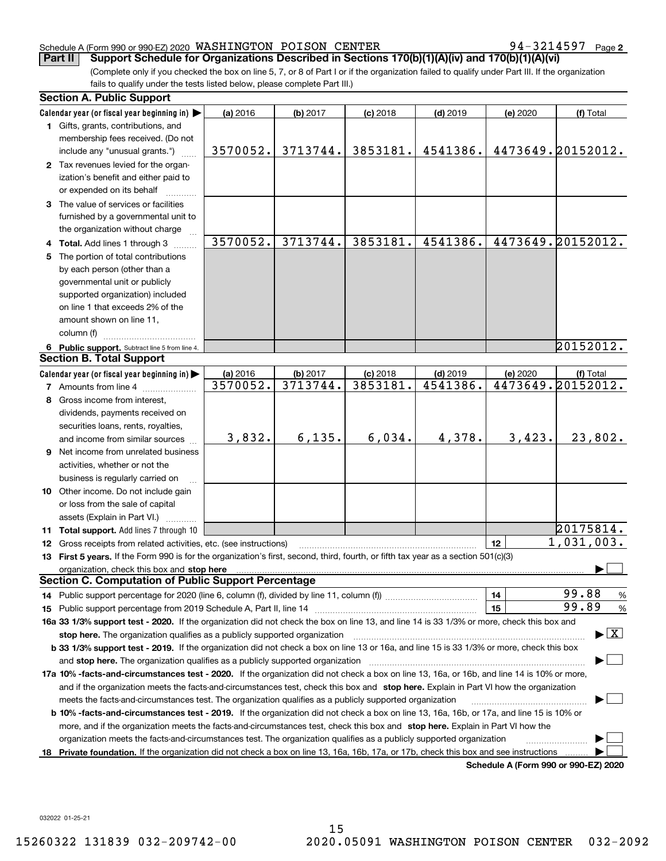#### Schedule A (Form 990 or 990-EZ) 2020 Page WASHINGTON POISON CENTER 94-3214597

94-3214597 Page 2

(Complete only if you checked the box on line 5, 7, or 8 of Part I or if the organization failed to qualify under Part III. If the organization fails to qualify under the tests listed below, please complete Part III.) **Part II** Support Schedule for Organizations Described in Sections 170(b)(1)(A)(iv) and 170(b)(1)(A)(vi)

| <b>Section A. Public Support</b>                                                                                                                                                                                               |          |          |            |            |          |                                         |
|--------------------------------------------------------------------------------------------------------------------------------------------------------------------------------------------------------------------------------|----------|----------|------------|------------|----------|-----------------------------------------|
| Calendar year (or fiscal year beginning in)                                                                                                                                                                                    | (a) 2016 | (b) 2017 | $(c)$ 2018 | $(d)$ 2019 | (e) 2020 | (f) Total                               |
| 1 Gifts, grants, contributions, and                                                                                                                                                                                            |          |          |            |            |          |                                         |
| membership fees received. (Do not                                                                                                                                                                                              |          |          |            |            |          |                                         |
| include any "unusual grants.")                                                                                                                                                                                                 | 3570052. | 3713744. | 3853181.   | 4541386.   |          | 4473649.20152012.                       |
| 2 Tax revenues levied for the organ-                                                                                                                                                                                           |          |          |            |            |          |                                         |
| ization's benefit and either paid to                                                                                                                                                                                           |          |          |            |            |          |                                         |
| or expended on its behalf                                                                                                                                                                                                      |          |          |            |            |          |                                         |
| 3 The value of services or facilities                                                                                                                                                                                          |          |          |            |            |          |                                         |
| furnished by a governmental unit to                                                                                                                                                                                            |          |          |            |            |          |                                         |
| the organization without charge                                                                                                                                                                                                |          |          |            |            |          |                                         |
| 4 Total. Add lines 1 through 3                                                                                                                                                                                                 | 3570052. | 3713744. | 3853181.   | 4541386.   |          | 4473649.20152012.                       |
| 5 The portion of total contributions                                                                                                                                                                                           |          |          |            |            |          |                                         |
| by each person (other than a                                                                                                                                                                                                   |          |          |            |            |          |                                         |
| governmental unit or publicly                                                                                                                                                                                                  |          |          |            |            |          |                                         |
| supported organization) included                                                                                                                                                                                               |          |          |            |            |          |                                         |
| on line 1 that exceeds 2% of the                                                                                                                                                                                               |          |          |            |            |          |                                         |
| amount shown on line 11,                                                                                                                                                                                                       |          |          |            |            |          |                                         |
| column (f)                                                                                                                                                                                                                     |          |          |            |            |          |                                         |
| 6 Public support. Subtract line 5 from line 4.                                                                                                                                                                                 |          |          |            |            |          | 20152012.                               |
| <b>Section B. Total Support</b>                                                                                                                                                                                                |          |          |            |            |          |                                         |
| Calendar year (or fiscal year beginning in)                                                                                                                                                                                    | (a) 2016 | (b) 2017 | $(c)$ 2018 | $(d)$ 2019 | (e) 2020 | (f) Total                               |
| <b>7</b> Amounts from line 4                                                                                                                                                                                                   | 3570052. | 3713744. | 3853181.   | 4541386.   |          | 4473649.20152012.                       |
| 8 Gross income from interest,                                                                                                                                                                                                  |          |          |            |            |          |                                         |
| dividends, payments received on                                                                                                                                                                                                |          |          |            |            |          |                                         |
| securities loans, rents, royalties,                                                                                                                                                                                            |          |          |            |            |          |                                         |
| and income from similar sources                                                                                                                                                                                                | 3,832.   | 6, 135.  | 6,034.     | 4,378.     | 3,423.   | 23,802.                                 |
| <b>9</b> Net income from unrelated business                                                                                                                                                                                    |          |          |            |            |          |                                         |
| activities, whether or not the                                                                                                                                                                                                 |          |          |            |            |          |                                         |
| business is regularly carried on                                                                                                                                                                                               |          |          |            |            |          |                                         |
| 10 Other income. Do not include gain                                                                                                                                                                                           |          |          |            |            |          |                                         |
| or loss from the sale of capital                                                                                                                                                                                               |          |          |            |            |          |                                         |
| assets (Explain in Part VI.)                                                                                                                                                                                                   |          |          |            |            |          |                                         |
| 11 Total support. Add lines 7 through 10                                                                                                                                                                                       |          |          |            |            |          | 20175814.                               |
| 12 Gross receipts from related activities, etc. (see instructions)                                                                                                                                                             |          |          |            |            | 12       | 1,031,003.                              |
| 13 First 5 years. If the Form 990 is for the organization's first, second, third, fourth, or fifth tax year as a section 501(c)(3)                                                                                             |          |          |            |            |          |                                         |
| organization, check this box and stop here manufactured and according to the state of the state of the state of the state of the state of the state of the state of the state of the state of the state of the state of the st |          |          |            |            |          |                                         |
| <b>Section C. Computation of Public Support Percentage</b>                                                                                                                                                                     |          |          |            |            |          |                                         |
|                                                                                                                                                                                                                                |          |          |            |            | 14       | 99.88<br>$\frac{9}{6}$                  |
|                                                                                                                                                                                                                                |          |          |            |            | 15       | 99.89<br>%                              |
| 16a 33 1/3% support test - 2020. If the organization did not check the box on line 13, and line 14 is 33 1/3% or more, check this box and                                                                                      |          |          |            |            |          |                                         |
| stop here. The organization qualifies as a publicly supported organization                                                                                                                                                     |          |          |            |            |          | $\blacktriangleright$ $\vert$ X $\vert$ |
| b 33 1/3% support test - 2019. If the organization did not check a box on line 13 or 16a, and line 15 is 33 1/3% or more, check this box                                                                                       |          |          |            |            |          |                                         |
| and stop here. The organization qualifies as a publicly supported organization                                                                                                                                                 |          |          |            |            |          |                                         |
| 17a 10% -facts-and-circumstances test - 2020. If the organization did not check a box on line 13, 16a, or 16b, and line 14 is 10% or more,                                                                                     |          |          |            |            |          |                                         |
| and if the organization meets the facts-and-circumstances test, check this box and stop here. Explain in Part VI how the organization                                                                                          |          |          |            |            |          |                                         |
| meets the facts-and-circumstances test. The organization qualifies as a publicly supported organization                                                                                                                        |          |          |            |            |          |                                         |
| <b>b 10% -facts-and-circumstances test - 2019.</b> If the organization did not check a box on line 13, 16a, 16b, or 17a, and line 15 is 10% or                                                                                 |          |          |            |            |          |                                         |
| more, and if the organization meets the facts-and-circumstances test, check this box and stop here. Explain in Part VI how the                                                                                                 |          |          |            |            |          |                                         |
| organization meets the facts-and-circumstances test. The organization qualifies as a publicly supported organization                                                                                                           |          |          |            |            |          |                                         |
| 18 Private foundation. If the organization did not check a box on line 13, 16a, 16b, 17a, or 17b, check this box and see instructions                                                                                          |          |          |            |            |          |                                         |
|                                                                                                                                                                                                                                |          |          |            |            |          | Schedule A (Form 990 or 990-EZ) 2020    |

**Schedule A (Form 990 or 990-EZ) 2020**

032022 01-25-21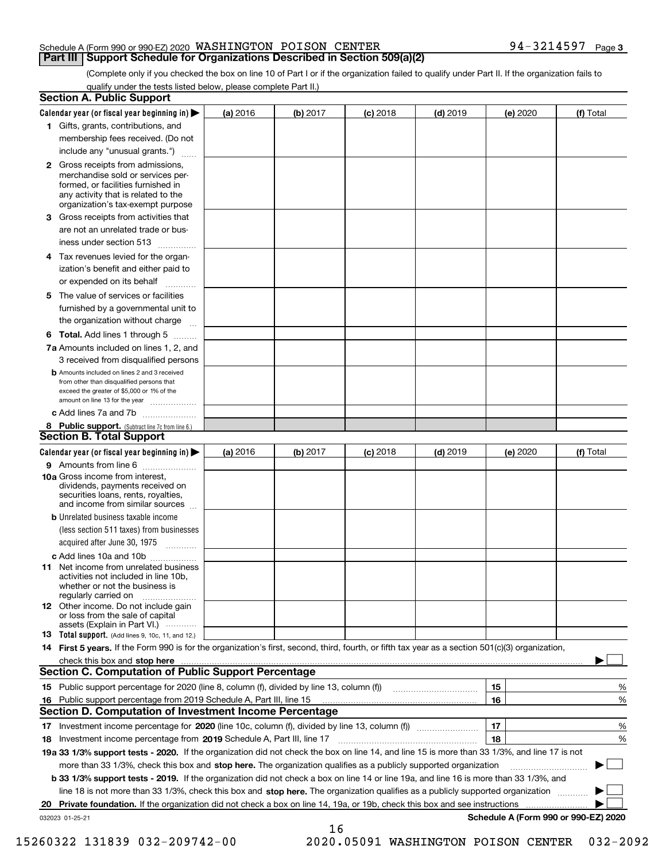#### Schedule A (Form 990 or 990-EZ) 2020 Page WASHINGTON POISON CENTER 94-3214597 **Part III Support Schedule for Organizations Described in Section 509(a)(2)**

(Complete only if you checked the box on line 10 of Part I or if the organization failed to qualify under Part II. If the organization fails to qualify under the tests listed below, please complete Part II.)

|    | <b>Section A. Public Support</b>                                                                                                                                                                                              |          |          |            |            |          |                                      |  |
|----|-------------------------------------------------------------------------------------------------------------------------------------------------------------------------------------------------------------------------------|----------|----------|------------|------------|----------|--------------------------------------|--|
|    | Calendar year (or fiscal year beginning in) $\blacktriangleright$                                                                                                                                                             | (a) 2016 | (b) 2017 | $(c)$ 2018 | $(d)$ 2019 | (e) 2020 | (f) Total                            |  |
|    | 1 Gifts, grants, contributions, and                                                                                                                                                                                           |          |          |            |            |          |                                      |  |
|    | membership fees received. (Do not                                                                                                                                                                                             |          |          |            |            |          |                                      |  |
|    | include any "unusual grants.")                                                                                                                                                                                                |          |          |            |            |          |                                      |  |
|    | 2 Gross receipts from admissions,<br>merchandise sold or services per-<br>formed, or facilities furnished in<br>any activity that is related to the<br>organization's tax-exempt purpose                                      |          |          |            |            |          |                                      |  |
|    | 3 Gross receipts from activities that                                                                                                                                                                                         |          |          |            |            |          |                                      |  |
|    | are not an unrelated trade or bus-                                                                                                                                                                                            |          |          |            |            |          |                                      |  |
|    | iness under section 513                                                                                                                                                                                                       |          |          |            |            |          |                                      |  |
|    | 4 Tax revenues levied for the organ-                                                                                                                                                                                          |          |          |            |            |          |                                      |  |
|    | ization's benefit and either paid to<br>or expended on its behalf<br>.                                                                                                                                                        |          |          |            |            |          |                                      |  |
|    | 5 The value of services or facilities                                                                                                                                                                                         |          |          |            |            |          |                                      |  |
|    | furnished by a governmental unit to                                                                                                                                                                                           |          |          |            |            |          |                                      |  |
|    | the organization without charge                                                                                                                                                                                               |          |          |            |            |          |                                      |  |
|    | <b>6 Total.</b> Add lines 1 through 5                                                                                                                                                                                         |          |          |            |            |          |                                      |  |
|    | 7a Amounts included on lines 1, 2, and<br>3 received from disqualified persons                                                                                                                                                |          |          |            |            |          |                                      |  |
|    | <b>b</b> Amounts included on lines 2 and 3 received<br>from other than disqualified persons that<br>exceed the greater of \$5,000 or 1% of the<br>amount on line 13 for the year                                              |          |          |            |            |          |                                      |  |
|    | c Add lines 7a and 7b                                                                                                                                                                                                         |          |          |            |            |          |                                      |  |
|    | 8 Public support. (Subtract line 7c from line 6.)                                                                                                                                                                             |          |          |            |            |          |                                      |  |
|    | <b>Section B. Total Support</b>                                                                                                                                                                                               |          |          |            |            |          |                                      |  |
|    | Calendar year (or fiscal year beginning in) $\blacktriangleright$                                                                                                                                                             | (a) 2016 | (b) 2017 | $(c)$ 2018 | $(d)$ 2019 | (e) 2020 | (f) Total                            |  |
|    | 9 Amounts from line 6                                                                                                                                                                                                         |          |          |            |            |          |                                      |  |
|    | 10a Gross income from interest,<br>dividends, payments received on<br>securities loans, rents, royalties,<br>and income from similar sources                                                                                  |          |          |            |            |          |                                      |  |
|    | <b>b</b> Unrelated business taxable income                                                                                                                                                                                    |          |          |            |            |          |                                      |  |
|    | (less section 511 taxes) from businesses                                                                                                                                                                                      |          |          |            |            |          |                                      |  |
|    | acquired after June 30, 1975                                                                                                                                                                                                  |          |          |            |            |          |                                      |  |
|    | c Add lines 10a and 10b                                                                                                                                                                                                       |          |          |            |            |          |                                      |  |
|    | 11 Net income from unrelated business<br>activities not included in line 10b,<br>whether or not the business is<br>regularly carried on                                                                                       |          |          |            |            |          |                                      |  |
|    | 12 Other income. Do not include gain<br>or loss from the sale of capital<br>assets (Explain in Part VI.)                                                                                                                      |          |          |            |            |          |                                      |  |
|    | <b>13</b> Total support. (Add lines 9, 10c, 11, and 12.)                                                                                                                                                                      |          |          |            |            |          |                                      |  |
|    | 14 First 5 years. If the Form 990 is for the organization's first, second, third, fourth, or fifth tax year as a section 501(c)(3) organization,                                                                              |          |          |            |            |          |                                      |  |
|    | check this box and stop here with the continuum control to the control of the state of the state of the control of the state of the control of the control of the control of the control of the control of the control of the |          |          |            |            |          |                                      |  |
|    | Section C. Computation of Public Support Percentage                                                                                                                                                                           |          |          |            |            |          |                                      |  |
|    | 15 Public support percentage for 2020 (line 8, column (f), divided by line 13, column (f))                                                                                                                                    |          |          |            |            | 15       | %                                    |  |
|    | 16 Public support percentage from 2019 Schedule A, Part III, line 15                                                                                                                                                          |          |          |            |            | 16       | %                                    |  |
|    | <b>Section D. Computation of Investment Income Percentage</b>                                                                                                                                                                 |          |          |            |            |          |                                      |  |
|    | 17 Investment income percentage for 2020 (line 10c, column (f), divided by line 13, column (f))                                                                                                                               |          |          |            |            | 17       | %                                    |  |
|    | <b>18</b> Investment income percentage from <b>2019</b> Schedule A, Part III, line 17                                                                                                                                         |          |          |            |            | 18       | %                                    |  |
|    | 19a 33 1/3% support tests - 2020. If the organization did not check the box on line 14, and line 15 is more than 33 1/3%, and line 17 is not                                                                                  |          |          |            |            |          |                                      |  |
|    | more than 33 1/3%, check this box and stop here. The organization qualifies as a publicly supported organization<br>▶                                                                                                         |          |          |            |            |          |                                      |  |
|    | b 33 1/3% support tests - 2019. If the organization did not check a box on line 14 or line 19a, and line 16 is more than 33 1/3%, and                                                                                         |          |          |            |            |          |                                      |  |
|    | line 18 is not more than 33 1/3%, check this box and stop here. The organization qualifies as a publicly supported organization                                                                                               |          |          |            |            |          |                                      |  |
| 20 | <b>Private foundation.</b> If the organization did not check a box on line 14, 19a, or 19b, check this box and see instructions                                                                                               |          |          |            |            |          |                                      |  |
|    | 032023 01-25-21                                                                                                                                                                                                               |          | 16       |            |            |          | Schedule A (Form 990 or 990-EZ) 2020 |  |

 <sup>15260322 131839 032-209742-00 2020.05091</sup> WASHINGTON POISON CENTER 032-2092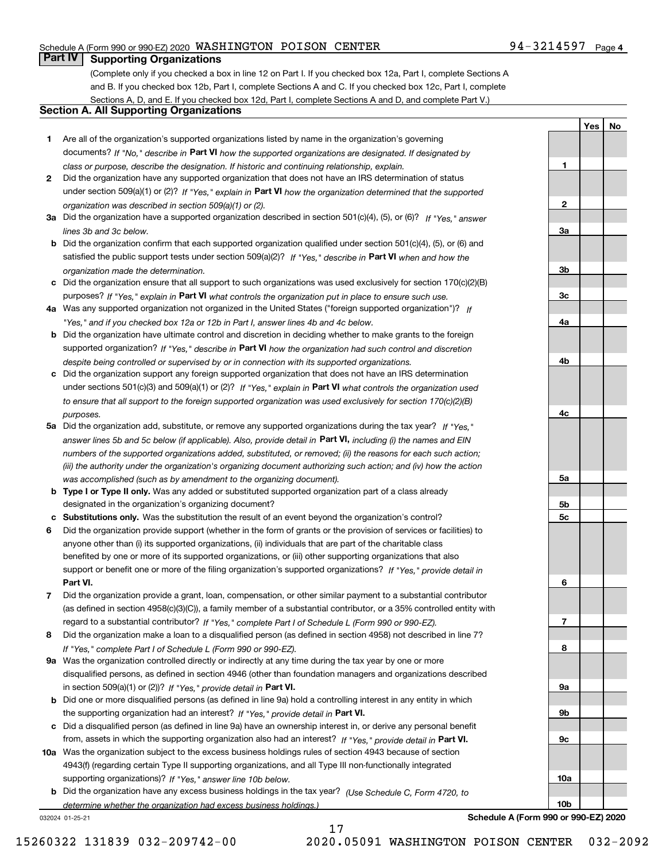### Schedule A (Form 990 or 990-EZ) 2020 Page WASHINGTON POISON CENTER 94-3214597

# **Part IV Supporting Organizations**

(Complete only if you checked a box in line 12 on Part I. If you checked box 12a, Part I, complete Sections A and B. If you checked box 12b, Part I, complete Sections A and C. If you checked box 12c, Part I, complete Sections A, D, and E. If you checked box 12d, Part I, complete Sections A and D, and complete Part V.)

## **Section A. All Supporting Organizations**

- **1** Are all of the organization's supported organizations listed by name in the organization's governing documents? If "No," describe in **Part VI** how the supported organizations are designated. If designated by *class or purpose, describe the designation. If historic and continuing relationship, explain.*
- **2** Did the organization have any supported organization that does not have an IRS determination of status under section 509(a)(1) or (2)? If "Yes," explain in Part VI how the organization determined that the supported *organization was described in section 509(a)(1) or (2).*
- **3a** Did the organization have a supported organization described in section 501(c)(4), (5), or (6)? If "Yes," answer *lines 3b and 3c below.*
- **b** Did the organization confirm that each supported organization qualified under section 501(c)(4), (5), or (6) and satisfied the public support tests under section 509(a)(2)? If "Yes," describe in **Part VI** when and how the *organization made the determination.*
- **c**Did the organization ensure that all support to such organizations was used exclusively for section 170(c)(2)(B) purposes? If "Yes," explain in **Part VI** what controls the organization put in place to ensure such use.
- **4a***If* Was any supported organization not organized in the United States ("foreign supported organization")? *"Yes," and if you checked box 12a or 12b in Part I, answer lines 4b and 4c below.*
- **b** Did the organization have ultimate control and discretion in deciding whether to make grants to the foreign supported organization? If "Yes," describe in **Part VI** how the organization had such control and discretion *despite being controlled or supervised by or in connection with its supported organizations.*
- **c** Did the organization support any foreign supported organization that does not have an IRS determination under sections 501(c)(3) and 509(a)(1) or (2)? If "Yes," explain in **Part VI** what controls the organization used *to ensure that all support to the foreign supported organization was used exclusively for section 170(c)(2)(B) purposes.*
- **5a** Did the organization add, substitute, or remove any supported organizations during the tax year? If "Yes," answer lines 5b and 5c below (if applicable). Also, provide detail in **Part VI,** including (i) the names and EIN *numbers of the supported organizations added, substituted, or removed; (ii) the reasons for each such action; (iii) the authority under the organization's organizing document authorizing such action; and (iv) how the action was accomplished (such as by amendment to the organizing document).*
- **b** Type I or Type II only. Was any added or substituted supported organization part of a class already designated in the organization's organizing document?
- **cSubstitutions only.**  Was the substitution the result of an event beyond the organization's control?
- **6** Did the organization provide support (whether in the form of grants or the provision of services or facilities) to **Part VI.** *If "Yes," provide detail in* support or benefit one or more of the filing organization's supported organizations? anyone other than (i) its supported organizations, (ii) individuals that are part of the charitable class benefited by one or more of its supported organizations, or (iii) other supporting organizations that also
- **7**Did the organization provide a grant, loan, compensation, or other similar payment to a substantial contributor *If "Yes," complete Part I of Schedule L (Form 990 or 990-EZ).* regard to a substantial contributor? (as defined in section 4958(c)(3)(C)), a family member of a substantial contributor, or a 35% controlled entity with
- **8** Did the organization make a loan to a disqualified person (as defined in section 4958) not described in line 7? *If "Yes," complete Part I of Schedule L (Form 990 or 990-EZ).*
- **9a** Was the organization controlled directly or indirectly at any time during the tax year by one or more in section 509(a)(1) or (2))? If "Yes," *provide detail in* <code>Part VI.</code> disqualified persons, as defined in section 4946 (other than foundation managers and organizations described
- **b** Did one or more disqualified persons (as defined in line 9a) hold a controlling interest in any entity in which the supporting organization had an interest? If "Yes," provide detail in P**art VI**.
- **c**Did a disqualified person (as defined in line 9a) have an ownership interest in, or derive any personal benefit from, assets in which the supporting organization also had an interest? If "Yes," provide detail in P**art VI.**
- **10a** Was the organization subject to the excess business holdings rules of section 4943 because of section supporting organizations)? If "Yes," answer line 10b below. 4943(f) (regarding certain Type II supporting organizations, and all Type III non-functionally integrated
- **b** Did the organization have any excess business holdings in the tax year? (Use Schedule C, Form 4720, to *determine whether the organization had excess business holdings.)*

032024 01-25-21

**23a3b3c4a4b4c5a 5b5c6789a 9b9c10a**

**Schedule A (Form 990 or 990-EZ) 2020**

**10b**

**1**

**YesNo**

17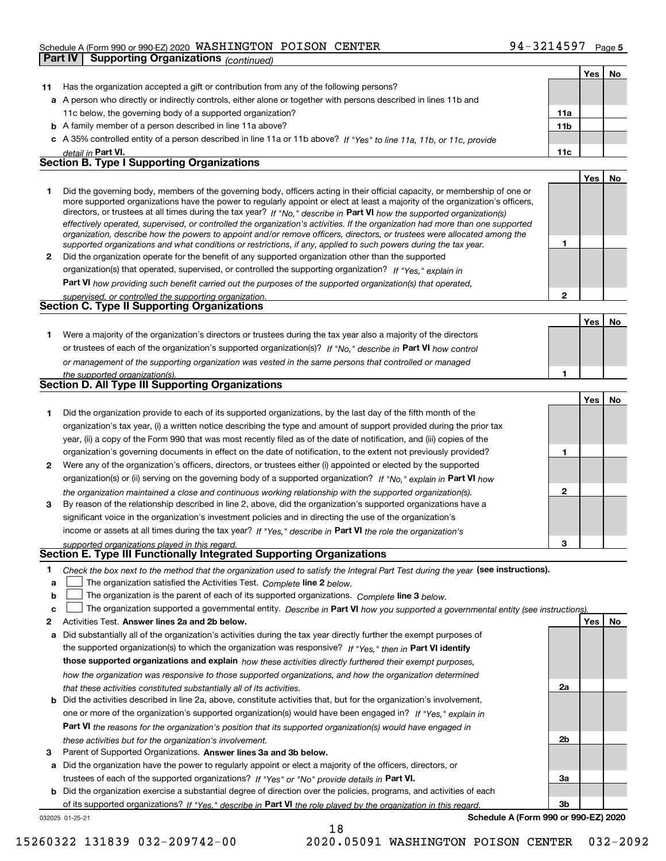### Schedule A (Form 990 or 990-EZ) 2020 Page WASHINGTON POISON CENTER 94-3214597

|              | Part IV<br><b>Supporting Organizations (continued)</b>                                                                                                                                                                                                                                                                                                                                                                                                                                                                                                                                                                                               |              |     |    |
|--------------|------------------------------------------------------------------------------------------------------------------------------------------------------------------------------------------------------------------------------------------------------------------------------------------------------------------------------------------------------------------------------------------------------------------------------------------------------------------------------------------------------------------------------------------------------------------------------------------------------------------------------------------------------|--------------|-----|----|
|              |                                                                                                                                                                                                                                                                                                                                                                                                                                                                                                                                                                                                                                                      |              | Yes | No |
| 11           | Has the organization accepted a gift or contribution from any of the following persons?                                                                                                                                                                                                                                                                                                                                                                                                                                                                                                                                                              |              |     |    |
|              | a A person who directly or indirectly controls, either alone or together with persons described in lines 11b and                                                                                                                                                                                                                                                                                                                                                                                                                                                                                                                                     |              |     |    |
|              | 11c below, the governing body of a supported organization?                                                                                                                                                                                                                                                                                                                                                                                                                                                                                                                                                                                           | 11a          |     |    |
|              | <b>b</b> A family member of a person described in line 11a above?                                                                                                                                                                                                                                                                                                                                                                                                                                                                                                                                                                                    | 11b          |     |    |
|              | c A 35% controlled entity of a person described in line 11a or 11b above? If "Yes" to line 11a, 11b, or 11c, provide                                                                                                                                                                                                                                                                                                                                                                                                                                                                                                                                 |              |     |    |
|              | detail in Part VI.                                                                                                                                                                                                                                                                                                                                                                                                                                                                                                                                                                                                                                   | 11c          |     |    |
|              | <b>Section B. Type I Supporting Organizations</b>                                                                                                                                                                                                                                                                                                                                                                                                                                                                                                                                                                                                    |              |     |    |
|              |                                                                                                                                                                                                                                                                                                                                                                                                                                                                                                                                                                                                                                                      |              | Yes | No |
| 1.           | Did the governing body, members of the governing body, officers acting in their official capacity, or membership of one or<br>more supported organizations have the power to regularly appoint or elect at least a majority of the organization's officers,<br>directors, or trustees at all times during the tax year? If "No," describe in Part VI how the supported organization(s)<br>effectively operated, supervised, or controlled the organization's activities. If the organization had more than one supported<br>organization, describe how the powers to appoint and/or remove officers, directors, or trustees were allocated among the |              |     |    |
|              | supported organizations and what conditions or restrictions, if any, applied to such powers during the tax year.                                                                                                                                                                                                                                                                                                                                                                                                                                                                                                                                     | 1            |     |    |
| $\mathbf{2}$ | Did the organization operate for the benefit of any supported organization other than the supported                                                                                                                                                                                                                                                                                                                                                                                                                                                                                                                                                  |              |     |    |
|              | organization(s) that operated, supervised, or controlled the supporting organization? If "Yes," explain in                                                                                                                                                                                                                                                                                                                                                                                                                                                                                                                                           |              |     |    |
|              | Part VI how providing such benefit carried out the purposes of the supported organization(s) that operated,                                                                                                                                                                                                                                                                                                                                                                                                                                                                                                                                          |              |     |    |
|              | supervised, or controlled the supporting organization.                                                                                                                                                                                                                                                                                                                                                                                                                                                                                                                                                                                               | $\mathbf{2}$ |     |    |
|              | <b>Section C. Type II Supporting Organizations</b>                                                                                                                                                                                                                                                                                                                                                                                                                                                                                                                                                                                                   |              |     |    |
|              |                                                                                                                                                                                                                                                                                                                                                                                                                                                                                                                                                                                                                                                      |              | Yes | No |
| 1.           | Were a majority of the organization's directors or trustees during the tax year also a majority of the directors                                                                                                                                                                                                                                                                                                                                                                                                                                                                                                                                     |              |     |    |
|              | or trustees of each of the organization's supported organization(s)? If "No," describe in Part VI how control                                                                                                                                                                                                                                                                                                                                                                                                                                                                                                                                        |              |     |    |
|              | or management of the supporting organization was vested in the same persons that controlled or managed                                                                                                                                                                                                                                                                                                                                                                                                                                                                                                                                               | 1            |     |    |
|              | the supported organization(s).<br>Section D. All Type III Supporting Organizations                                                                                                                                                                                                                                                                                                                                                                                                                                                                                                                                                                   |              |     |    |
|              |                                                                                                                                                                                                                                                                                                                                                                                                                                                                                                                                                                                                                                                      |              | Yes | No |
| 1.           | Did the organization provide to each of its supported organizations, by the last day of the fifth month of the                                                                                                                                                                                                                                                                                                                                                                                                                                                                                                                                       |              |     |    |
|              | organization's tax year, (i) a written notice describing the type and amount of support provided during the prior tax                                                                                                                                                                                                                                                                                                                                                                                                                                                                                                                                |              |     |    |
|              | year, (ii) a copy of the Form 990 that was most recently filed as of the date of notification, and (iii) copies of the                                                                                                                                                                                                                                                                                                                                                                                                                                                                                                                               |              |     |    |
|              | organization's governing documents in effect on the date of notification, to the extent not previously provided?                                                                                                                                                                                                                                                                                                                                                                                                                                                                                                                                     | 1            |     |    |
| 2            | Were any of the organization's officers, directors, or trustees either (i) appointed or elected by the supported                                                                                                                                                                                                                                                                                                                                                                                                                                                                                                                                     |              |     |    |
|              | organization(s) or (ii) serving on the governing body of a supported organization? If "No," explain in Part VI how                                                                                                                                                                                                                                                                                                                                                                                                                                                                                                                                   |              |     |    |
|              | the organization maintained a close and continuous working relationship with the supported organization(s).                                                                                                                                                                                                                                                                                                                                                                                                                                                                                                                                          | 2            |     |    |
| 3            | By reason of the relationship described in line 2, above, did the organization's supported organizations have a                                                                                                                                                                                                                                                                                                                                                                                                                                                                                                                                      |              |     |    |
|              | significant voice in the organization's investment policies and in directing the use of the organization's                                                                                                                                                                                                                                                                                                                                                                                                                                                                                                                                           |              |     |    |
|              | income or assets at all times during the tax year? If "Yes," describe in Part VI the role the organization's                                                                                                                                                                                                                                                                                                                                                                                                                                                                                                                                         |              |     |    |
|              | supported organizations played in this regard.                                                                                                                                                                                                                                                                                                                                                                                                                                                                                                                                                                                                       | 3            |     |    |
|              | Section E. Type III Functionally Integrated Supporting Organizations                                                                                                                                                                                                                                                                                                                                                                                                                                                                                                                                                                                 |              |     |    |
| 1            | Check the box next to the method that the organization used to satisfy the Integral Part Test during the year (see instructions).                                                                                                                                                                                                                                                                                                                                                                                                                                                                                                                    |              |     |    |
| а            | The organization satisfied the Activities Test. Complete line 2 below.                                                                                                                                                                                                                                                                                                                                                                                                                                                                                                                                                                               |              |     |    |
| b            | The organization is the parent of each of its supported organizations. Complete line 3 below.                                                                                                                                                                                                                                                                                                                                                                                                                                                                                                                                                        |              |     |    |
| c            | The organization supported a governmental entity. Describe in Part VI how you supported a governmental entity (see instructions)                                                                                                                                                                                                                                                                                                                                                                                                                                                                                                                     |              |     |    |
| 2            | Activities Test. Answer lines 2a and 2b below.                                                                                                                                                                                                                                                                                                                                                                                                                                                                                                                                                                                                       |              | Yes | No |
| а            | Did substantially all of the organization's activities during the tax year directly further the exempt purposes of                                                                                                                                                                                                                                                                                                                                                                                                                                                                                                                                   |              |     |    |

the supported organization(s) to which the organization was responsive? If "Yes," then in **Part VI identify those supported organizations and explain**  *how these activities directly furthered their exempt purposes, how the organization was responsive to those supported organizations, and how the organization determined that these activities constituted substantially all of its activities.*

- **b** Did the activities described in line 2a, above, constitute activities that, but for the organization's involvement, **Part VI**  *the reasons for the organization's position that its supported organization(s) would have engaged in* one or more of the organization's supported organization(s) would have been engaged in? If "Yes," e*xplain in these activities but for the organization's involvement.*
- **3** Parent of Supported Organizations. Answer lines 3a and 3b below.

**a** Did the organization have the power to regularly appoint or elect a majority of the officers, directors, or trustees of each of the supported organizations? If "Yes" or "No" provide details in **Part VI.** 

**b** Did the organization exercise a substantial degree of direction over the policies, programs, and activities of each of its supported organizations? If "Yes," describe in Part VI the role played by the organization in this regard.

18

032025 01-25-21

**Schedule A (Form 990 or 990-EZ) 2020**

**2a**

**2b**

**3a**

**3b**

15260322 131839 032-209742-00 2020.05091 WASHINGTON POISON CENTER 032-2092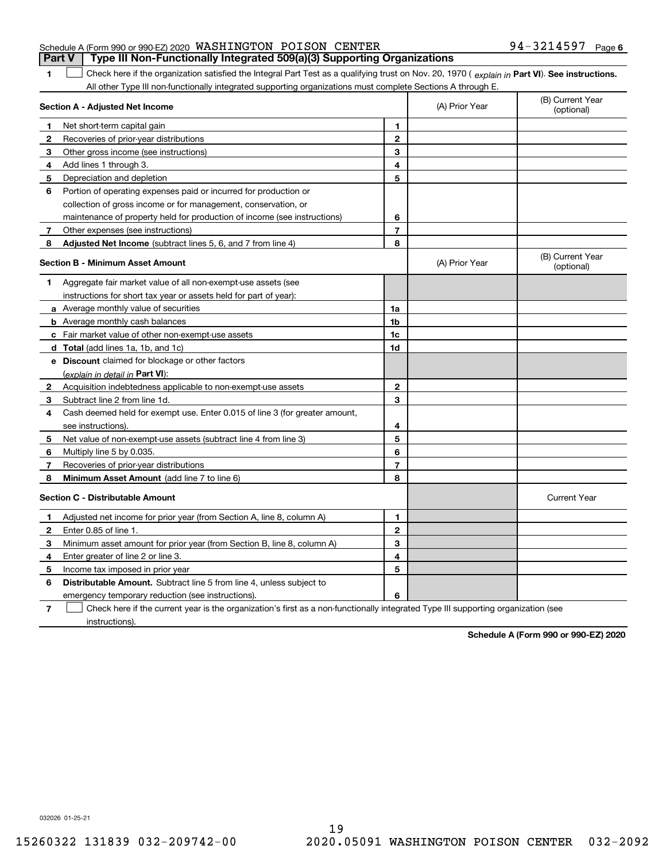|  | Schedule A (Form 990 or 990-EZ) 2020 WASHINGTON POISON CENTER |  |                                                                                       | $94 - 3214597$ Page 6 |  |
|--|---------------------------------------------------------------|--|---------------------------------------------------------------------------------------|-----------------------|--|
|  |                                                               |  | <b>Part V</b> Type III Non-Functionally Integrated 509(a)(3) Supporting Organizations |                       |  |

1 Check here if the organization satisfied the Integral Part Test as a qualifying trust on Nov. 20, 1970 (explain in Part VI). See instructions. All other Type III non-functionally integrated supporting organizations must complete Sections A through E.

|              | Section A - Adjusted Net Income                                                                                                   |                | (A) Prior Year | (B) Current Year<br>(optional) |
|--------------|-----------------------------------------------------------------------------------------------------------------------------------|----------------|----------------|--------------------------------|
| 1.           | Net short-term capital gain                                                                                                       | 1              |                |                                |
| $\mathbf{2}$ | Recoveries of prior-year distributions                                                                                            | $\mathbf{2}$   |                |                                |
| 3            | Other gross income (see instructions)                                                                                             | 3              |                |                                |
| 4            | Add lines 1 through 3.                                                                                                            | 4              |                |                                |
| 5            | Depreciation and depletion                                                                                                        | 5              |                |                                |
| 6            | Portion of operating expenses paid or incurred for production or                                                                  |                |                |                                |
|              | collection of gross income or for management, conservation, or                                                                    |                |                |                                |
|              | maintenance of property held for production of income (see instructions)                                                          | 6              |                |                                |
| 7            | Other expenses (see instructions)                                                                                                 | $\overline{7}$ |                |                                |
| 8            | Adjusted Net Income (subtract lines 5, 6, and 7 from line 4)                                                                      | 8              |                |                                |
|              | <b>Section B - Minimum Asset Amount</b>                                                                                           |                | (A) Prior Year | (B) Current Year<br>(optional) |
| 1            | Aggregate fair market value of all non-exempt-use assets (see                                                                     |                |                |                                |
|              | instructions for short tax year or assets held for part of year):                                                                 |                |                |                                |
|              | a Average monthly value of securities                                                                                             | 1a             |                |                                |
|              | <b>b</b> Average monthly cash balances                                                                                            | 1b             |                |                                |
|              | c Fair market value of other non-exempt-use assets                                                                                | 1c             |                |                                |
|              | d Total (add lines 1a, 1b, and 1c)                                                                                                | 1d             |                |                                |
|              | e Discount claimed for blockage or other factors                                                                                  |                |                |                                |
|              | (explain in detail in Part VI):                                                                                                   |                |                |                                |
| $\mathbf{2}$ | Acquisition indebtedness applicable to non-exempt-use assets                                                                      | $\mathbf{2}$   |                |                                |
| 3            | Subtract line 2 from line 1d.                                                                                                     | 3              |                |                                |
| 4            | Cash deemed held for exempt use. Enter 0.015 of line 3 (for greater amount,                                                       |                |                |                                |
|              | see instructions)                                                                                                                 | 4              |                |                                |
| 5            | Net value of non-exempt-use assets (subtract line 4 from line 3)                                                                  | 5              |                |                                |
| 6            | Multiply line 5 by 0.035.                                                                                                         | 6              |                |                                |
| 7            | Recoveries of prior-year distributions                                                                                            | $\overline{7}$ |                |                                |
| 8            | Minimum Asset Amount (add line 7 to line 6)                                                                                       | 8              |                |                                |
|              | <b>Section C - Distributable Amount</b>                                                                                           |                |                | <b>Current Year</b>            |
| 1            | Adjusted net income for prior year (from Section A, line 8, column A)                                                             | 1              |                |                                |
| 2            | Enter 0.85 of line 1.                                                                                                             | $\mathbf{2}$   |                |                                |
| 3            | Minimum asset amount for prior year (from Section B, line 8, column A)                                                            | 3              |                |                                |
| 4            | Enter greater of line 2 or line 3.                                                                                                | 4              |                |                                |
| 5            | Income tax imposed in prior year                                                                                                  | 5              |                |                                |
| 6            | <b>Distributable Amount.</b> Subtract line 5 from line 4, unless subject to                                                       |                |                |                                |
|              | emergency temporary reduction (see instructions).                                                                                 | 6              |                |                                |
| 7            | Check here if the current year is the organization's first as a non-functionally integrated Type III supporting organization (see |                |                |                                |

instructions).

**1**

**Schedule A (Form 990 or 990-EZ) 2020**

032026 01-25-21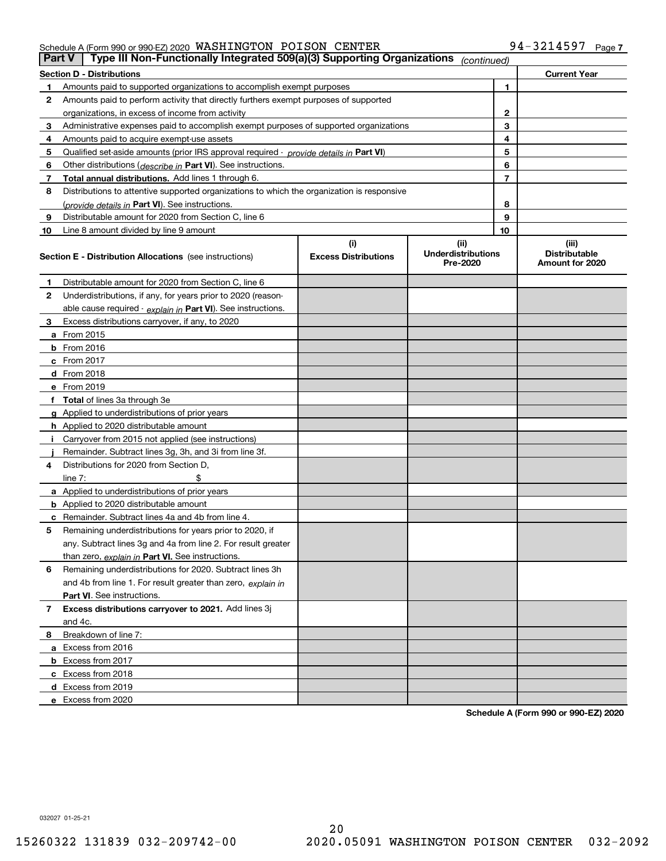#### Schedule A (Form 990 or 990-EZ) 2020 Page WASHINGTON POISON CENTER 94-3214597

| <b>Part V</b> | Type III Non-Functionally Integrated 509(a)(3) Supporting Organizations                    |                             | (continued)                           |    |                                         |
|---------------|--------------------------------------------------------------------------------------------|-----------------------------|---------------------------------------|----|-----------------------------------------|
|               | <b>Section D - Distributions</b>                                                           |                             |                                       |    | <b>Current Year</b>                     |
| 1             | Amounts paid to supported organizations to accomplish exempt purposes                      |                             |                                       | 1  |                                         |
| 2             | Amounts paid to perform activity that directly furthers exempt purposes of supported       |                             |                                       |    |                                         |
|               | organizations, in excess of income from activity                                           |                             | 2                                     |    |                                         |
| 3             | Administrative expenses paid to accomplish exempt purposes of supported organizations      |                             |                                       | 3  |                                         |
| 4             | Amounts paid to acquire exempt-use assets                                                  |                             |                                       | 4  |                                         |
| 5             | Qualified set-aside amounts (prior IRS approval required - provide details in Part VI)     |                             |                                       | 5  |                                         |
| 6             | Other distributions (describe in Part VI). See instructions.                               |                             |                                       | 6  |                                         |
| 7             | Total annual distributions. Add lines 1 through 6.                                         |                             |                                       | 7  |                                         |
| 8             | Distributions to attentive supported organizations to which the organization is responsive |                             |                                       |    |                                         |
|               | (provide details in Part VI). See instructions.                                            |                             |                                       | 8  |                                         |
| 9             | Distributable amount for 2020 from Section C, line 6                                       |                             |                                       | 9  |                                         |
| 10            | Line 8 amount divided by line 9 amount                                                     |                             |                                       | 10 |                                         |
|               |                                                                                            | (i)                         | (ii)                                  |    | (iii)                                   |
|               | <b>Section E - Distribution Allocations</b> (see instructions)                             | <b>Excess Distributions</b> | <b>Underdistributions</b><br>Pre-2020 |    | <b>Distributable</b><br>Amount for 2020 |
| 1             | Distributable amount for 2020 from Section C, line 6                                       |                             |                                       |    |                                         |
| 2             | Underdistributions, if any, for years prior to 2020 (reason-                               |                             |                                       |    |                                         |
|               | able cause required - explain in Part VI). See instructions.                               |                             |                                       |    |                                         |
| 3             | Excess distributions carryover, if any, to 2020                                            |                             |                                       |    |                                         |
|               | <b>a</b> From 2015                                                                         |                             |                                       |    |                                         |
|               | <b>b</b> From 2016                                                                         |                             |                                       |    |                                         |
|               | c From 2017                                                                                |                             |                                       |    |                                         |
|               | <b>d</b> From 2018                                                                         |                             |                                       |    |                                         |
|               | e From 2019                                                                                |                             |                                       |    |                                         |
|               | f Total of lines 3a through 3e                                                             |                             |                                       |    |                                         |
|               | g Applied to underdistributions of prior years                                             |                             |                                       |    |                                         |
|               | <b>h</b> Applied to 2020 distributable amount                                              |                             |                                       |    |                                         |
|               | Carryover from 2015 not applied (see instructions)                                         |                             |                                       |    |                                         |
|               | Remainder. Subtract lines 3g, 3h, and 3i from line 3f.                                     |                             |                                       |    |                                         |
| 4             | Distributions for 2020 from Section D,                                                     |                             |                                       |    |                                         |
|               | line $7:$                                                                                  |                             |                                       |    |                                         |
|               | a Applied to underdistributions of prior years                                             |                             |                                       |    |                                         |
|               | <b>b</b> Applied to 2020 distributable amount                                              |                             |                                       |    |                                         |
|               | c Remainder. Subtract lines 4a and 4b from line 4.                                         |                             |                                       |    |                                         |
| 5             | Remaining underdistributions for years prior to 2020, if                                   |                             |                                       |    |                                         |
|               | any. Subtract lines 3g and 4a from line 2. For result greater                              |                             |                                       |    |                                         |
|               | than zero, explain in Part VI. See instructions.                                           |                             |                                       |    |                                         |
| 6             | Remaining underdistributions for 2020. Subtract lines 3h                                   |                             |                                       |    |                                         |
|               | and 4b from line 1. For result greater than zero, explain in                               |                             |                                       |    |                                         |
|               | Part VI. See instructions.                                                                 |                             |                                       |    |                                         |
| 7             | Excess distributions carryover to 2021. Add lines 3j                                       |                             |                                       |    |                                         |
|               | and 4c.                                                                                    |                             |                                       |    |                                         |
| 8             | Breakdown of line 7:                                                                       |                             |                                       |    |                                         |
|               | a Excess from 2016                                                                         |                             |                                       |    |                                         |
|               | <b>b</b> Excess from 2017                                                                  |                             |                                       |    |                                         |
|               | c Excess from 2018                                                                         |                             |                                       |    |                                         |
|               | d Excess from 2019                                                                         |                             |                                       |    |                                         |
|               | e Excess from 2020                                                                         |                             |                                       |    |                                         |

**Schedule A (Form 990 or 990-EZ) 2020**

032027 01-25-21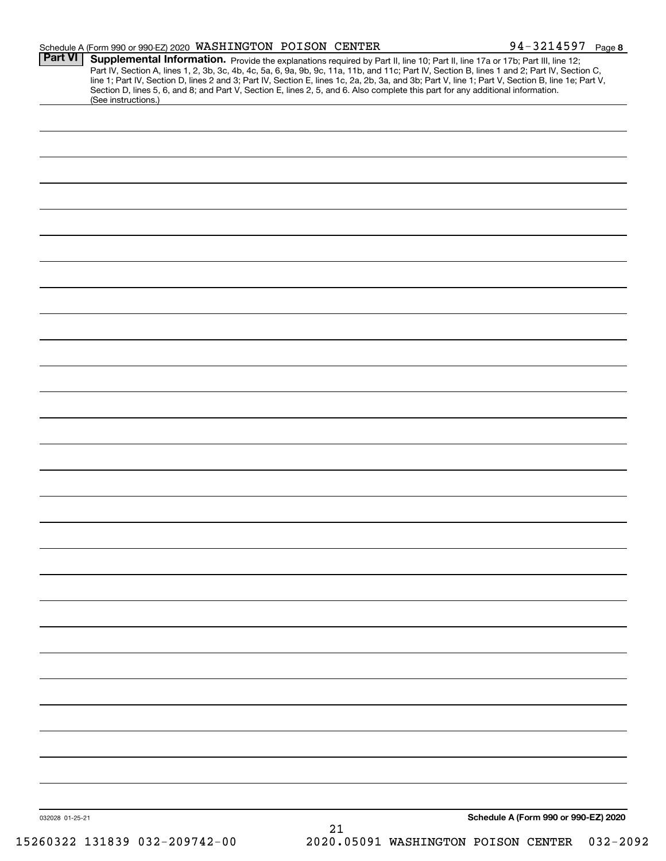|                 | Schedule A (Form 990 or 990-EZ) 2020 WASHINGTON POISON CENTER |  |    | 94-3214597 Page 8                                                                                                                                                                                                                                                                                                                                                                                                                                                                                                                                                    |  |
|-----------------|---------------------------------------------------------------|--|----|----------------------------------------------------------------------------------------------------------------------------------------------------------------------------------------------------------------------------------------------------------------------------------------------------------------------------------------------------------------------------------------------------------------------------------------------------------------------------------------------------------------------------------------------------------------------|--|
| <b>Part VI</b>  | (See instructions.)                                           |  |    | Supplemental Information. Provide the explanations required by Part II, line 10; Part II, line 17a or 17b; Part III, line 12;<br>Part IV, Section A, lines 1, 2, 3b, 3c, 4b, 4c, 5a, 6, 9a, 9b, 9c, 11a, 11b, and 11c; Part IV, Section B, lines 1 and 2; Part IV, Section C,<br>line 1; Part IV, Section D, lines 2 and 3; Part IV, Section E, lines 1c, 2a, 2b, 3a, and 3b; Part V, line 1; Part V, Section B, line 1e; Part V,<br>Section D, lines 5, 6, and 8; and Part V, Section E, lines 2, 5, and 6. Also complete this part for any additional information. |  |
|                 |                                                               |  |    |                                                                                                                                                                                                                                                                                                                                                                                                                                                                                                                                                                      |  |
|                 |                                                               |  |    |                                                                                                                                                                                                                                                                                                                                                                                                                                                                                                                                                                      |  |
|                 |                                                               |  |    |                                                                                                                                                                                                                                                                                                                                                                                                                                                                                                                                                                      |  |
|                 |                                                               |  |    |                                                                                                                                                                                                                                                                                                                                                                                                                                                                                                                                                                      |  |
|                 |                                                               |  |    |                                                                                                                                                                                                                                                                                                                                                                                                                                                                                                                                                                      |  |
|                 |                                                               |  |    |                                                                                                                                                                                                                                                                                                                                                                                                                                                                                                                                                                      |  |
|                 |                                                               |  |    |                                                                                                                                                                                                                                                                                                                                                                                                                                                                                                                                                                      |  |
|                 |                                                               |  |    |                                                                                                                                                                                                                                                                                                                                                                                                                                                                                                                                                                      |  |
|                 |                                                               |  |    |                                                                                                                                                                                                                                                                                                                                                                                                                                                                                                                                                                      |  |
|                 |                                                               |  |    |                                                                                                                                                                                                                                                                                                                                                                                                                                                                                                                                                                      |  |
|                 |                                                               |  |    |                                                                                                                                                                                                                                                                                                                                                                                                                                                                                                                                                                      |  |
|                 |                                                               |  |    |                                                                                                                                                                                                                                                                                                                                                                                                                                                                                                                                                                      |  |
|                 |                                                               |  |    |                                                                                                                                                                                                                                                                                                                                                                                                                                                                                                                                                                      |  |
|                 |                                                               |  |    |                                                                                                                                                                                                                                                                                                                                                                                                                                                                                                                                                                      |  |
|                 |                                                               |  |    |                                                                                                                                                                                                                                                                                                                                                                                                                                                                                                                                                                      |  |
|                 |                                                               |  |    |                                                                                                                                                                                                                                                                                                                                                                                                                                                                                                                                                                      |  |
|                 |                                                               |  |    |                                                                                                                                                                                                                                                                                                                                                                                                                                                                                                                                                                      |  |
|                 |                                                               |  |    |                                                                                                                                                                                                                                                                                                                                                                                                                                                                                                                                                                      |  |
|                 |                                                               |  |    |                                                                                                                                                                                                                                                                                                                                                                                                                                                                                                                                                                      |  |
|                 |                                                               |  |    |                                                                                                                                                                                                                                                                                                                                                                                                                                                                                                                                                                      |  |
|                 |                                                               |  |    |                                                                                                                                                                                                                                                                                                                                                                                                                                                                                                                                                                      |  |
|                 |                                                               |  |    |                                                                                                                                                                                                                                                                                                                                                                                                                                                                                                                                                                      |  |
|                 |                                                               |  |    |                                                                                                                                                                                                                                                                                                                                                                                                                                                                                                                                                                      |  |
|                 |                                                               |  |    |                                                                                                                                                                                                                                                                                                                                                                                                                                                                                                                                                                      |  |
|                 |                                                               |  |    |                                                                                                                                                                                                                                                                                                                                                                                                                                                                                                                                                                      |  |
|                 |                                                               |  |    |                                                                                                                                                                                                                                                                                                                                                                                                                                                                                                                                                                      |  |
|                 |                                                               |  |    |                                                                                                                                                                                                                                                                                                                                                                                                                                                                                                                                                                      |  |
|                 |                                                               |  |    |                                                                                                                                                                                                                                                                                                                                                                                                                                                                                                                                                                      |  |
|                 |                                                               |  |    |                                                                                                                                                                                                                                                                                                                                                                                                                                                                                                                                                                      |  |
| 032028 01-25-21 |                                                               |  | 21 | Schedule A (Form 990 or 990-EZ) 2020                                                                                                                                                                                                                                                                                                                                                                                                                                                                                                                                 |  |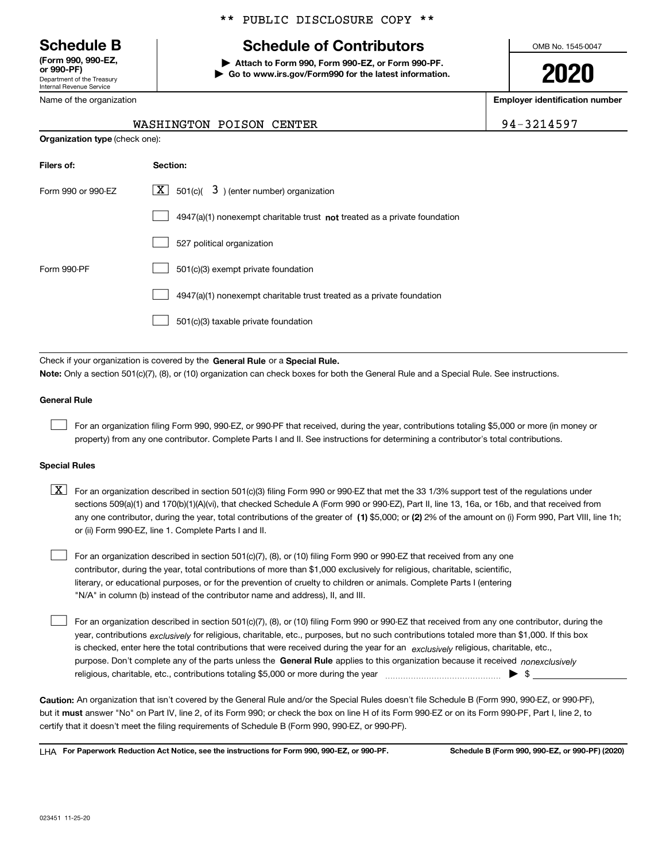Department of the Treasury Internal Revenue Service **(Form 990, 990-EZ, or 990-PF)**

Name of the organization

## \*\* PUBLIC DISCLOSURE COPY \*\*

# **Schedule B Schedule of Contributors**

**| Attach to Form 990, Form 990-EZ, or Form 990-PF. | Go to www.irs.gov/Form990 for the latest information.** OMB No. 1545-0047

**2020**

**Employer identification number**

-3214597

|                                | WASHINGTON POISON CENTER                                                  | $94-$ |
|--------------------------------|---------------------------------------------------------------------------|-------|
| Organization type (check one): |                                                                           |       |
| Filers of:                     | Section:                                                                  |       |
| Form 990 or 990-EZ             | $ \mathbf{X} $ 501(c)( 3) (enter number) organization                     |       |
|                                | 4947(a)(1) nonexempt charitable trust not treated as a private foundation |       |
|                                | 527 political organization                                                |       |
| Form 990-PF                    | 501(c)(3) exempt private foundation                                       |       |
|                                | 4947(a)(1) nonexempt charitable trust treated as a private foundation     |       |
|                                | 501(c)(3) taxable private foundation                                      |       |

Check if your organization is covered by the **General Rule** or a **Special Rule. Note:**  Only a section 501(c)(7), (8), or (10) organization can check boxes for both the General Rule and a Special Rule. See instructions.

#### **General Rule**

 $\mathcal{L}^{\text{max}}$ 

For an organization filing Form 990, 990-EZ, or 990-PF that received, during the year, contributions totaling \$5,000 or more (in money or property) from any one contributor. Complete Parts I and II. See instructions for determining a contributor's total contributions.

#### **Special Rules**

any one contributor, during the year, total contributions of the greater of  $\,$  (1) \$5,000; or **(2)** 2% of the amount on (i) Form 990, Part VIII, line 1h;  $\boxed{\textbf{X}}$  For an organization described in section 501(c)(3) filing Form 990 or 990-EZ that met the 33 1/3% support test of the regulations under sections 509(a)(1) and 170(b)(1)(A)(vi), that checked Schedule A (Form 990 or 990-EZ), Part II, line 13, 16a, or 16b, and that received from or (ii) Form 990-EZ, line 1. Complete Parts I and II.

For an organization described in section 501(c)(7), (8), or (10) filing Form 990 or 990-EZ that received from any one contributor, during the year, total contributions of more than \$1,000 exclusively for religious, charitable, scientific, literary, or educational purposes, or for the prevention of cruelty to children or animals. Complete Parts I (entering "N/A" in column (b) instead of the contributor name and address), II, and III.  $\mathcal{L}^{\text{max}}$ 

purpose. Don't complete any of the parts unless the **General Rule** applies to this organization because it received *nonexclusively* year, contributions <sub>exclusively</sub> for religious, charitable, etc., purposes, but no such contributions totaled more than \$1,000. If this box is checked, enter here the total contributions that were received during the year for an  $\;$ exclusively religious, charitable, etc., For an organization described in section 501(c)(7), (8), or (10) filing Form 990 or 990-EZ that received from any one contributor, during the religious, charitable, etc., contributions totaling \$5,000 or more during the year  $\Box$ — $\Box$  =  $\Box$  $\mathcal{L}^{\text{max}}$ 

**Caution:**  An organization that isn't covered by the General Rule and/or the Special Rules doesn't file Schedule B (Form 990, 990-EZ, or 990-PF),  **must** but it answer "No" on Part IV, line 2, of its Form 990; or check the box on line H of its Form 990-EZ or on its Form 990-PF, Part I, line 2, to certify that it doesn't meet the filing requirements of Schedule B (Form 990, 990-EZ, or 990-PF).

**For Paperwork Reduction Act Notice, see the instructions for Form 990, 990-EZ, or 990-PF. Schedule B (Form 990, 990-EZ, or 990-PF) (2020)** LHA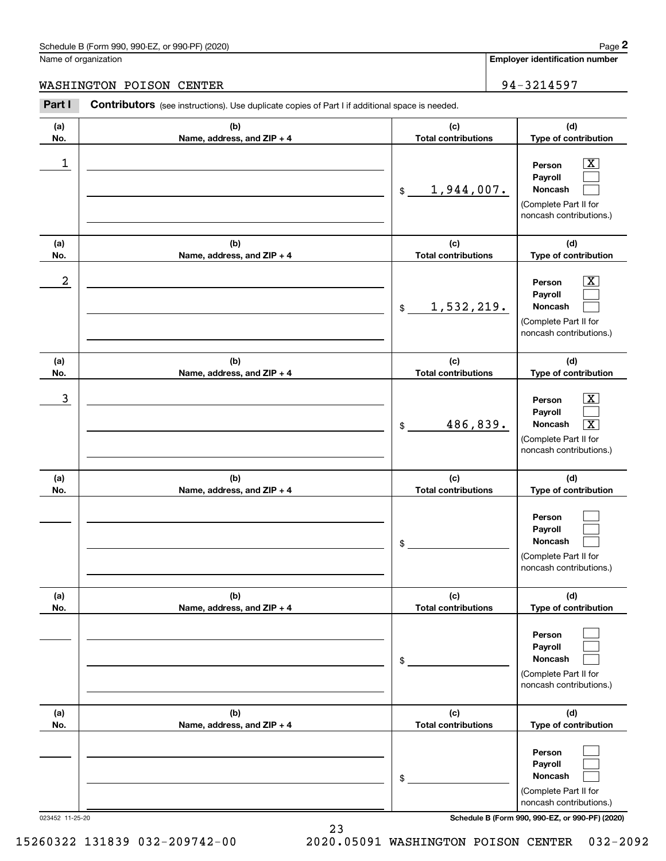# Schedule B (Form 990, 990-EZ, or 990-PF) (2020) Page 2

|            | Schedule B (Form 990, 990-EZ, or 990-PF) (2020)                                                |                                   | Page 2                                                                                                                      |
|------------|------------------------------------------------------------------------------------------------|-----------------------------------|-----------------------------------------------------------------------------------------------------------------------------|
|            | Name of organization                                                                           |                                   | <b>Employer identification number</b>                                                                                       |
|            | WASHINGTON POISON CENTER                                                                       |                                   | 94-3214597                                                                                                                  |
| Part I     | Contributors (see instructions). Use duplicate copies of Part I if additional space is needed. |                                   |                                                                                                                             |
| (a)<br>No. | (b)<br>Name, address, and ZIP + 4                                                              | (c)<br><b>Total contributions</b> | (d)<br>Type of contribution                                                                                                 |
| 1          |                                                                                                | 1,944,007.<br>$$\mathbb{S}$$      | $\overline{\mathbf{X}}$<br>Person<br>Payroll<br>Noncash<br>(Complete Part II for<br>noncash contributions.)                 |
| (a)<br>No. | (b)<br>Name, address, and ZIP + 4                                                              | (c)<br><b>Total contributions</b> | (d)<br>Type of contribution                                                                                                 |
| 2          |                                                                                                | 1,532,219.<br>\$                  | $\overline{\mathbf{X}}$<br>Person<br>Payroll<br>Noncash<br>(Complete Part II for<br>noncash contributions.)                 |
| (a)<br>No. | (b)<br>Name, address, and ZIP + 4                                                              | (c)<br><b>Total contributions</b> | (d)<br>Type of contribution                                                                                                 |
| 3          |                                                                                                | 486,839.<br>\$                    | $\mathbf{X}$<br>Person<br>Payroll<br>$\overline{\mathbf{x}}$<br>Noncash<br>(Complete Part II for<br>noncash contributions.) |
| (a)<br>No. | (b)<br>Name, address, and ZIP + 4                                                              | (c)<br><b>Total contributions</b> | (d)<br>Type of contribution                                                                                                 |
|            |                                                                                                | \$                                | Person<br>Payroll<br>Noncash<br>(Complete Part II for<br>noncash contributions.)                                            |
| (a)<br>No. | (b)<br>Name, address, and ZIP + 4                                                              | (c)<br><b>Total contributions</b> | (d)<br>Type of contribution                                                                                                 |
|            |                                                                                                | \$                                | Person<br>Payroll<br>Noncash<br>(Complete Part II for<br>noncash contributions.)                                            |
| (a)<br>No. | (b)<br>Name, address, and ZIP + 4                                                              | (c)<br><b>Total contributions</b> | (d)<br>Type of contribution                                                                                                 |
|            |                                                                                                | \$                                | Person<br>Payroll<br>Noncash<br>(Complete Part II for<br>noncash contributions.)                                            |

023452 11-25-20 **Schedule B (Form 990, 990-EZ, or 990-PF) (2020)**

23 15260322 131839 032-209742-00 2020.05091 WASHINGTON POISON CENTER 032-2092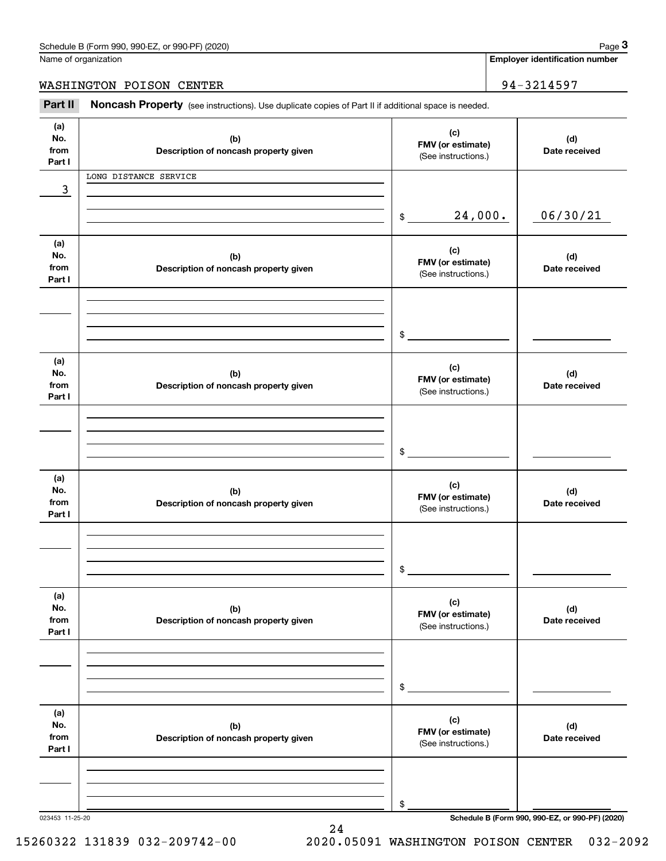**Employer identification number**

WASHINGTON POISON CENTER | 94-3214597

Chedule B (Form 990, 990-EZ, or 990-PF) (2020)<br> **2020 Alame of organization**<br> **34 - 3214597 ASHINGTON POISON CENTER**<br> **Part II Noncash Property** (see instructions). Use duplicate copies of Part II if additional space is

| (a)<br>No.<br>from | (b)<br>Description of noncash property given | (c)<br>FMV (or estimate)<br>(See instructions.) | (d)<br>Date received                            |
|--------------------|----------------------------------------------|-------------------------------------------------|-------------------------------------------------|
| Part I             |                                              |                                                 |                                                 |
|                    | LONG DISTANCE SERVICE                        |                                                 |                                                 |
| 3                  |                                              |                                                 |                                                 |
|                    |                                              |                                                 |                                                 |
|                    |                                              | 24,000.<br>$\frac{1}{2}$                        | 06/30/21                                        |
|                    |                                              |                                                 |                                                 |
| (a)                |                                              |                                                 |                                                 |
| No.                | (b)                                          | (c)                                             | (d)                                             |
| from               | Description of noncash property given        | FMV (or estimate)                               | Date received                                   |
| Part I             |                                              | (See instructions.)                             |                                                 |
|                    |                                              |                                                 |                                                 |
|                    |                                              |                                                 |                                                 |
|                    |                                              |                                                 |                                                 |
|                    |                                              |                                                 |                                                 |
|                    |                                              | $\frac{1}{2}$                                   |                                                 |
| (a)                |                                              |                                                 |                                                 |
| No.                |                                              | (c)                                             |                                                 |
| from               | (b)                                          | FMV (or estimate)                               | (d)<br>Date received                            |
| Part I             | Description of noncash property given        | (See instructions.)                             |                                                 |
|                    |                                              |                                                 |                                                 |
|                    |                                              |                                                 |                                                 |
|                    |                                              |                                                 |                                                 |
|                    |                                              |                                                 |                                                 |
|                    |                                              | \$                                              |                                                 |
|                    |                                              |                                                 |                                                 |
| (a)                |                                              | (c)                                             |                                                 |
| No.                | (b)                                          | FMV (or estimate)                               | (d)                                             |
| from               | Description of noncash property given        | (See instructions.)                             | Date received                                   |
| Part I             |                                              |                                                 |                                                 |
|                    |                                              |                                                 |                                                 |
|                    |                                              |                                                 |                                                 |
|                    |                                              |                                                 |                                                 |
|                    |                                              | \$                                              |                                                 |
|                    |                                              |                                                 |                                                 |
| (a)                |                                              |                                                 |                                                 |
| No.                | (b)                                          | (c)                                             | (d)                                             |
| from               | Description of noncash property given        | FMV (or estimate)                               | Date received                                   |
| Part I             |                                              | (See instructions.)                             |                                                 |
|                    |                                              |                                                 |                                                 |
|                    |                                              |                                                 |                                                 |
|                    |                                              |                                                 |                                                 |
|                    |                                              |                                                 |                                                 |
|                    |                                              | \$                                              |                                                 |
|                    |                                              |                                                 |                                                 |
| (a)                |                                              | (c)                                             |                                                 |
| No.                | (b)                                          | FMV (or estimate)                               | (d)                                             |
| from               | Description of noncash property given        | (See instructions.)                             | Date received                                   |
| Part I             |                                              |                                                 |                                                 |
|                    |                                              |                                                 |                                                 |
|                    |                                              |                                                 |                                                 |
|                    |                                              |                                                 |                                                 |
|                    |                                              | \$                                              |                                                 |
| 023453 11-25-20    |                                              |                                                 | Schedule B (Form 990, 990-EZ, or 990-PF) (2020) |

24

15260322 131839 032-209742-00 2020.05091 WASHINGTON POISON CENTER 032-2092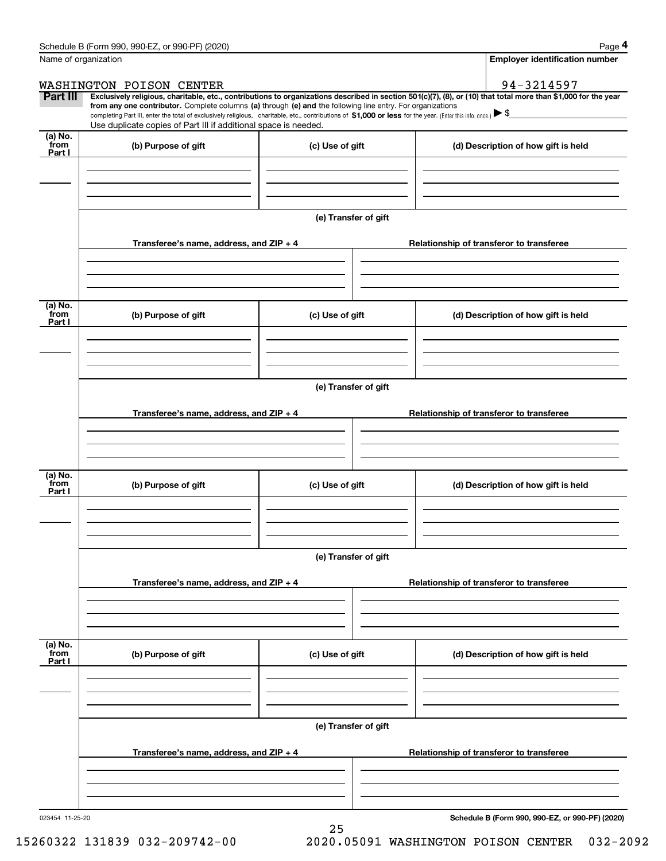|                           | Schedule B (Form 990, 990-EZ, or 990-PF) (2020)                                                                                                                                                                                                                              |                      |  | Page 4                                          |  |  |  |  |
|---------------------------|------------------------------------------------------------------------------------------------------------------------------------------------------------------------------------------------------------------------------------------------------------------------------|----------------------|--|-------------------------------------------------|--|--|--|--|
| Name of organization      |                                                                                                                                                                                                                                                                              |                      |  | Employer identification number                  |  |  |  |  |
|                           | WASHINGTON POISON CENTER                                                                                                                                                                                                                                                     |                      |  | 94-3214597                                      |  |  |  |  |
| Part III                  | Exclusively religious, charitable, etc., contributions to organizations described in section 501(c)(7), (8), or (10) that total more than \$1,000 for the year<br>from any one contributor. Complete columns (a) through (e) and the following line entry. For organizations |                      |  |                                                 |  |  |  |  |
|                           | completing Part III, enter the total of exclusively religious, charitable, etc., contributions of \$1,000 or less for the year. (Enter this info. once.) \\$                                                                                                                 |                      |  |                                                 |  |  |  |  |
|                           | Use duplicate copies of Part III if additional space is needed.                                                                                                                                                                                                              |                      |  |                                                 |  |  |  |  |
| (a) No.<br>from<br>Part I | (b) Purpose of gift                                                                                                                                                                                                                                                          | (c) Use of gift      |  | (d) Description of how gift is held             |  |  |  |  |
|                           |                                                                                                                                                                                                                                                                              |                      |  |                                                 |  |  |  |  |
|                           |                                                                                                                                                                                                                                                                              | (e) Transfer of gift |  |                                                 |  |  |  |  |
|                           | Transferee's name, address, and ZIP + 4                                                                                                                                                                                                                                      |                      |  | Relationship of transferor to transferee        |  |  |  |  |
|                           |                                                                                                                                                                                                                                                                              |                      |  |                                                 |  |  |  |  |
| (a) No.                   |                                                                                                                                                                                                                                                                              |                      |  |                                                 |  |  |  |  |
| from<br>Part I            | (b) Purpose of gift                                                                                                                                                                                                                                                          | (c) Use of gift      |  | (d) Description of how gift is held             |  |  |  |  |
|                           |                                                                                                                                                                                                                                                                              |                      |  |                                                 |  |  |  |  |
|                           | (e) Transfer of gift                                                                                                                                                                                                                                                         |                      |  |                                                 |  |  |  |  |
|                           | Transferee's name, address, and ZIP + 4                                                                                                                                                                                                                                      |                      |  | Relationship of transferor to transferee        |  |  |  |  |
|                           |                                                                                                                                                                                                                                                                              |                      |  |                                                 |  |  |  |  |
| (a) No.<br>from           | (b) Purpose of gift<br>(c) Use of gift                                                                                                                                                                                                                                       |                      |  | (d) Description of how gift is held             |  |  |  |  |
| Part I                    |                                                                                                                                                                                                                                                                              |                      |  |                                                 |  |  |  |  |
|                           |                                                                                                                                                                                                                                                                              |                      |  |                                                 |  |  |  |  |
|                           | (e) Transfer of gift                                                                                                                                                                                                                                                         |                      |  |                                                 |  |  |  |  |
|                           | Transferee's name, address, and ZIP + 4                                                                                                                                                                                                                                      |                      |  | Relationship of transferor to transferee        |  |  |  |  |
|                           |                                                                                                                                                                                                                                                                              |                      |  |                                                 |  |  |  |  |
| (a) No.<br>from<br>Part I | (b) Purpose of gift                                                                                                                                                                                                                                                          | (c) Use of gift      |  | (d) Description of how gift is held             |  |  |  |  |
|                           |                                                                                                                                                                                                                                                                              |                      |  |                                                 |  |  |  |  |
|                           | (e) Transfer of gift                                                                                                                                                                                                                                                         |                      |  |                                                 |  |  |  |  |
|                           | Transferee's name, address, and $ZIP + 4$                                                                                                                                                                                                                                    |                      |  | Relationship of transferor to transferee        |  |  |  |  |
|                           |                                                                                                                                                                                                                                                                              |                      |  |                                                 |  |  |  |  |
|                           |                                                                                                                                                                                                                                                                              |                      |  |                                                 |  |  |  |  |
| 023454 11-25-20           |                                                                                                                                                                                                                                                                              |                      |  | Schedule B (Form 990, 990-EZ, or 990-PF) (2020) |  |  |  |  |

25

**Schedule B (Form 990, 990-EZ, or 990-PF) (2020)**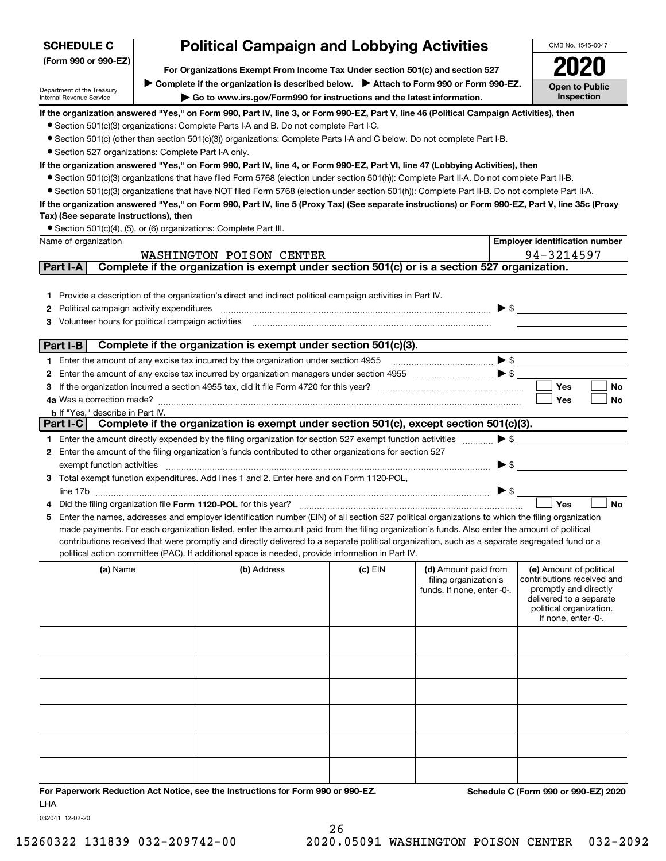| <b>SCHEDULE C</b>                                      | <b>Political Campaign and Lobbying Activities</b> |                                                                                                                                                                                                                                                                                               |         |                            |                                                    |
|--------------------------------------------------------|---------------------------------------------------|-----------------------------------------------------------------------------------------------------------------------------------------------------------------------------------------------------------------------------------------------------------------------------------------------|---------|----------------------------|----------------------------------------------------|
| (Form 990 or 990-EZ)                                   |                                                   |                                                                                                                                                                                                                                                                                               |         |                            |                                                    |
|                                                        |                                                   | ▶ Complete if the organization is described below. ▶ Attach to Form 990 or Form 990-EZ.                                                                                                                                                                                                       |         |                            | <b>Open to Public</b>                              |
| Department of the Treasury<br>Internal Revenue Service |                                                   | Go to www.irs.gov/Form990 for instructions and the latest information.                                                                                                                                                                                                                        |         |                            | Inspection                                         |
|                                                        |                                                   | If the organization answered "Yes," on Form 990, Part IV, line 3, or Form 990-EZ, Part V, line 46 (Political Campaign Activities), then                                                                                                                                                       |         |                            |                                                    |
|                                                        |                                                   | • Section 501(c)(3) organizations: Complete Parts I-A and B. Do not complete Part I-C.                                                                                                                                                                                                        |         |                            |                                                    |
|                                                        |                                                   | ● Section 501(c) (other than section 501(c)(3)) organizations: Complete Parts I-A and C below. Do not complete Part I-B.                                                                                                                                                                      |         |                            |                                                    |
| • Section 527 organizations: Complete Part I-A only.   |                                                   |                                                                                                                                                                                                                                                                                               |         |                            |                                                    |
|                                                        |                                                   | If the organization answered "Yes," on Form 990, Part IV, line 4, or Form 990-EZ, Part VI, line 47 (Lobbying Activities), then                                                                                                                                                                |         |                            |                                                    |
|                                                        |                                                   | • Section 501(c)(3) organizations that have filed Form 5768 (election under section 501(h)): Complete Part II-A. Do not complete Part II-B.                                                                                                                                                   |         |                            |                                                    |
|                                                        |                                                   | • Section 501(c)(3) organizations that have NOT filed Form 5768 (election under section 501(h)): Complete Part II-B. Do not complete Part II-A.                                                                                                                                               |         |                            |                                                    |
| Tax) (See separate instructions), then                 |                                                   | If the organization answered "Yes," on Form 990, Part IV, line 5 (Proxy Tax) (See separate instructions) or Form 990-EZ, Part V, line 35c (Proxy                                                                                                                                              |         |                            |                                                    |
|                                                        |                                                   | • Section 501(c)(4), (5), or (6) organizations: Complete Part III.                                                                                                                                                                                                                            |         |                            |                                                    |
| Name of organization                                   |                                                   |                                                                                                                                                                                                                                                                                               |         |                            | <b>Employer identification number</b>              |
|                                                        |                                                   | WASHINGTON POISON CENTER                                                                                                                                                                                                                                                                      |         |                            | 94-3214597                                         |
| Part I-A                                               |                                                   | Complete if the organization is exempt under section 501(c) or is a section 527 organization.                                                                                                                                                                                                 |         |                            |                                                    |
|                                                        |                                                   |                                                                                                                                                                                                                                                                                               |         |                            |                                                    |
|                                                        |                                                   | 1 Provide a description of the organization's direct and indirect political campaign activities in Part IV.                                                                                                                                                                                   |         |                            |                                                    |
| Political campaign activity expenditures<br>2          |                                                   |                                                                                                                                                                                                                                                                                               |         |                            | $\blacktriangleright$ \$                           |
| 3 Volunteer hours for political campaign activities    |                                                   |                                                                                                                                                                                                                                                                                               |         |                            |                                                    |
| Part I-B                                               |                                                   | Complete if the organization is exempt under section 501(c)(3).                                                                                                                                                                                                                               |         |                            |                                                    |
|                                                        |                                                   |                                                                                                                                                                                                                                                                                               |         |                            |                                                    |
|                                                        |                                                   | 1 Enter the amount of any excise tax incurred by the organization under section 4955                                                                                                                                                                                                          |         |                            | $\bullet \mathsf{s} \_\_$                          |
|                                                        |                                                   | 2 Enter the amount of any excise tax incurred by organization managers under section 4955                                                                                                                                                                                                     |         |                            | <b>Yes</b><br>No                                   |
|                                                        |                                                   |                                                                                                                                                                                                                                                                                               |         |                            | Yes<br>No                                          |
| <b>b</b> If "Yes," describe in Part IV.                |                                                   |                                                                                                                                                                                                                                                                                               |         |                            |                                                    |
|                                                        |                                                   | Part I-C Complete if the organization is exempt under section 501(c), except section 501(c)(3).                                                                                                                                                                                               |         |                            |                                                    |
|                                                        |                                                   | 1 Enter the amount directly expended by the filing organization for section 527 exempt function activities                                                                                                                                                                                    |         | $\blacktriangleright$ \$   |                                                    |
|                                                        |                                                   | 2 Enter the amount of the filing organization's funds contributed to other organizations for section 527                                                                                                                                                                                      |         |                            |                                                    |
| exempt function activities                             |                                                   |                                                                                                                                                                                                                                                                                               |         | $\blacktriangleright$ \$   |                                                    |
|                                                        |                                                   | 3 Total exempt function expenditures. Add lines 1 and 2. Enter here and on Form 1120-POL,                                                                                                                                                                                                     |         |                            |                                                    |
|                                                        |                                                   |                                                                                                                                                                                                                                                                                               |         | $\triangleright$ \$        |                                                    |
|                                                        |                                                   | Did the filing organization file Form 1120-POL for this year?                                                                                                                                                                                                                                 |         |                            | Yes<br><b>No</b>                                   |
|                                                        |                                                   | 5 Enter the names, addresses and employer identification number (EIN) of all section 527 political organizations to which the filing organization                                                                                                                                             |         |                            |                                                    |
|                                                        |                                                   | made payments. For each organization listed, enter the amount paid from the filing organization's funds. Also enter the amount of political<br>contributions received that were promptly and directly delivered to a separate political organization, such as a separate segregated fund or a |         |                            |                                                    |
|                                                        |                                                   | political action committee (PAC). If additional space is needed, provide information in Part IV.                                                                                                                                                                                              |         |                            |                                                    |
| (a) Name                                               |                                                   | (b) Address                                                                                                                                                                                                                                                                                   | (c) EIN | (d) Amount paid from       | (e) Amount of political                            |
|                                                        |                                                   |                                                                                                                                                                                                                                                                                               |         | filing organization's      | contributions received and                         |
|                                                        |                                                   |                                                                                                                                                                                                                                                                                               |         | funds. If none, enter -0-. | promptly and directly                              |
|                                                        |                                                   |                                                                                                                                                                                                                                                                                               |         |                            | delivered to a separate<br>political organization. |
|                                                        |                                                   |                                                                                                                                                                                                                                                                                               |         |                            | If none, enter -0-.                                |
|                                                        |                                                   |                                                                                                                                                                                                                                                                                               |         |                            |                                                    |
|                                                        |                                                   |                                                                                                                                                                                                                                                                                               |         |                            |                                                    |
|                                                        |                                                   |                                                                                                                                                                                                                                                                                               |         |                            |                                                    |
|                                                        |                                                   |                                                                                                                                                                                                                                                                                               |         |                            |                                                    |
|                                                        |                                                   |                                                                                                                                                                                                                                                                                               |         |                            |                                                    |
|                                                        |                                                   |                                                                                                                                                                                                                                                                                               |         |                            |                                                    |
|                                                        |                                                   |                                                                                                                                                                                                                                                                                               |         |                            |                                                    |
|                                                        |                                                   |                                                                                                                                                                                                                                                                                               |         |                            |                                                    |
|                                                        |                                                   |                                                                                                                                                                                                                                                                                               |         |                            |                                                    |
|                                                        |                                                   |                                                                                                                                                                                                                                                                                               |         |                            |                                                    |
|                                                        |                                                   |                                                                                                                                                                                                                                                                                               |         |                            |                                                    |
|                                                        |                                                   | For Paperwork Reduction Act Notice, see the Instructions for Form 990 or 990-FZ.                                                                                                                                                                                                              |         |                            | Schedule C (Form 990 or 990-F7) 2020               |

**For Paperwork Reduction Act Notice, see the Instructions for Form 990 or 990-EZ. Schedule C (Form 990 or 990-EZ) 2020** LHA

032041 12-02-20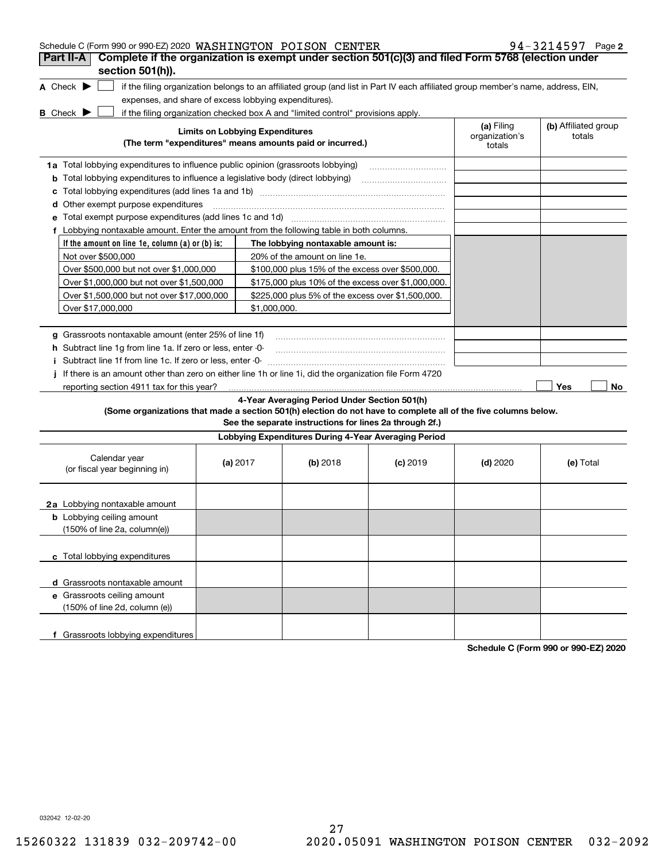| Schedule C (Form 990 or 990-EZ) 2020 WASHINGTON POISON CENTER<br>Complete if the organization is exempt under section 501(c)(3) and filed Form 5768 (election under<br>Part II-A |                                        |                                                                                                         |                                                                                  |                                                                                                                                   |                                        | $94 - 3214597$ Page 2          |
|----------------------------------------------------------------------------------------------------------------------------------------------------------------------------------|----------------------------------------|---------------------------------------------------------------------------------------------------------|----------------------------------------------------------------------------------|-----------------------------------------------------------------------------------------------------------------------------------|----------------------------------------|--------------------------------|
| section 501(h)).                                                                                                                                                                 |                                        |                                                                                                         |                                                                                  |                                                                                                                                   |                                        |                                |
| A Check $\blacktriangleright$<br>expenses, and share of excess lobbying expenditures).<br><b>B</b> Check $\blacktriangleright$                                                   |                                        |                                                                                                         | if the filing organization checked box A and "limited control" provisions apply. | if the filing organization belongs to an affiliated group (and list in Part IV each affiliated group member's name, address, EIN, |                                        |                                |
|                                                                                                                                                                                  | <b>Limits on Lobbying Expenditures</b> |                                                                                                         | (The term "expenditures" means amounts paid or incurred.)                        |                                                                                                                                   | (a) Filing<br>organization's<br>totals | (b) Affiliated group<br>totals |
| 1a Total lobbying expenditures to influence public opinion (grassroots lobbying)                                                                                                 |                                        |                                                                                                         |                                                                                  |                                                                                                                                   |                                        |                                |
| <b>b</b> Total lobbying expenditures to influence a legislative body (direct lobbying)                                                                                           |                                        |                                                                                                         |                                                                                  |                                                                                                                                   |                                        |                                |
| c                                                                                                                                                                                |                                        |                                                                                                         |                                                                                  |                                                                                                                                   |                                        |                                |
| <b>d</b> Other exempt purpose expenditures                                                                                                                                       |                                        |                                                                                                         |                                                                                  |                                                                                                                                   |                                        |                                |
| е                                                                                                                                                                                |                                        |                                                                                                         |                                                                                  |                                                                                                                                   |                                        |                                |
| f Lobbying nontaxable amount. Enter the amount from the following table in both columns.                                                                                         |                                        |                                                                                                         |                                                                                  |                                                                                                                                   |                                        |                                |
| If the amount on line 1e, column $(a)$ or $(b)$ is:                                                                                                                              |                                        |                                                                                                         | The lobbying nontaxable amount is:                                               |                                                                                                                                   |                                        |                                |
| Not over \$500,000                                                                                                                                                               |                                        |                                                                                                         | 20% of the amount on line 1e.                                                    |                                                                                                                                   |                                        |                                |
| Over \$500,000 but not over \$1,000,000                                                                                                                                          |                                        |                                                                                                         | \$100,000 plus 15% of the excess over \$500,000.                                 |                                                                                                                                   |                                        |                                |
| Over \$1,000,000 but not over \$1,500,000                                                                                                                                        |                                        |                                                                                                         |                                                                                  |                                                                                                                                   |                                        |                                |
| Over \$1,500,000 but not over \$17,000,000                                                                                                                                       |                                        | \$175,000 plus 10% of the excess over \$1,000,000.<br>\$225,000 plus 5% of the excess over \$1,500,000. |                                                                                  |                                                                                                                                   |                                        |                                |
| Over \$17,000,000                                                                                                                                                                |                                        | \$1,000,000.                                                                                            |                                                                                  |                                                                                                                                   |                                        |                                |
|                                                                                                                                                                                  |                                        |                                                                                                         |                                                                                  |                                                                                                                                   |                                        |                                |
| g Grassroots nontaxable amount (enter 25% of line 1f)                                                                                                                            |                                        |                                                                                                         |                                                                                  |                                                                                                                                   |                                        |                                |
| h Subtract line 1g from line 1a. If zero or less, enter -0-                                                                                                                      |                                        |                                                                                                         |                                                                                  |                                                                                                                                   |                                        |                                |
| Subtract line 1f from line 1c. If zero or less, enter -0-<br>Ť.                                                                                                                  |                                        |                                                                                                         |                                                                                  |                                                                                                                                   |                                        |                                |
| If there is an amount other than zero on either line 1h or line 1i, did the organization file Form 4720                                                                          |                                        |                                                                                                         |                                                                                  |                                                                                                                                   |                                        |                                |
| reporting section 4911 tax for this year?                                                                                                                                        |                                        |                                                                                                         |                                                                                  |                                                                                                                                   |                                        | Yes<br>No                      |
| (Some organizations that made a section 501(h) election do not have to complete all of the five columns below.                                                                   |                                        |                                                                                                         | 4-Year Averaging Period Under Section 501(h)                                     |                                                                                                                                   |                                        |                                |
|                                                                                                                                                                                  |                                        |                                                                                                         | See the separate instructions for lines 2a through 2f.)                          |                                                                                                                                   |                                        |                                |
|                                                                                                                                                                                  |                                        |                                                                                                         | Lobbying Expenditures During 4-Year Averaging Period                             |                                                                                                                                   |                                        |                                |
|                                                                                                                                                                                  |                                        |                                                                                                         |                                                                                  |                                                                                                                                   |                                        |                                |
| Calendar year<br>(or fiscal year beginning in)                                                                                                                                   | (a) $2017$                             |                                                                                                         | $(b)$ 2018                                                                       | $(c)$ 2019                                                                                                                        | $(d)$ 2020                             | (e) Total                      |
| 2a Lobbying nontaxable amount                                                                                                                                                    |                                        |                                                                                                         |                                                                                  |                                                                                                                                   |                                        |                                |
| <b>b</b> Lobbying ceiling amount<br>(150% of line 2a, column(e))                                                                                                                 |                                        |                                                                                                         |                                                                                  |                                                                                                                                   |                                        |                                |
| c Total lobbying expenditures                                                                                                                                                    |                                        |                                                                                                         |                                                                                  |                                                                                                                                   |                                        |                                |
| d Grassroots nontaxable amount                                                                                                                                                   |                                        |                                                                                                         |                                                                                  |                                                                                                                                   |                                        |                                |
| e Grassroots ceiling amount<br>(150% of line 2d, column (e))                                                                                                                     |                                        |                                                                                                         |                                                                                  |                                                                                                                                   |                                        |                                |
| f Grassroots lobbying expenditures                                                                                                                                               |                                        |                                                                                                         |                                                                                  |                                                                                                                                   |                                        |                                |

**Schedule C (Form 990 or 990-EZ) 2020**

032042 12-02-20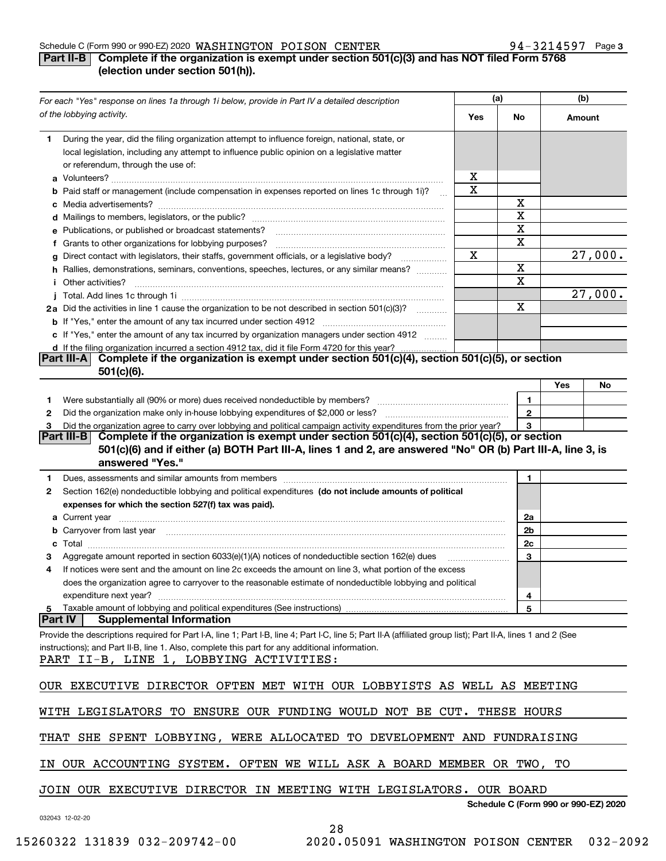#### Schedule C (Form 990 or 990-EZ) 2020 Page WASHINGTON POISON CENTER 94-3214597

# **Part II-B** Complete if the organization is exempt under section 501(c)(3) and has NOT filed Form 5768 **(election under section 501(h)).**

| For each "Yes" response on lines 1a through 1i below, provide in Part IV a detailed description |                                                                                                                                                                                                                                     |             | (a)            |        | (b)                                  |  |
|-------------------------------------------------------------------------------------------------|-------------------------------------------------------------------------------------------------------------------------------------------------------------------------------------------------------------------------------------|-------------|----------------|--------|--------------------------------------|--|
|                                                                                                 | of the lobbying activity.                                                                                                                                                                                                           | Yes         | No             | Amount |                                      |  |
| 1.                                                                                              | During the year, did the filing organization attempt to influence foreign, national, state, or<br>local legislation, including any attempt to influence public opinion on a legislative matter                                      |             |                |        |                                      |  |
|                                                                                                 | or referendum, through the use of:                                                                                                                                                                                                  | х           |                |        |                                      |  |
|                                                                                                 | <b>b</b> Paid staff or management (include compensation in expenses reported on lines 1c through 1i)?                                                                                                                               | $\mathbf X$ |                |        |                                      |  |
|                                                                                                 |                                                                                                                                                                                                                                     |             | х              |        |                                      |  |
|                                                                                                 |                                                                                                                                                                                                                                     |             | X              |        |                                      |  |
|                                                                                                 |                                                                                                                                                                                                                                     |             | X              |        |                                      |  |
|                                                                                                 | e Publications, or published or broadcast statements?                                                                                                                                                                               |             | X              |        |                                      |  |
|                                                                                                 | f Grants to other organizations for lobbying purposes?<br>g Direct contact with legislators, their staffs, government officials, or a legislative body?                                                                             | Χ           |                |        |                                      |  |
|                                                                                                 | h Rallies, demonstrations, seminars, conventions, speeches, lectures, or any similar means?                                                                                                                                         |             | X              |        |                                      |  |
|                                                                                                 |                                                                                                                                                                                                                                     |             | X              |        |                                      |  |
|                                                                                                 | <i>i</i> Other activities?                                                                                                                                                                                                          |             |                |        |                                      |  |
|                                                                                                 |                                                                                                                                                                                                                                     |             | X              |        | 27,000.<br>27,000.<br>Yes<br>No      |  |
|                                                                                                 | 2a Did the activities in line 1 cause the organization to be not described in section 501(c)(3)?                                                                                                                                    |             |                |        |                                      |  |
|                                                                                                 |                                                                                                                                                                                                                                     |             |                |        |                                      |  |
|                                                                                                 | c If "Yes," enter the amount of any tax incurred by organization managers under section 4912                                                                                                                                        |             |                |        |                                      |  |
|                                                                                                 | d If the filing organization incurred a section 4912 tax, did it file Form 4720 for this year?<br>Complete if the organization is exempt under section $501(c)(4)$ , section $501(c)(5)$ , or section<br><b>Part III-AI</b>         |             |                |        |                                      |  |
|                                                                                                 | $501(c)(6)$ .                                                                                                                                                                                                                       |             |                |        |                                      |  |
|                                                                                                 |                                                                                                                                                                                                                                     |             |                |        |                                      |  |
| 1.                                                                                              |                                                                                                                                                                                                                                     |             | 1              |        |                                      |  |
| 2                                                                                               |                                                                                                                                                                                                                                     |             | $\overline{2}$ |        |                                      |  |
| З                                                                                               | Did the organization agree to carry over lobbying and political campaign activity expenditures from the prior year?                                                                                                                 |             | 3              |        |                                      |  |
|                                                                                                 | Complete if the organization is exempt under section 501(c)(4), section 501(c)(5), or section<br>Part III-B I                                                                                                                       |             |                |        |                                      |  |
|                                                                                                 | 501(c)(6) and if either (a) BOTH Part III-A, lines 1 and 2, are answered "No" OR (b) Part III-A, line 3, is<br>answered "Yes."                                                                                                      |             |                |        |                                      |  |
| 1.                                                                                              |                                                                                                                                                                                                                                     |             | 1              |        |                                      |  |
| 2                                                                                               | Section 162(e) nondeductible lobbying and political expenditures (do not include amounts of political                                                                                                                               |             |                |        |                                      |  |
|                                                                                                 | expenses for which the section 527(f) tax was paid).                                                                                                                                                                                |             |                |        |                                      |  |
|                                                                                                 |                                                                                                                                                                                                                                     |             | 2a             |        |                                      |  |
|                                                                                                 | <b>b</b> Carryover from last year manufactured and content to content the content of the content of the content of the content of the content of the content of the content of the content of the content of the content of the con |             | 2b             |        |                                      |  |
|                                                                                                 |                                                                                                                                                                                                                                     |             | 2c             |        |                                      |  |
|                                                                                                 | Aggregate amount reported in section 6033(e)(1)(A) notices of nondeductible section 162(e) dues                                                                                                                                     |             | 3              |        |                                      |  |
| 4                                                                                               | If notices were sent and the amount on line 2c exceeds the amount on line 3, what portion of the excess                                                                                                                             |             |                |        |                                      |  |
|                                                                                                 | does the organization agree to carryover to the reasonable estimate of nondeductible lobbying and political                                                                                                                         |             |                |        |                                      |  |
|                                                                                                 | expenditure next year?                                                                                                                                                                                                              |             | 4              |        |                                      |  |
| 5                                                                                               | Taxable amount of lobbying and political expenditures (See instructions)                                                                                                                                                            |             | 5              |        |                                      |  |
|                                                                                                 | <b>Supplemental Information</b><br> Part IV                                                                                                                                                                                         |             |                |        |                                      |  |
|                                                                                                 | Provide the descriptions required for Part I-A, line 1; Part I-B, line 4; Part I-C, line 5; Part II-A (affiliated group list); Part II-A, lines 1 and 2 (See                                                                        |             |                |        |                                      |  |
|                                                                                                 | instructions); and Part II-B, line 1. Also, complete this part for any additional information.                                                                                                                                      |             |                |        |                                      |  |
|                                                                                                 | PART II-B, LINE 1, LOBBYING ACTIVITIES:                                                                                                                                                                                             |             |                |        |                                      |  |
|                                                                                                 |                                                                                                                                                                                                                                     |             |                |        |                                      |  |
|                                                                                                 | OUR EXECUTIVE DIRECTOR OFTEN MET WITH OUR LOBBYISTS AS WELL AS MEETING                                                                                                                                                              |             |                |        |                                      |  |
|                                                                                                 |                                                                                                                                                                                                                                     |             |                |        |                                      |  |
|                                                                                                 | WITH LEGISLATORS TO ENSURE OUR FUNDING WOULD NOT BE CUT. THESE HOURS                                                                                                                                                                |             |                |        |                                      |  |
|                                                                                                 | THAT SHE SPENT LOBBYING, WERE ALLOCATED TO DEVELOPMENT AND FUNDRAISING                                                                                                                                                              |             |                |        |                                      |  |
|                                                                                                 | IN OUR ACCOUNTING SYSTEM. OFTEN WE WILL ASK A BOARD MEMBER OR TWO, TO                                                                                                                                                               |             |                |        |                                      |  |
|                                                                                                 | JOIN OUR EXECUTIVE DIRECTOR IN MEETING WITH LEGISLATORS. OUR BOARD                                                                                                                                                                  |             |                |        |                                      |  |
|                                                                                                 |                                                                                                                                                                                                                                     |             |                |        | Schedule C (Form 990 or 990-EZ) 2020 |  |
|                                                                                                 | 032043 12-02-20                                                                                                                                                                                                                     |             |                |        |                                      |  |

28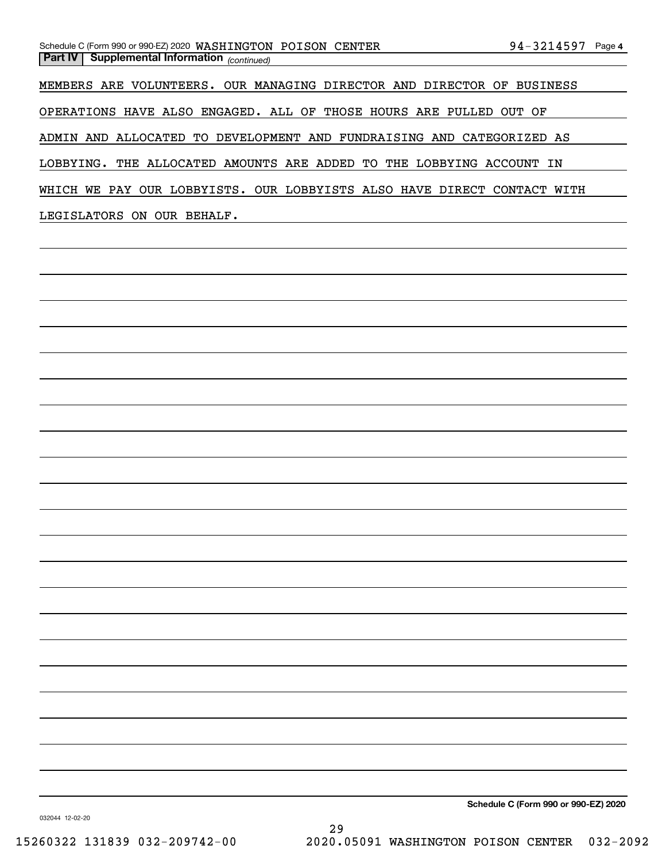MEMBERS ARE VOLUNTEERS. OUR MANAGING DIRECTOR AND DIRECTOR OF BUSINESS

OPERATIONS HAVE ALSO ENGAGED. ALL OF THOSE HOURS ARE PULLED OUT OF

ADMIN AND ALLOCATED TO DEVELOPMENT AND FUNDRAISING AND CATEGORIZED AS

LOBBYING. THE ALLOCATED AMOUNTS ARE ADDED TO THE LOBBYING ACCOUNT IN

WHICH WE PAY OUR LOBBYISTS. OUR LOBBYISTS ALSO HAVE DIRECT CONTACT WITH

LEGISLATORS ON OUR BEHALF.

**Schedule C (Form 990 or 990-EZ) 2020**

032044 12-02-20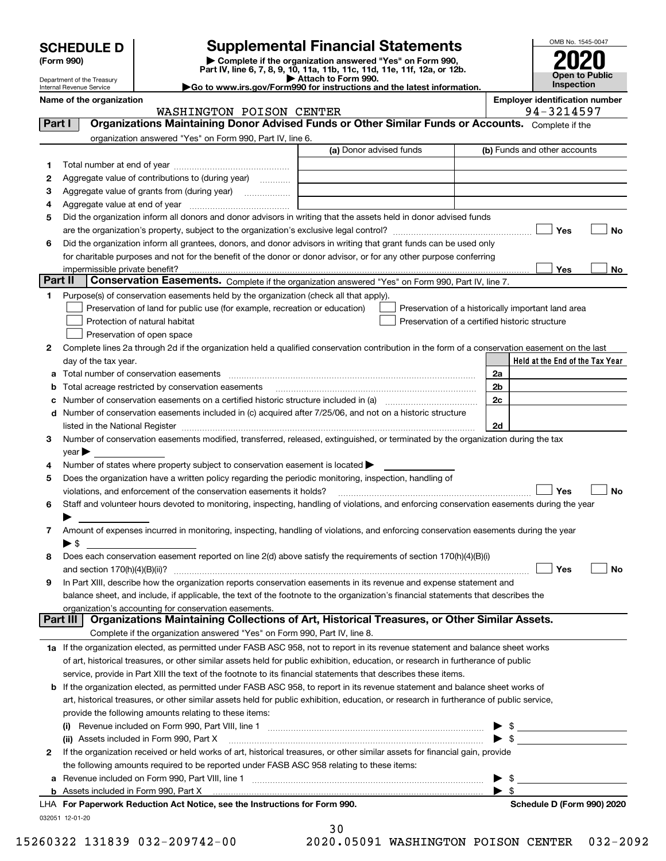| <b>SCHEDULE D</b> |  |
|-------------------|--|
|-------------------|--|

Department of the Treasury

# **SCHEDULE D Supplemental Financial Statements**

(Form 990)<br>
Pepartment of the Treasury<br>
Department of the Treasury<br>
Department of the Treasury<br>
Department of the Treasury<br> **Co to www.irs.gov/Form990 for instructions and the latest information.**<br> **Co to www.irs.gov/Form9** 



Internal Revenue Service

| o www.irs.gov/Form990 for instructions and the latest informatior |  |  |
|-------------------------------------------------------------------|--|--|
|                                                                   |  |  |

Name of the organization<br> **Name of the organization**<br> **Employer identification number**<br> **Employer identification number** 

|        | WASHINGTON POISON CENTER                                                                                                                                                                                                       | 94-3214597                                         |
|--------|--------------------------------------------------------------------------------------------------------------------------------------------------------------------------------------------------------------------------------|----------------------------------------------------|
| Part I | Organizations Maintaining Donor Advised Funds or Other Similar Funds or Accounts. Complete if the                                                                                                                              |                                                    |
|        | organization answered "Yes" on Form 990, Part IV, line 6.                                                                                                                                                                      |                                                    |
|        | (a) Donor advised funds                                                                                                                                                                                                        | (b) Funds and other accounts                       |
| 1.     |                                                                                                                                                                                                                                |                                                    |
| 2      | Aggregate value of contributions to (during year)                                                                                                                                                                              |                                                    |
| з      | Aggregate value of grants from (during year)                                                                                                                                                                                   |                                                    |
| 4      |                                                                                                                                                                                                                                |                                                    |
| 5      | Did the organization inform all donors and donor advisors in writing that the assets held in donor advised funds                                                                                                               |                                                    |
|        |                                                                                                                                                                                                                                | Yes<br>No                                          |
| 6      | Did the organization inform all grantees, donors, and donor advisors in writing that grant funds can be used only                                                                                                              |                                                    |
|        | for charitable purposes and not for the benefit of the donor or donor advisor, or for any other purpose conferring                                                                                                             |                                                    |
|        | impermissible private benefit?                                                                                                                                                                                                 | Yes<br>No                                          |
|        | Part II<br>Conservation Easements. Complete if the organization answered "Yes" on Form 990, Part IV, line 7.                                                                                                                   |                                                    |
| 1.     | Purpose(s) of conservation easements held by the organization (check all that apply).                                                                                                                                          |                                                    |
|        | Preservation of land for public use (for example, recreation or education)                                                                                                                                                     | Preservation of a historically important land area |
|        | Protection of natural habitat                                                                                                                                                                                                  | Preservation of a certified historic structure     |
|        | Preservation of open space                                                                                                                                                                                                     |                                                    |
| 2      | Complete lines 2a through 2d if the organization held a qualified conservation contribution in the form of a conservation easement on the last                                                                                 |                                                    |
|        | day of the tax year.                                                                                                                                                                                                           | Held at the End of the Tax Year                    |
| а      |                                                                                                                                                                                                                                | 2a                                                 |
| b      | Total acreage restricted by conservation easements                                                                                                                                                                             | 2 <sub>b</sub>                                     |
|        | Number of conservation easements on a certified historic structure included in (a) manufacture of conservation                                                                                                                 | 2c                                                 |
| d      | Number of conservation easements included in (c) acquired after 7/25/06, and not on a historic structure                                                                                                                       |                                                    |
|        | listed in the National Register [11, 1200] [12] The National Register [11, 1200] [12] The National Register [11, 1200] [12] The National Register [11, 1200] [12] The National Register [11] The National Register [11] The Na | 2d                                                 |
| 3      | Number of conservation easements modified, transferred, released, extinguished, or terminated by the organization during the tax                                                                                               |                                                    |
|        | $year \triangleright$                                                                                                                                                                                                          |                                                    |
| 4      | Number of states where property subject to conservation easement is located >                                                                                                                                                  |                                                    |
| 5      | Does the organization have a written policy regarding the periodic monitoring, inspection, handling of                                                                                                                         |                                                    |
|        | violations, and enforcement of the conservation easements it holds?                                                                                                                                                            | Yes<br>No                                          |
| 6      | Staff and volunteer hours devoted to monitoring, inspecting, handling of violations, and enforcing conservation easements during the year                                                                                      |                                                    |
|        |                                                                                                                                                                                                                                |                                                    |
| 7      | Amount of expenses incurred in monitoring, inspecting, handling of violations, and enforcing conservation easements during the year                                                                                            |                                                    |
|        | $\blacktriangleright$ \$                                                                                                                                                                                                       |                                                    |
| 8      | Does each conservation easement reported on line 2(d) above satisfy the requirements of section 170(h)(4)(B)(i)                                                                                                                |                                                    |
|        | and section $170(h)(4)(B)(ii)$ ?                                                                                                                                                                                               | Yes<br>No                                          |
| 9      | In Part XIII, describe how the organization reports conservation easements in its revenue and expense statement and                                                                                                            |                                                    |
|        | balance sheet, and include, if applicable, the text of the footnote to the organization's financial statements that describes the                                                                                              |                                                    |
|        | organization's accounting for conservation easements.<br>Organizations Maintaining Collections of Art, Historical Treasures, or Other Similar Assets.<br>Part III                                                              |                                                    |
|        | Complete if the organization answered "Yes" on Form 990, Part IV, line 8.                                                                                                                                                      |                                                    |
|        |                                                                                                                                                                                                                                |                                                    |
|        | 1a If the organization elected, as permitted under FASB ASC 958, not to report in its revenue statement and balance sheet works                                                                                                |                                                    |
|        | of art, historical treasures, or other similar assets held for public exhibition, education, or research in furtherance of public                                                                                              |                                                    |
|        | service, provide in Part XIII the text of the footnote to its financial statements that describes these items.                                                                                                                 |                                                    |
| b      | If the organization elected, as permitted under FASB ASC 958, to report in its revenue statement and balance sheet works of                                                                                                    |                                                    |
|        | art, historical treasures, or other similar assets held for public exhibition, education, or research in furtherance of public service,                                                                                        |                                                    |
|        | provide the following amounts relating to these items:                                                                                                                                                                         |                                                    |
|        |                                                                                                                                                                                                                                | \$                                                 |
|        | (ii) Assets included in Form 990, Part X                                                                                                                                                                                       | $\blacktriangleright$ s                            |
| 2      | If the organization received or held works of art, historical treasures, or other similar assets for financial gain, provide                                                                                                   |                                                    |
|        | the following amounts required to be reported under FASB ASC 958 relating to these items:                                                                                                                                      |                                                    |
| а      |                                                                                                                                                                                                                                | \$                                                 |
|        | LHA For Paperwork Reduction Act Notice, see the Instructions for Form 990.                                                                                                                                                     | $\blacktriangleright$ \$                           |
|        |                                                                                                                                                                                                                                | Schedule D (Form 990) 2020                         |

| 30                     |  |
|------------------------|--|
| ימאד באנג 10,011 היה מ |  |

15260322 131839 032-209742-00 2020.05091 WASHINGTON POISON CENTER 032-2092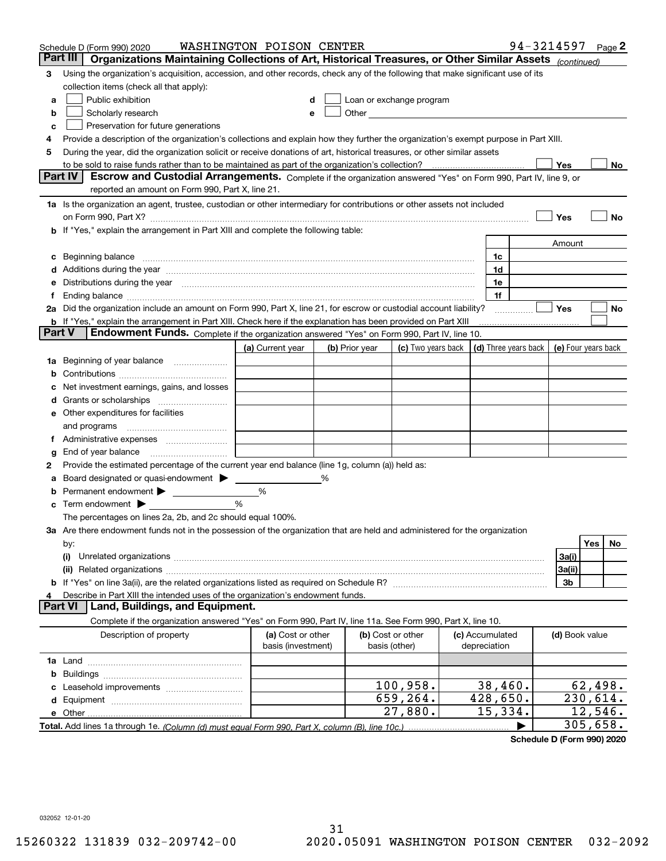|    | Schedule D (Form 990) 2020                                                                                                                                                                                                     | WASHINGTON POISON CENTER |   |                |                                                      |                      | 94-3214597          |                     | Page 2 |
|----|--------------------------------------------------------------------------------------------------------------------------------------------------------------------------------------------------------------------------------|--------------------------|---|----------------|------------------------------------------------------|----------------------|---------------------|---------------------|--------|
|    | Part III<br>Organizations Maintaining Collections of Art, Historical Treasures, or Other Similar Assets (continued)                                                                                                            |                          |   |                |                                                      |                      |                     |                     |        |
| 3  | Using the organization's acquisition, accession, and other records, check any of the following that make significant use of its                                                                                                |                          |   |                |                                                      |                      |                     |                     |        |
|    | collection items (check all that apply):                                                                                                                                                                                       |                          |   |                |                                                      |                      |                     |                     |        |
| a  | Public exhibition                                                                                                                                                                                                              | d                        |   |                | Loan or exchange program                             |                      |                     |                     |        |
| b  | Scholarly research                                                                                                                                                                                                             | е                        |   |                | Other <b>Committee Committee Committee Committee</b> |                      |                     |                     |        |
| c  | Preservation for future generations                                                                                                                                                                                            |                          |   |                |                                                      |                      |                     |                     |        |
| 4  | Provide a description of the organization's collections and explain how they further the organization's exempt purpose in Part XIII.                                                                                           |                          |   |                |                                                      |                      |                     |                     |        |
| 5  | During the year, did the organization solicit or receive donations of art, historical treasures, or other similar assets                                                                                                       |                          |   |                |                                                      |                      |                     |                     |        |
|    | to be sold to raise funds rather than to be maintained as part of the organization's collection?                                                                                                                               |                          |   |                |                                                      |                      | Yes                 |                     | No     |
|    | <b>Part IV</b><br>Escrow and Custodial Arrangements. Complete if the organization answered "Yes" on Form 990, Part IV, line 9, or                                                                                              |                          |   |                |                                                      |                      |                     |                     |        |
|    | reported an amount on Form 990, Part X, line 21.                                                                                                                                                                               |                          |   |                |                                                      |                      |                     |                     |        |
|    | 1a Is the organization an agent, trustee, custodian or other intermediary for contributions or other assets not included                                                                                                       |                          |   |                |                                                      |                      |                     |                     |        |
|    | on Form 990, Part X? [11] matter and the contract of the contract of the contract of the contract of the contract of the contract of the contract of the contract of the contract of the contract of the contract of the contr |                          |   |                |                                                      |                      | Yes                 |                     | No     |
|    | If "Yes," explain the arrangement in Part XIII and complete the following table:                                                                                                                                               |                          |   |                |                                                      |                      |                     |                     |        |
|    |                                                                                                                                                                                                                                |                          |   |                |                                                      |                      | Amount              |                     |        |
| c  | Beginning balance                                                                                                                                                                                                              |                          |   |                |                                                      | 1c                   |                     |                     |        |
| d  | Additions during the year manufactured and an annual contract of the year manufactured and all the year manufactured and all the year manufactured and all the year manufactured and all the year manufactured and all the yea |                          |   |                |                                                      | 1d                   |                     |                     |        |
| е  | Distributions during the year measurement contains and all the state of the state of the state of the state of                                                                                                                 |                          |   |                |                                                      | 1e                   |                     |                     |        |
|    | Ending balance manufacture contract contract and contract contract contract contract contract contract contract contract contract contract contract contract contract contract contract contract contract contract contract co |                          |   |                |                                                      | 1f                   |                     |                     |        |
|    | 2a Did the organization include an amount on Form 990, Part X, line 21, for escrow or custodial account liability?                                                                                                             |                          |   |                |                                                      |                      | Yes                 |                     | No     |
|    | <b>b</b> If "Yes," explain the arrangement in Part XIII. Check here if the explanation has been provided on Part XIII<br>Endowment Funds. Complete if the organization answered "Yes" on Form 990, Part IV, line 10.<br>Part V |                          |   |                |                                                      |                      |                     |                     |        |
|    |                                                                                                                                                                                                                                | (a) Current year         |   | (b) Prior year | (c) Two years back                                   | (d) Three years back | (e) Four years back |                     |        |
| 1a | Beginning of year balance                                                                                                                                                                                                      |                          |   |                |                                                      |                      |                     |                     |        |
| b  |                                                                                                                                                                                                                                |                          |   |                |                                                      |                      |                     |                     |        |
|    | Net investment earnings, gains, and losses                                                                                                                                                                                     |                          |   |                |                                                      |                      |                     |                     |        |
| a  |                                                                                                                                                                                                                                |                          |   |                |                                                      |                      |                     |                     |        |
| е  | Other expenditures for facilities                                                                                                                                                                                              |                          |   |                |                                                      |                      |                     |                     |        |
|    | and programs                                                                                                                                                                                                                   |                          |   |                |                                                      |                      |                     |                     |        |
| Ť. | Administrative expenses                                                                                                                                                                                                        |                          |   |                |                                                      |                      |                     |                     |        |
| g  | End of year balance                                                                                                                                                                                                            |                          |   |                |                                                      |                      |                     |                     |        |
| 2  | Provide the estimated percentage of the current year end balance (line 1g, column (a)) held as:                                                                                                                                |                          |   |                |                                                      |                      |                     |                     |        |
|    | Board designated or quasi-endowment > ____                                                                                                                                                                                     |                          | % |                |                                                      |                      |                     |                     |        |
| b  | Permanent endowment > _______________                                                                                                                                                                                          | %                        |   |                |                                                      |                      |                     |                     |        |
| c  | Term endowment $\blacktriangleright$                                                                                                                                                                                           | %                        |   |                |                                                      |                      |                     |                     |        |
|    | The percentages on lines 2a, 2b, and 2c should equal 100%.                                                                                                                                                                     |                          |   |                |                                                      |                      |                     |                     |        |
|    | 3a Are there endowment funds not in the possession of the organization that are held and administered for the organization                                                                                                     |                          |   |                |                                                      |                      |                     |                     |        |
|    | by:                                                                                                                                                                                                                            |                          |   |                |                                                      |                      |                     | Yes                 | No     |
|    | (i)                                                                                                                                                                                                                            |                          |   |                |                                                      |                      | 3a(i)               |                     |        |
|    |                                                                                                                                                                                                                                |                          |   |                |                                                      |                      | 3a(ii)              |                     |        |
|    |                                                                                                                                                                                                                                |                          |   |                |                                                      |                      | 3b                  |                     |        |
| 4  | Describe in Part XIII the intended uses of the organization's endowment funds.                                                                                                                                                 |                          |   |                |                                                      |                      |                     |                     |        |
|    | Land, Buildings, and Equipment.<br>Part VI                                                                                                                                                                                     |                          |   |                |                                                      |                      |                     |                     |        |
|    | Complete if the organization answered "Yes" on Form 990, Part IV, line 11a. See Form 990, Part X, line 10.                                                                                                                     |                          |   |                |                                                      |                      |                     |                     |        |
|    | Description of property                                                                                                                                                                                                        | (a) Cost or other        |   |                | (b) Cost or other                                    | (c) Accumulated      | (d) Book value      |                     |        |
|    |                                                                                                                                                                                                                                | basis (investment)       |   |                | basis (other)                                        | depreciation         |                     |                     |        |
|    |                                                                                                                                                                                                                                |                          |   |                |                                                      |                      |                     |                     |        |
| b  |                                                                                                                                                                                                                                |                          |   |                |                                                      |                      |                     |                     |        |
|    |                                                                                                                                                                                                                                |                          |   |                | 100,958.                                             | 38,460.              |                     | 62,498.             |        |
| d  |                                                                                                                                                                                                                                |                          |   |                | 659,264.                                             | 428,650.             |                     | 230,614.<br>12,546. |        |
|    | e Other                                                                                                                                                                                                                        |                          |   |                | 27,880.                                              | 15,334.              |                     |                     |        |
|    | Total. Add lines 1a through 1e. (Column (d) must equal Form 990. Part X, column (B), line 10c.)                                                                                                                                |                          |   |                |                                                      |                      |                     | 305,658.            |        |

**Schedule D (Form 990) 2020**

032052 12-01-20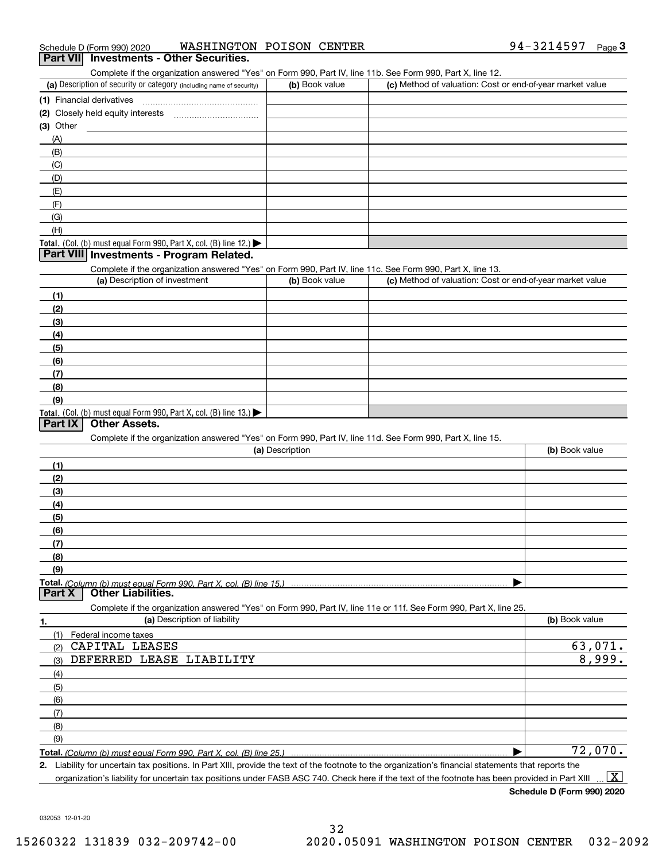Complete if the organization answered "Yes" on Form 990, Part IV, line 11b. See Form 990, Part X, line 12.

| (a) Description of security or category (including name of security)       | (b) Book value | (c) Method of valuation: Cost or end-of-year market value |
|----------------------------------------------------------------------------|----------------|-----------------------------------------------------------|
| (1) Financial derivatives                                                  |                |                                                           |
| (2) Closely held equity interests                                          |                |                                                           |
| $(3)$ Other                                                                |                |                                                           |
| (A)                                                                        |                |                                                           |
| (B)                                                                        |                |                                                           |
| (C)                                                                        |                |                                                           |
| (D)                                                                        |                |                                                           |
| (E)                                                                        |                |                                                           |
| (F)                                                                        |                |                                                           |
| (G)                                                                        |                |                                                           |
| (H)                                                                        |                |                                                           |
| <b>Total.</b> (Col. (b) must equal Form 990, Part X, col. (B) line $12$ .) |                |                                                           |

#### **Part VIII Investments - Program Related.**

Complete if the organization answered "Yes" on Form 990, Part IV, line 11c. See Form 990, Part X, line 13.

| (a) Description of investment                                    | (b) Book value | (c) Method of valuation: Cost or end-of-year market value |
|------------------------------------------------------------------|----------------|-----------------------------------------------------------|
| (1)                                                              |                |                                                           |
| (2)                                                              |                |                                                           |
| $\frac{1}{2}$                                                    |                |                                                           |
| (4)                                                              |                |                                                           |
| $\frac{1}{2}$                                                    |                |                                                           |
| (6)                                                              |                |                                                           |
| (7)                                                              |                |                                                           |
| (8)                                                              |                |                                                           |
| (9)                                                              |                |                                                           |
| Total. (Col. (b) must equal Form 990, Part X, col. (B) line 13.) |                |                                                           |

## **Part IX Other Assets.**

Complete if the organization answered "Yes" on Form 990, Part IV, line 11d. See Form 990, Part X, line 15.

| (a) Description                                                                                                   | (b) Book value |
|-------------------------------------------------------------------------------------------------------------------|----------------|
| (1)                                                                                                               |                |
| (2)                                                                                                               |                |
| (3)                                                                                                               |                |
| (4)                                                                                                               |                |
| (5)                                                                                                               |                |
| (6)                                                                                                               |                |
| (7)                                                                                                               |                |
| (8)                                                                                                               |                |
| (9)                                                                                                               |                |
|                                                                                                                   |                |
| <b>Part X   Other Liabilities.</b>                                                                                |                |
| Complete if the organization answered "Yes" on Form 990, Part IV, line 11e or 11f. See Form 990, Part X, line 25. |                |

| 1.  | (a) Description of liability | (b) Book value |
|-----|------------------------------|----------------|
| (1) | Federal income taxes         |                |
| (2) | CAPITAL LEASES               | 63,071.        |
| (3) | DEFERRED LEASE LIABILITY     | 8,999.         |
| (4) |                              |                |
| (5) |                              |                |
| (6) |                              |                |
| (7) |                              |                |
| (8) |                              |                |
| (9) |                              |                |
|     |                              | 72,070.        |

**2.** Liability for uncertain tax positions. In Part XIII, provide the text of the footnote to the organization's financial statements that reports the organization's liability for uncertain tax positions under FASB ASC 740. Check here if the text of the footnote has been provided in Part XIII  $\boxed{\text{X}}$ 

**Schedule D (Form 990) 2020**

032053 12-01-20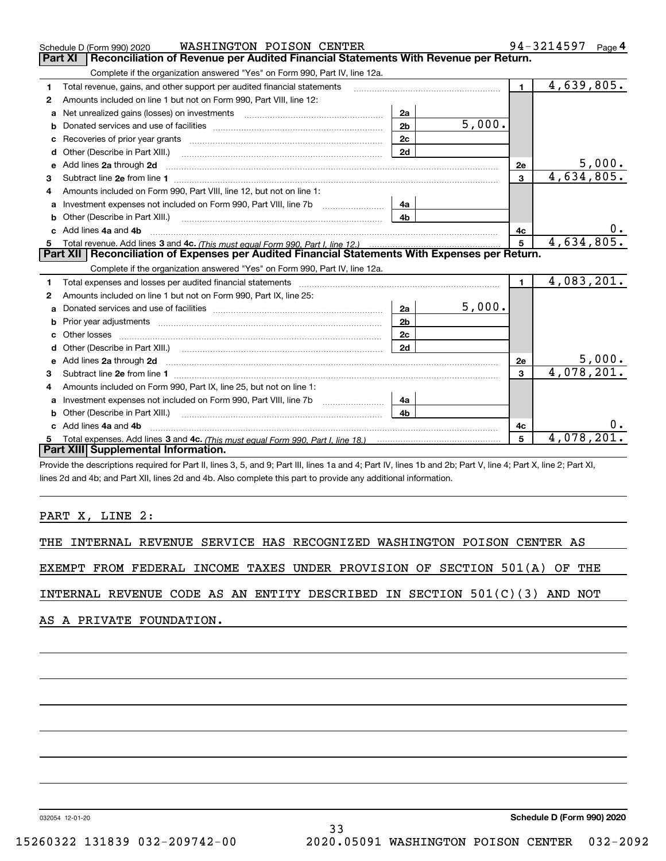|    | WASHINGTON POISON CENTER<br>Schedule D (Form 990) 2020                                                                                                                                                                              |                |        |                | 94-3214597 $_{Page}$ 4 |
|----|-------------------------------------------------------------------------------------------------------------------------------------------------------------------------------------------------------------------------------------|----------------|--------|----------------|------------------------|
|    | Reconciliation of Revenue per Audited Financial Statements With Revenue per Return.<br><b>Part XI</b>                                                                                                                               |                |        |                |                        |
|    | Complete if the organization answered "Yes" on Form 990, Part IV, line 12a.                                                                                                                                                         |                |        |                |                        |
| 1  | Total revenue, gains, and other support per audited financial statements                                                                                                                                                            |                |        | 1              | 4,639,805.             |
| 2  | Amounts included on line 1 but not on Form 990, Part VIII, line 12:                                                                                                                                                                 |                |        |                |                        |
| a  |                                                                                                                                                                                                                                     | 2a             |        |                |                        |
| b  |                                                                                                                                                                                                                                     | 2 <sub>b</sub> | 5,000. |                |                        |
| c  |                                                                                                                                                                                                                                     | 2c             |        |                |                        |
| d  | Other (Describe in Part XIII.)                                                                                                                                                                                                      | 2d             |        |                |                        |
| е  | Add lines 2a through 2d <b>must be a constructed as the constant of the construction of the construction</b> and the construction of the construction of the construction of the construction of the construction of the constructi |                |        | 2e             | 5,000.                 |
| з  |                                                                                                                                                                                                                                     |                |        | $\overline{3}$ | 4,634,805.             |
| 4  | Amounts included on Form 990. Part VIII. line 12, but not on line 1:                                                                                                                                                                |                |        |                |                        |
|    | Investment expenses not included on Form 990, Part VIII, line 7b [1000000000000000000000000000000000                                                                                                                                | 4а             |        |                |                        |
| b  |                                                                                                                                                                                                                                     | 4 <sub>b</sub> |        |                |                        |
| c. | Add lines 4a and 4b                                                                                                                                                                                                                 |                |        | 4c             |                        |
|    |                                                                                                                                                                                                                                     |                |        | $5^{\circ}$    | 4,634,805.             |
|    | Part XII   Reconciliation of Expenses per Audited Financial Statements With Expenses per Return.                                                                                                                                    |                |        |                |                        |
|    | Complete if the organization answered "Yes" on Form 990, Part IV, line 12a.                                                                                                                                                         |                |        |                |                        |
| 1  | Total expenses and losses per audited financial statements [11] [12] contraction control of the statements [11] [12] and the statements [12] and the statements [12] and the statements [12] and the statements and the statem      |                |        | $\mathbf{1}$   | 4,083,201.             |
| 2  | Amounts included on line 1 but not on Form 990, Part IX, line 25:                                                                                                                                                                   |                |        |                |                        |
| a  |                                                                                                                                                                                                                                     | 2a             | 5,000. |                |                        |
| b  |                                                                                                                                                                                                                                     | 2 <sub>b</sub> |        |                |                        |
|    |                                                                                                                                                                                                                                     | 2c             |        |                |                        |
| d  |                                                                                                                                                                                                                                     | 2d             |        |                |                        |
| e  | Add lines 2a through 2d <b>manufactures</b> in the contract of the contract of the contract of the contract of the contract of the contract of the contract of the contract of the contract of the contract of the contract of the  |                |        | <b>2e</b>      | 5,000.                 |
| 3  |                                                                                                                                                                                                                                     |                |        | 3              | 4,078,201.             |
| 4  | Amounts included on Form 990, Part IX, line 25, but not on line 1:                                                                                                                                                                  |                |        |                |                        |
| a  | Investment expenses not included on Form 990, Part VIII, line 7b [1000000000000000000000000000000000                                                                                                                                | 4a             |        |                |                        |
| b  | Other (Describe in Part XIII.)                                                                                                                                                                                                      | 4 <sub>h</sub> |        |                |                        |
|    | c Add lines 4a and 4b                                                                                                                                                                                                               |                |        | 4c             |                        |
|    |                                                                                                                                                                                                                                     |                |        | 5              | 4,078,201              |
|    | Part XIII Supplemental Information.                                                                                                                                                                                                 |                |        |                |                        |

Provide the descriptions required for Part II, lines 3, 5, and 9; Part III, lines 1a and 4; Part IV, lines 1b and 2b; Part V, line 4; Part X, line 2; Part XI, lines 2d and 4b; and Part XII, lines 2d and 4b. Also complete this part to provide any additional information.

## PART X, LINE 2:

THE INTERNAL REVENUE SERVICE HAS RECOGNIZED WASHINGTON POISON CENTER AS

EXEMPT FROM FEDERAL INCOME TAXES UNDER PROVISION OF SECTION 501(A) OF THE

INTERNAL REVENUE CODE AS AN ENTITY DESCRIBED IN SECTION 501(C)(3) AND NOT

AS A PRIVATE FOUNDATION.

032054 12-01-20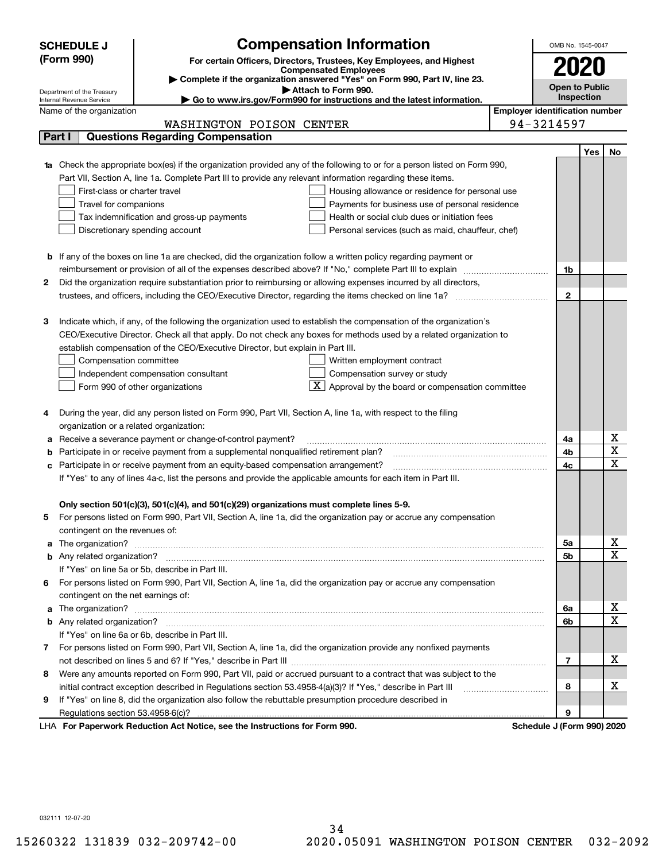| 2020<br>Complete if the organization answered "Yes" on Form 990, Part IV, line 23.<br><b>Open to Public</b><br>Attach to Form 990.<br>Department of the Treasury<br><b>Inspection</b><br>Go to www.irs.gov/Form990 for instructions and the latest information.<br>Internal Revenue Service<br><b>Employer identification number</b><br>Name of the organization<br>94-3214597<br>WASHINGTON POISON CENTER<br><b>Questions Regarding Compensation</b><br>Part I<br>Yes<br>No<br>1a Check the appropriate box(es) if the organization provided any of the following to or for a person listed on Form 990,<br>Part VII, Section A, line 1a. Complete Part III to provide any relevant information regarding these items.<br>First-class or charter travel<br>Housing allowance or residence for personal use<br>Travel for companions<br>Payments for business use of personal residence<br>Tax indemnification and gross-up payments<br>Health or social club dues or initiation fees<br>Discretionary spending account<br>Personal services (such as maid, chauffeur, chef)<br><b>b</b> If any of the boxes on line 1a are checked, did the organization follow a written policy regarding payment or<br>reimbursement or provision of all of the expenses described above? If "No," complete Part III to explain<br>1b<br>Did the organization require substantiation prior to reimbursing or allowing expenses incurred by all directors,<br>2<br>$\mathbf{2}$ |  | <b>Compensation Information</b><br><b>SCHEDULE J</b><br>(Form 990)<br>For certain Officers, Directors, Trustees, Key Employees, and Highest<br><b>Compensated Employees</b> |  |  |  | OMB No. 1545-0047 |  |  |  |
|-------------------------------------------------------------------------------------------------------------------------------------------------------------------------------------------------------------------------------------------------------------------------------------------------------------------------------------------------------------------------------------------------------------------------------------------------------------------------------------------------------------------------------------------------------------------------------------------------------------------------------------------------------------------------------------------------------------------------------------------------------------------------------------------------------------------------------------------------------------------------------------------------------------------------------------------------------------------------------------------------------------------------------------------------------------------------------------------------------------------------------------------------------------------------------------------------------------------------------------------------------------------------------------------------------------------------------------------------------------------------------------------------------------------------------------------------------------------|--|-----------------------------------------------------------------------------------------------------------------------------------------------------------------------------|--|--|--|-------------------|--|--|--|
|                                                                                                                                                                                                                                                                                                                                                                                                                                                                                                                                                                                                                                                                                                                                                                                                                                                                                                                                                                                                                                                                                                                                                                                                                                                                                                                                                                                                                                                                   |  |                                                                                                                                                                             |  |  |  |                   |  |  |  |
|                                                                                                                                                                                                                                                                                                                                                                                                                                                                                                                                                                                                                                                                                                                                                                                                                                                                                                                                                                                                                                                                                                                                                                                                                                                                                                                                                                                                                                                                   |  |                                                                                                                                                                             |  |  |  |                   |  |  |  |
|                                                                                                                                                                                                                                                                                                                                                                                                                                                                                                                                                                                                                                                                                                                                                                                                                                                                                                                                                                                                                                                                                                                                                                                                                                                                                                                                                                                                                                                                   |  |                                                                                                                                                                             |  |  |  |                   |  |  |  |
|                                                                                                                                                                                                                                                                                                                                                                                                                                                                                                                                                                                                                                                                                                                                                                                                                                                                                                                                                                                                                                                                                                                                                                                                                                                                                                                                                                                                                                                                   |  |                                                                                                                                                                             |  |  |  |                   |  |  |  |
|                                                                                                                                                                                                                                                                                                                                                                                                                                                                                                                                                                                                                                                                                                                                                                                                                                                                                                                                                                                                                                                                                                                                                                                                                                                                                                                                                                                                                                                                   |  |                                                                                                                                                                             |  |  |  |                   |  |  |  |
|                                                                                                                                                                                                                                                                                                                                                                                                                                                                                                                                                                                                                                                                                                                                                                                                                                                                                                                                                                                                                                                                                                                                                                                                                                                                                                                                                                                                                                                                   |  |                                                                                                                                                                             |  |  |  |                   |  |  |  |
|                                                                                                                                                                                                                                                                                                                                                                                                                                                                                                                                                                                                                                                                                                                                                                                                                                                                                                                                                                                                                                                                                                                                                                                                                                                                                                                                                                                                                                                                   |  |                                                                                                                                                                             |  |  |  |                   |  |  |  |
|                                                                                                                                                                                                                                                                                                                                                                                                                                                                                                                                                                                                                                                                                                                                                                                                                                                                                                                                                                                                                                                                                                                                                                                                                                                                                                                                                                                                                                                                   |  |                                                                                                                                                                             |  |  |  |                   |  |  |  |
|                                                                                                                                                                                                                                                                                                                                                                                                                                                                                                                                                                                                                                                                                                                                                                                                                                                                                                                                                                                                                                                                                                                                                                                                                                                                                                                                                                                                                                                                   |  |                                                                                                                                                                             |  |  |  |                   |  |  |  |
|                                                                                                                                                                                                                                                                                                                                                                                                                                                                                                                                                                                                                                                                                                                                                                                                                                                                                                                                                                                                                                                                                                                                                                                                                                                                                                                                                                                                                                                                   |  |                                                                                                                                                                             |  |  |  |                   |  |  |  |
|                                                                                                                                                                                                                                                                                                                                                                                                                                                                                                                                                                                                                                                                                                                                                                                                                                                                                                                                                                                                                                                                                                                                                                                                                                                                                                                                                                                                                                                                   |  |                                                                                                                                                                             |  |  |  |                   |  |  |  |
|                                                                                                                                                                                                                                                                                                                                                                                                                                                                                                                                                                                                                                                                                                                                                                                                                                                                                                                                                                                                                                                                                                                                                                                                                                                                                                                                                                                                                                                                   |  |                                                                                                                                                                             |  |  |  |                   |  |  |  |
|                                                                                                                                                                                                                                                                                                                                                                                                                                                                                                                                                                                                                                                                                                                                                                                                                                                                                                                                                                                                                                                                                                                                                                                                                                                                                                                                                                                                                                                                   |  |                                                                                                                                                                             |  |  |  |                   |  |  |  |
|                                                                                                                                                                                                                                                                                                                                                                                                                                                                                                                                                                                                                                                                                                                                                                                                                                                                                                                                                                                                                                                                                                                                                                                                                                                                                                                                                                                                                                                                   |  |                                                                                                                                                                             |  |  |  |                   |  |  |  |
|                                                                                                                                                                                                                                                                                                                                                                                                                                                                                                                                                                                                                                                                                                                                                                                                                                                                                                                                                                                                                                                                                                                                                                                                                                                                                                                                                                                                                                                                   |  |                                                                                                                                                                             |  |  |  |                   |  |  |  |
|                                                                                                                                                                                                                                                                                                                                                                                                                                                                                                                                                                                                                                                                                                                                                                                                                                                                                                                                                                                                                                                                                                                                                                                                                                                                                                                                                                                                                                                                   |  |                                                                                                                                                                             |  |  |  |                   |  |  |  |
|                                                                                                                                                                                                                                                                                                                                                                                                                                                                                                                                                                                                                                                                                                                                                                                                                                                                                                                                                                                                                                                                                                                                                                                                                                                                                                                                                                                                                                                                   |  |                                                                                                                                                                             |  |  |  |                   |  |  |  |
|                                                                                                                                                                                                                                                                                                                                                                                                                                                                                                                                                                                                                                                                                                                                                                                                                                                                                                                                                                                                                                                                                                                                                                                                                                                                                                                                                                                                                                                                   |  |                                                                                                                                                                             |  |  |  |                   |  |  |  |
| 3<br>Indicate which, if any, of the following the organization used to establish the compensation of the organization's                                                                                                                                                                                                                                                                                                                                                                                                                                                                                                                                                                                                                                                                                                                                                                                                                                                                                                                                                                                                                                                                                                                                                                                                                                                                                                                                           |  |                                                                                                                                                                             |  |  |  |                   |  |  |  |
| CEO/Executive Director. Check all that apply. Do not check any boxes for methods used by a related organization to                                                                                                                                                                                                                                                                                                                                                                                                                                                                                                                                                                                                                                                                                                                                                                                                                                                                                                                                                                                                                                                                                                                                                                                                                                                                                                                                                |  |                                                                                                                                                                             |  |  |  |                   |  |  |  |
| establish compensation of the CEO/Executive Director, but explain in Part III.                                                                                                                                                                                                                                                                                                                                                                                                                                                                                                                                                                                                                                                                                                                                                                                                                                                                                                                                                                                                                                                                                                                                                                                                                                                                                                                                                                                    |  |                                                                                                                                                                             |  |  |  |                   |  |  |  |
| Compensation committee<br>Written employment contract                                                                                                                                                                                                                                                                                                                                                                                                                                                                                                                                                                                                                                                                                                                                                                                                                                                                                                                                                                                                                                                                                                                                                                                                                                                                                                                                                                                                             |  |                                                                                                                                                                             |  |  |  |                   |  |  |  |
| Compensation survey or study<br>Independent compensation consultant                                                                                                                                                                                                                                                                                                                                                                                                                                                                                                                                                                                                                                                                                                                                                                                                                                                                                                                                                                                                                                                                                                                                                                                                                                                                                                                                                                                               |  |                                                                                                                                                                             |  |  |  |                   |  |  |  |
| $\overline{X}$ Approval by the board or compensation committee<br>Form 990 of other organizations                                                                                                                                                                                                                                                                                                                                                                                                                                                                                                                                                                                                                                                                                                                                                                                                                                                                                                                                                                                                                                                                                                                                                                                                                                                                                                                                                                 |  |                                                                                                                                                                             |  |  |  |                   |  |  |  |
|                                                                                                                                                                                                                                                                                                                                                                                                                                                                                                                                                                                                                                                                                                                                                                                                                                                                                                                                                                                                                                                                                                                                                                                                                                                                                                                                                                                                                                                                   |  |                                                                                                                                                                             |  |  |  |                   |  |  |  |
| During the year, did any person listed on Form 990, Part VII, Section A, line 1a, with respect to the filing                                                                                                                                                                                                                                                                                                                                                                                                                                                                                                                                                                                                                                                                                                                                                                                                                                                                                                                                                                                                                                                                                                                                                                                                                                                                                                                                                      |  |                                                                                                                                                                             |  |  |  |                   |  |  |  |
| organization or a related organization:                                                                                                                                                                                                                                                                                                                                                                                                                                                                                                                                                                                                                                                                                                                                                                                                                                                                                                                                                                                                                                                                                                                                                                                                                                                                                                                                                                                                                           |  |                                                                                                                                                                             |  |  |  |                   |  |  |  |
| х<br>Receive a severance payment or change-of-control payment?<br>4a<br>$\overline{\texttt{x}}$                                                                                                                                                                                                                                                                                                                                                                                                                                                                                                                                                                                                                                                                                                                                                                                                                                                                                                                                                                                                                                                                                                                                                                                                                                                                                                                                                                   |  |                                                                                                                                                                             |  |  |  |                   |  |  |  |
| 4b<br>Participate in or receive payment from a supplemental nonqualified retirement plan?<br>$\overline{\text{x}}$                                                                                                                                                                                                                                                                                                                                                                                                                                                                                                                                                                                                                                                                                                                                                                                                                                                                                                                                                                                                                                                                                                                                                                                                                                                                                                                                                |  |                                                                                                                                                                             |  |  |  |                   |  |  |  |
| 4c<br>с                                                                                                                                                                                                                                                                                                                                                                                                                                                                                                                                                                                                                                                                                                                                                                                                                                                                                                                                                                                                                                                                                                                                                                                                                                                                                                                                                                                                                                                           |  | Participate in or receive payment from an equity-based compensation arrangement?                                                                                            |  |  |  |                   |  |  |  |
|                                                                                                                                                                                                                                                                                                                                                                                                                                                                                                                                                                                                                                                                                                                                                                                                                                                                                                                                                                                                                                                                                                                                                                                                                                                                                                                                                                                                                                                                   |  | If "Yes" to any of lines 4a-c, list the persons and provide the applicable amounts for each item in Part III.                                                               |  |  |  |                   |  |  |  |
|                                                                                                                                                                                                                                                                                                                                                                                                                                                                                                                                                                                                                                                                                                                                                                                                                                                                                                                                                                                                                                                                                                                                                                                                                                                                                                                                                                                                                                                                   |  |                                                                                                                                                                             |  |  |  |                   |  |  |  |
| Only section 501(c)(3), 501(c)(4), and 501(c)(29) organizations must complete lines 5-9.                                                                                                                                                                                                                                                                                                                                                                                                                                                                                                                                                                                                                                                                                                                                                                                                                                                                                                                                                                                                                                                                                                                                                                                                                                                                                                                                                                          |  |                                                                                                                                                                             |  |  |  |                   |  |  |  |
| For persons listed on Form 990, Part VII, Section A, line 1a, did the organization pay or accrue any compensation                                                                                                                                                                                                                                                                                                                                                                                                                                                                                                                                                                                                                                                                                                                                                                                                                                                                                                                                                                                                                                                                                                                                                                                                                                                                                                                                                 |  |                                                                                                                                                                             |  |  |  |                   |  |  |  |
| contingent on the revenues of:                                                                                                                                                                                                                                                                                                                                                                                                                                                                                                                                                                                                                                                                                                                                                                                                                                                                                                                                                                                                                                                                                                                                                                                                                                                                                                                                                                                                                                    |  |                                                                                                                                                                             |  |  |  |                   |  |  |  |
| x<br>a The organization? <b>Entitation</b> and the organization?<br>5а<br>$\overline{\text{x}}$                                                                                                                                                                                                                                                                                                                                                                                                                                                                                                                                                                                                                                                                                                                                                                                                                                                                                                                                                                                                                                                                                                                                                                                                                                                                                                                                                                   |  |                                                                                                                                                                             |  |  |  |                   |  |  |  |
| <b>5b</b>                                                                                                                                                                                                                                                                                                                                                                                                                                                                                                                                                                                                                                                                                                                                                                                                                                                                                                                                                                                                                                                                                                                                                                                                                                                                                                                                                                                                                                                         |  |                                                                                                                                                                             |  |  |  |                   |  |  |  |
| If "Yes" on line 5a or 5b, describe in Part III.                                                                                                                                                                                                                                                                                                                                                                                                                                                                                                                                                                                                                                                                                                                                                                                                                                                                                                                                                                                                                                                                                                                                                                                                                                                                                                                                                                                                                  |  |                                                                                                                                                                             |  |  |  |                   |  |  |  |
| For persons listed on Form 990, Part VII, Section A, line 1a, did the organization pay or accrue any compensation<br>6.                                                                                                                                                                                                                                                                                                                                                                                                                                                                                                                                                                                                                                                                                                                                                                                                                                                                                                                                                                                                                                                                                                                                                                                                                                                                                                                                           |  |                                                                                                                                                                             |  |  |  |                   |  |  |  |
| contingent on the net earnings of:<br>x                                                                                                                                                                                                                                                                                                                                                                                                                                                                                                                                                                                                                                                                                                                                                                                                                                                                                                                                                                                                                                                                                                                                                                                                                                                                                                                                                                                                                           |  |                                                                                                                                                                             |  |  |  |                   |  |  |  |
| a The organization? <b>Entitled Strategies and Strategies and Strategies and Strategies and Strategies and Strategies and Strategies and Strategies and Strategies and Strategies and Strategies and Strategies and Strategies a</b><br>6a<br>$\overline{\text{x}}$<br>6b                                                                                                                                                                                                                                                                                                                                                                                                                                                                                                                                                                                                                                                                                                                                                                                                                                                                                                                                                                                                                                                                                                                                                                                         |  |                                                                                                                                                                             |  |  |  |                   |  |  |  |
|                                                                                                                                                                                                                                                                                                                                                                                                                                                                                                                                                                                                                                                                                                                                                                                                                                                                                                                                                                                                                                                                                                                                                                                                                                                                                                                                                                                                                                                                   |  |                                                                                                                                                                             |  |  |  |                   |  |  |  |
| If "Yes" on line 6a or 6b, describe in Part III.                                                                                                                                                                                                                                                                                                                                                                                                                                                                                                                                                                                                                                                                                                                                                                                                                                                                                                                                                                                                                                                                                                                                                                                                                                                                                                                                                                                                                  |  |                                                                                                                                                                             |  |  |  |                   |  |  |  |
| 7 For persons listed on Form 990, Part VII, Section A, line 1a, did the organization provide any nonfixed payments<br>х<br>7                                                                                                                                                                                                                                                                                                                                                                                                                                                                                                                                                                                                                                                                                                                                                                                                                                                                                                                                                                                                                                                                                                                                                                                                                                                                                                                                      |  |                                                                                                                                                                             |  |  |  |                   |  |  |  |
| Were any amounts reported on Form 990, Part VII, paid or accrued pursuant to a contract that was subject to the                                                                                                                                                                                                                                                                                                                                                                                                                                                                                                                                                                                                                                                                                                                                                                                                                                                                                                                                                                                                                                                                                                                                                                                                                                                                                                                                                   |  |                                                                                                                                                                             |  |  |  |                   |  |  |  |
| 8<br>x<br>8                                                                                                                                                                                                                                                                                                                                                                                                                                                                                                                                                                                                                                                                                                                                                                                                                                                                                                                                                                                                                                                                                                                                                                                                                                                                                                                                                                                                                                                       |  |                                                                                                                                                                             |  |  |  |                   |  |  |  |
| initial contract exception described in Regulations section 53.4958-4(a)(3)? If "Yes," describe in Part III<br>If "Yes" on line 8, did the organization also follow the rebuttable presumption procedure described in                                                                                                                                                                                                                                                                                                                                                                                                                                                                                                                                                                                                                                                                                                                                                                                                                                                                                                                                                                                                                                                                                                                                                                                                                                             |  |                                                                                                                                                                             |  |  |  |                   |  |  |  |
| 9<br>9<br>Regulations section 53.4958-6(c)?                                                                                                                                                                                                                                                                                                                                                                                                                                                                                                                                                                                                                                                                                                                                                                                                                                                                                                                                                                                                                                                                                                                                                                                                                                                                                                                                                                                                                       |  |                                                                                                                                                                             |  |  |  |                   |  |  |  |
| LHA For Paperwork Reduction Act Notice, see the Instructions for Form 990.<br>Schedule J (Form 990) 2020                                                                                                                                                                                                                                                                                                                                                                                                                                                                                                                                                                                                                                                                                                                                                                                                                                                                                                                                                                                                                                                                                                                                                                                                                                                                                                                                                          |  |                                                                                                                                                                             |  |  |  |                   |  |  |  |

032111 12-07-20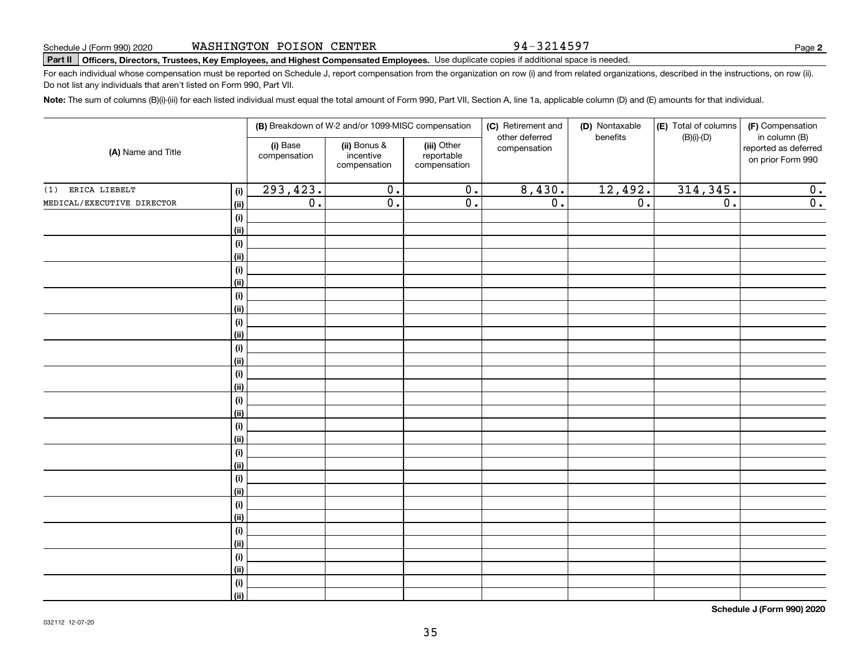94-3214597

**2**

# **Part II Officers, Directors, Trustees, Key Employees, and Highest Compensated Employees.**  Schedule J (Form 990) 2020 Page Use duplicate copies if additional space is needed.

For each individual whose compensation must be reported on Schedule J, report compensation from the organization on row (i) and from related organizations, described in the instructions, on row (ii). Do not list any individuals that aren't listed on Form 990, Part VII.

**Note:**  The sum of columns (B)(i)-(iii) for each listed individual must equal the total amount of Form 990, Part VII, Section A, line 1a, applicable column (D) and (E) amounts for that individual.

| (A) Name and Title         |                | (B) Breakdown of W-2 and/or 1099-MISC compensation |                                           |                                           | (C) Retirement and<br>other deferred | (D) Nontaxable<br>benefits | (E) Total of columns<br>$(B)(i)-(D)$ | (F) Compensation<br>in column (B)         |
|----------------------------|----------------|----------------------------------------------------|-------------------------------------------|-------------------------------------------|--------------------------------------|----------------------------|--------------------------------------|-------------------------------------------|
|                            |                | (i) Base<br>compensation                           | (ii) Bonus &<br>incentive<br>compensation | (iii) Other<br>reportable<br>compensation | compensation                         |                            |                                      | reported as deferred<br>on prior Form 990 |
| ERICA LIEBELT<br>(1)       | (i)            | 293,423.                                           | $\overline{0}$ .                          | $\overline{0}$ .                          | 8,430.                               | 12,492.                    | 314, 345.                            | 0.                                        |
| MEDICAL/EXECUTIVE DIRECTOR | (ii)           | $\overline{0}$ .                                   | $\overline{0}$ .                          | $\overline{0}$ .                          | $\overline{0}$ .                     | $\overline{0}$ .           | $\overline{0}$ .                     | $\overline{0}$ .                          |
|                            | (i)            |                                                    |                                           |                                           |                                      |                            |                                      |                                           |
|                            | <u>(ii)</u>    |                                                    |                                           |                                           |                                      |                            |                                      |                                           |
|                            | (i)            |                                                    |                                           |                                           |                                      |                            |                                      |                                           |
|                            | <u>(ii)</u>    |                                                    |                                           |                                           |                                      |                            |                                      |                                           |
|                            | $(\sf{i})$     |                                                    |                                           |                                           |                                      |                            |                                      |                                           |
|                            | <u>(ii)</u>    |                                                    |                                           |                                           |                                      |                            |                                      |                                           |
|                            | (i)            |                                                    |                                           |                                           |                                      |                            |                                      |                                           |
|                            | <u>(ii)</u>    |                                                    |                                           |                                           |                                      |                            |                                      |                                           |
|                            | $(\sf{i})$     |                                                    |                                           |                                           |                                      |                            |                                      |                                           |
|                            | <u>(ii)</u>    |                                                    |                                           |                                           |                                      |                            |                                      |                                           |
|                            | $(\sf{i})$     |                                                    |                                           |                                           |                                      |                            |                                      |                                           |
|                            | (ii)           |                                                    |                                           |                                           |                                      |                            |                                      |                                           |
|                            | (i)<br>(ii)    |                                                    |                                           |                                           |                                      |                            |                                      |                                           |
|                            | (i)            |                                                    |                                           |                                           |                                      |                            |                                      |                                           |
|                            | (ii)           |                                                    |                                           |                                           |                                      |                            |                                      |                                           |
|                            | (i)            |                                                    |                                           |                                           |                                      |                            |                                      |                                           |
|                            | (ii)           |                                                    |                                           |                                           |                                      |                            |                                      |                                           |
|                            | (i)            |                                                    |                                           |                                           |                                      |                            |                                      |                                           |
|                            | <u>(ii)</u>    |                                                    |                                           |                                           |                                      |                            |                                      |                                           |
|                            | (i)            |                                                    |                                           |                                           |                                      |                            |                                      |                                           |
|                            | <u>(ii)</u>    |                                                    |                                           |                                           |                                      |                            |                                      |                                           |
|                            | (i)            |                                                    |                                           |                                           |                                      |                            |                                      |                                           |
|                            | <u>(ii)</u>    |                                                    |                                           |                                           |                                      |                            |                                      |                                           |
|                            | (i)            |                                                    |                                           |                                           |                                      |                            |                                      |                                           |
|                            | (ii)           |                                                    |                                           |                                           |                                      |                            |                                      |                                           |
|                            | (i)            |                                                    |                                           |                                           |                                      |                            |                                      |                                           |
|                            | <u>(ii)</u>    |                                                    |                                           |                                           |                                      |                            |                                      |                                           |
|                            | (i)            |                                                    |                                           |                                           |                                      |                            |                                      |                                           |
|                            | $\overline{}}$ |                                                    |                                           |                                           |                                      |                            |                                      |                                           |

**Schedule J (Form 990) 2020**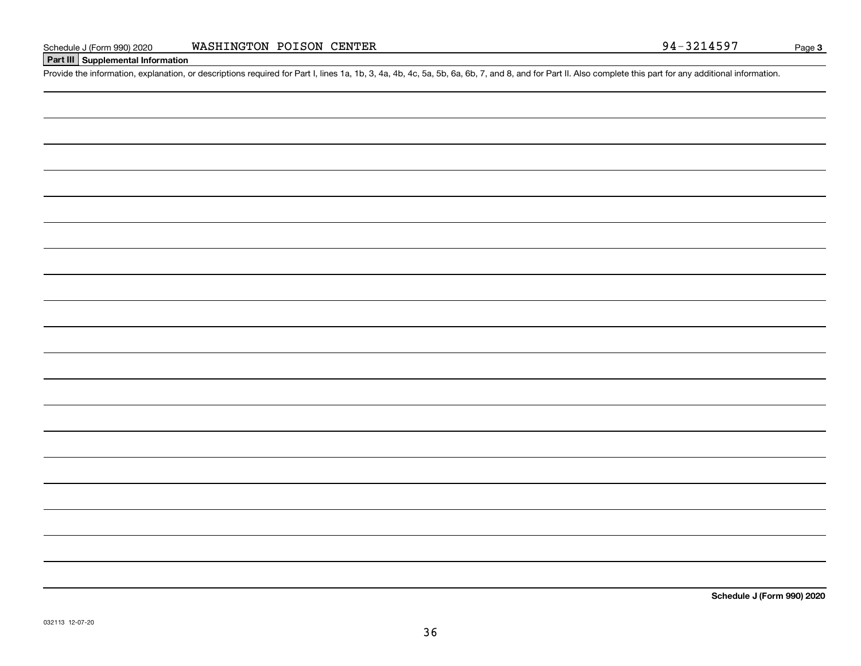## **Part III Supplemental Information**

Schedule J (Form 990) 2020 WASHINGTON POISON CENTER<br>Part III Supplemental Information<br>Provide the information, explanation, or descriptions required for Part I, lines 1a, 1b, 3, 4a, 4b, 4c, 5a, 5b, 6a, 6b, 7, and 8, and fo

**Schedule J (Form 990) 2020**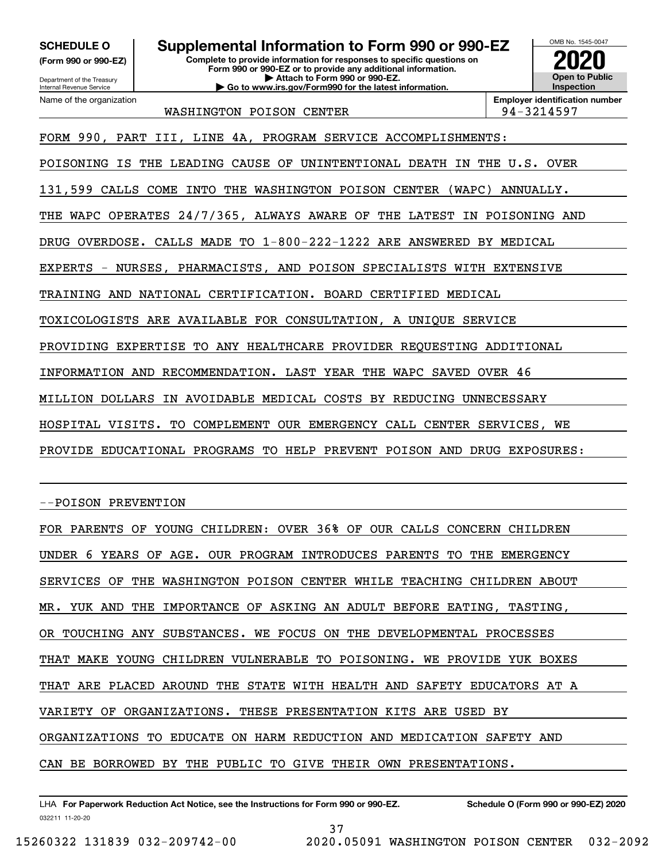**(Form 990 or 990-EZ)**

Department of the Treasury Internal Revenue Service Name of the organization

# **SCHEDULE O Supplemental Information to Form 990 or 990-EZ**

**Complete to provide information for responses to specific questions on Form 990 or 990-EZ or to provide any additional information. | Attach to Form 990 or 990-EZ. | Go to www.irs.gov/Form990 for the latest information.**



WASHINGTON POISON CENTER  $\vert$  94-3214597

FORM 990, PART III, LINE 4A, PROGRAM SERVICE ACCOMPLISHMENTS:

POISONING IS THE LEADING CAUSE OF UNINTENTIONAL DEATH IN THE U.S. OVER

131,599 CALLS COME INTO THE WASHINGTON POISON CENTER (WAPC) ANNUALLY.

THE WAPC OPERATES 24/7/365, ALWAYS AWARE OF THE LATEST IN POISONING AND

DRUG OVERDOSE. CALLS MADE TO 1-800-222-1222 ARE ANSWERED BY MEDICAL

EXPERTS - NURSES, PHARMACISTS, AND POISON SPECIALISTS WITH EXTENSIVE

TRAINING AND NATIONAL CERTIFICATION. BOARD CERTIFIED MEDICAL

TOXICOLOGISTS ARE AVAILABLE FOR CONSULTATION, A UNIQUE SERVICE

PROVIDING EXPERTISE TO ANY HEALTHCARE PROVIDER REQUESTING ADDITIONAL

INFORMATION AND RECOMMENDATION. LAST YEAR THE WAPC SAVED OVER 46

MILLION DOLLARS IN AVOIDABLE MEDICAL COSTS BY REDUCING UNNECESSARY

HOSPITAL VISITS. TO COMPLEMENT OUR EMERGENCY CALL CENTER SERVICES, WE

PROVIDE EDUCATIONAL PROGRAMS TO HELP PREVENT POISON AND DRUG EXPOSURES:

--POISON PREVENTION

FOR PARENTS OF YOUNG CHILDREN: OVER 36% OF OUR CALLS CONCERN CHILDREN UNDER 6 YEARS OF AGE. OUR PROGRAM INTRODUCES PARENTS TO THE EMERGENCY SERVICES OF THE WASHINGTON POISON CENTER WHILE TEACHING CHILDREN ABOUT MR. YUK AND THE IMPORTANCE OF ASKING AN ADULT BEFORE EATING, TASTING, OR TOUCHING ANY SUBSTANCES. WE FOCUS ON THE DEVELOPMENTAL PROCESSES THAT MAKE YOUNG CHILDREN VULNERABLE TO POISONING. WE PROVIDE YUK BOXES THAT ARE PLACED AROUND THE STATE WITH HEALTH AND SAFETY EDUCATORS AT A VARIETY OF ORGANIZATIONS. THESE PRESENTATION KITS ARE USED BY ORGANIZATIONS TO EDUCATE ON HARM REDUCTION AND MEDICATION SAFETY AND CAN BE BORROWED BY THE PUBLIC TO GIVE THEIR OWN PRESENTATIONS.

032211 11-20-20 LHA For Paperwork Reduction Act Notice, see the Instructions for Form 990 or 990-EZ. Schedule O (Form 990 or 990-EZ) 2020 37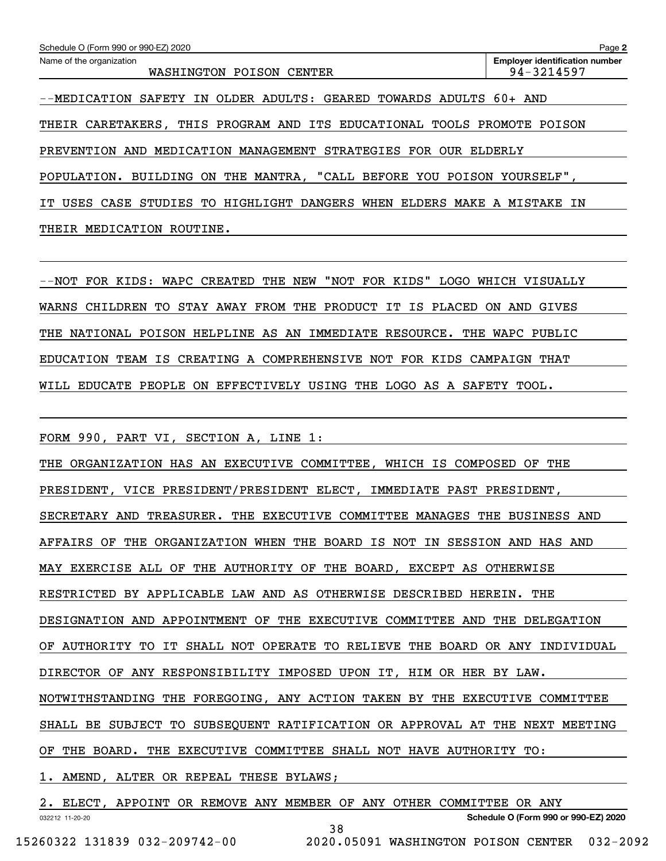| Schedule O (Form 990 or 990-EZ) 2020                                                  | Page 2                                              |  |  |  |
|---------------------------------------------------------------------------------------|-----------------------------------------------------|--|--|--|
| Name of the organization<br>WASHINGTON POISON<br>CENTER                               | <b>Employer identification number</b><br>94-3214597 |  |  |  |
| OLDER ADULTS: GEARED TOWARDS ADULTS 60+ AND<br>SAFETY<br>--MEDICATION<br>IN           |                                                     |  |  |  |
| THIS PROGRAM AND ITS EDUCATIONAL TOOLS PROMOTE<br>THEIR CARETAKERS.                   | POISON                                              |  |  |  |
| MEDICATION MANAGEMENT STRATEGIES<br>PREVENTION<br>FOR<br>ELDERLY<br>AND<br><b>OUR</b> |                                                     |  |  |  |
| BUILDING ON THE MANTRA, "CALL BEFORE YOU POISON YOURSELF"<br>POPULATION.              |                                                     |  |  |  |
| CASE STUDIES TO HIGHLIGHT DANGERS WHEN<br>ELDERS<br>USES                              | MAKE A MISTAKE<br>IN                                |  |  |  |
| MEDICATION<br>ROUTINE.<br>THEIR                                                       |                                                     |  |  |  |

--NOT FOR KIDS: WAPC CREATED THE NEW "NOT FOR KIDS" LOGO WHICH VISUALLY WARNS CHILDREN TO STAY AWAY FROM THE PRODUCT IT IS PLACED ON AND GIVES THE NATIONAL POISON HELPLINE AS AN IMMEDIATE RESOURCE. THE WAPC PUBLIC EDUCATION TEAM IS CREATING A COMPREHENSIVE NOT FOR KIDS CAMPAIGN THAT WILL EDUCATE PEOPLE ON EFFECTIVELY USING THE LOGO AS A SAFETY TOOL.

FORM 990, PART VI, SECTION A, LINE 1:

THE ORGANIZATION HAS AN EXECUTIVE COMMITTEE, WHICH IS COMPOSED OF THE PRESIDENT, VICE PRESIDENT/PRESIDENT ELECT, IMMEDIATE PAST PRESIDENT, SECRETARY AND TREASURER. THE EXECUTIVE COMMITTEE MANAGES THE BUSINESS AND AFFAIRS OF THE ORGANIZATION WHEN THE BOARD IS NOT IN SESSION AND HAS AND MAY EXERCISE ALL OF THE AUTHORITY OF THE BOARD, EXCEPT AS OTHERWISE RESTRICTED BY APPLICABLE LAW AND AS OTHERWISE DESCRIBED HEREIN. THE DESIGNATION AND APPOINTMENT OF THE EXECUTIVE COMMITTEE AND THE DELEGATION OF AUTHORITY TO IT SHALL NOT OPERATE TO RELIEVE THE BOARD OR ANY INDIVIDUAL DIRECTOR OF ANY RESPONSIBILITY IMPOSED UPON IT, HIM OR HER BY LAW. NOTWITHSTANDING THE FOREGOING, ANY ACTION TAKEN BY THE EXECUTIVE COMMITTEE SHALL BE SUBJECT TO SUBSEQUENT RATIFICATION OR APPROVAL AT THE NEXT MEETING OF THE BOARD. THE EXECUTIVE COMMITTEE SHALL NOT HAVE AUTHORITY TO:

1. AMEND, ALTER OR REPEAL THESE BYLAWS;

032212 11-20-20 **Schedule O (Form 990 or 990-EZ) 2020** 2. ELECT, APPOINT OR REMOVE ANY MEMBER OF ANY OTHER COMMITTEE OR ANY 38 15260322 131839 032-209742-00 2020.05091 WASHINGTON POISON CENTER 032-2092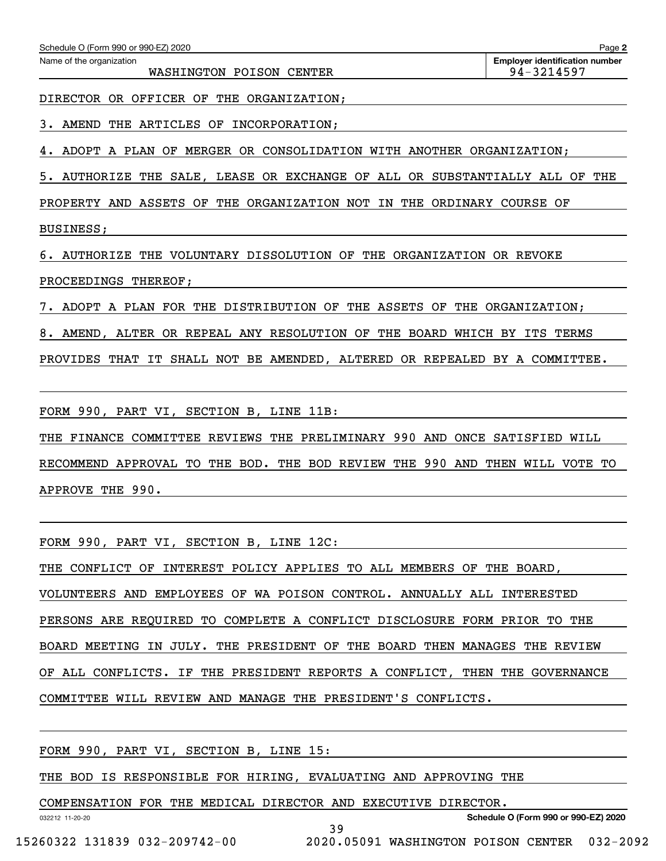WASHINGTON POISON CENTER  $94-3214597$ 

DIRECTOR OR OFFICER OF THE ORGANIZATION;

3. AMEND THE ARTICLES OF INCORPORATION;

ADOPT A PLAN OF MERGER OR CONSOLIDATION WITH ANOTHER ORGANIZATION;

5. AUTHORIZE THE SALE, LEASE OR EXCHANGE OF ALL OR SUBSTANTIALLY ALL OF THE

PROPERTY AND ASSETS OF THE ORGANIZATION NOT IN THE ORDINARY COURSE OF BUSINESS;

6. AUTHORIZE THE VOLUNTARY DISSOLUTION OF THE ORGANIZATION OR REVOKE

PROCEEDINGS THEREOF;

7. ADOPT A PLAN FOR THE DISTRIBUTION OF THE ASSETS OF THE ORGANIZATION;

8. AMEND, ALTER OR REPEAL ANY RESOLUTION OF THE BOARD WHICH BY ITS TERMS

PROVIDES THAT IT SHALL NOT BE AMENDED, ALTERED OR REPEALED BY A COMMITTEE.

FORM 990, PART VI, SECTION B, LINE 11B:

THE FINANCE COMMITTEE REVIEWS THE PRELIMINARY 990 AND ONCE SATISFIED WILL

RECOMMEND APPROVAL TO THE BOD. THE BOD REVIEW THE 990 AND THEN WILL VOTE TO APPROVE THE 990.

FORM 990, PART VI, SECTION B, LINE 12C:

THE CONFLICT OF INTEREST POLICY APPLIES TO ALL MEMBERS OF THE BOARD, VOLUNTEERS AND EMPLOYEES OF WA POISON CONTROL. ANNUALLY ALL INTERESTED PERSONS ARE REQUIRED TO COMPLETE A CONFLICT DISCLOSURE FORM PRIOR TO THE BOARD MEETING IN JULY. THE PRESIDENT OF THE BOARD THEN MANAGES THE REVIEW OF ALL CONFLICTS. IF THE PRESIDENT REPORTS A CONFLICT, THEN THE GOVERNANCE

39

COMMITTEE WILL REVIEW AND MANAGE THE PRESIDENT'S CONFLICTS.

FORM 990, PART VI, SECTION B, LINE 15:

THE BOD IS RESPONSIBLE FOR HIRING, EVALUATING AND APPROVING THE

COMPENSATION FOR THE MEDICAL DIRECTOR AND EXECUTIVE DIRECTOR.

**Schedule O (Form 990 or 990-EZ) 2020**

032212 11-20-20